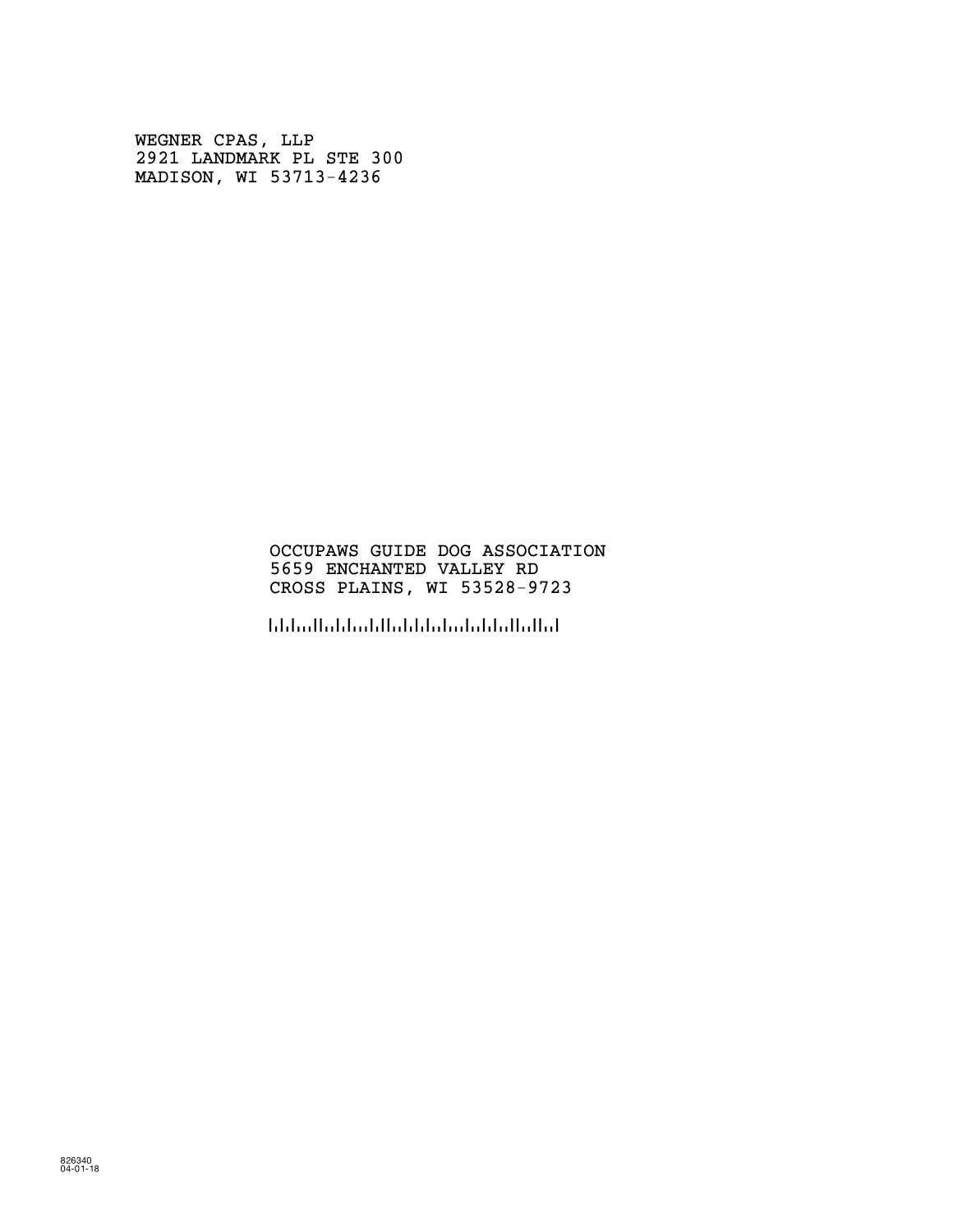WEGNER CPAS, LLP 2921 LANDMARK PL STE 300 MADISON, WI 53713-4236

## OCCUPAWS GUIDE DOG ASSOCIATION 5659 ENCHANTED VALLEY RD CROSS PLAINS, WI 53528-9723

!5352897236!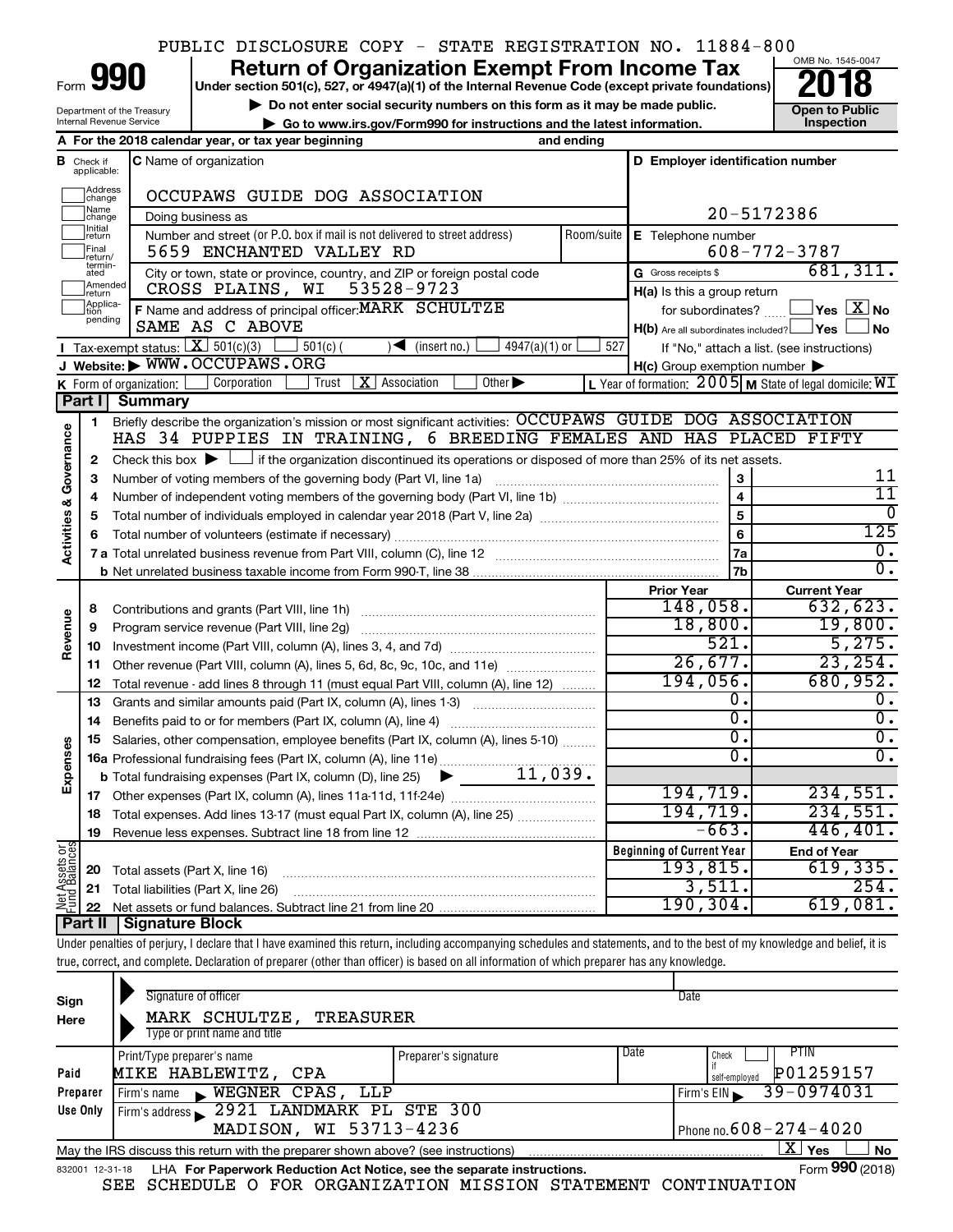## PUBLIC DISCLOSURE COPY - STATE REGISTRATION NO. 11884-800

Form

Department of the Treasury Internal Revenue Service

# **990** Return of Organization Exempt From Income Tax **Punce 1845-004 Puncer section 501(c), 527, or 4947(a)(1)** of the Internal Revenue Code (except private foundations) **2018**

**b** Do not enter social security numbers on this form as it may be made public.<br> **Go to www.irs.gov/Form990 for instructions and the latest information. This impection 1** Go to www.irs.gov/Form990 for instructions and the latest information.<br> **Inspection** and ending



|                                    |                         | A For the 2018 calendar year, or tax year beginning                                                                                         | and ending |                                                     |                                                             |
|------------------------------------|-------------------------|---------------------------------------------------------------------------------------------------------------------------------------------|------------|-----------------------------------------------------|-------------------------------------------------------------|
| В                                  | Check if<br>applicable: | <b>C</b> Name of organization                                                                                                               |            | D Employer identification number                    |                                                             |
|                                    | Address<br> change      | OCCUPAWS GUIDE DOG ASSOCIATION                                                                                                              |            |                                                     |                                                             |
|                                    | Name<br>change          | Doing business as                                                                                                                           |            |                                                     | 20-5172386                                                  |
|                                    | Initial<br>return       | Number and street (or P.O. box if mail is not delivered to street address)                                                                  |            | Room/suite   E Telephone number                     |                                                             |
|                                    | Final<br>return/        | 5659 ENCHANTED VALLEY RD                                                                                                                    |            |                                                     | $608 - 772 - 3787$                                          |
|                                    | termin-<br>ated         | City or town, state or province, country, and ZIP or foreign postal code                                                                    |            | G Gross receipts \$                                 | 681, 311.                                                   |
|                                    | Amended<br>Ireturn      | CROSS PLAINS, WI<br>53528-9723                                                                                                              |            | $H(a)$ is this a group return                       |                                                             |
|                                    | Applica-<br>pending     | F Name and address of principal officer: MARK SCHULTZE                                                                                      |            | for subordinates?                                   | $\mathsf{l}$ Yes $\mathsf{l}$ $\mathsf{X} \mathsf{l}$ No    |
|                                    |                         | SAME AS C ABOVE                                                                                                                             |            | $H(b)$ Are all subordinates included? $\Box$ Yes    | l No                                                        |
|                                    |                         | Tax-exempt status: $X \over 301(c)(3)$<br>$501(c)$ (<br>$\sqrt{\frac{1}{1}}$ (insert no.)<br>$4947(a)(1)$ or                                | 527        |                                                     | If "No," attach a list. (see instructions)                  |
|                                    |                         | J Website: WWW.OCCUPAWS.ORG                                                                                                                 |            | $H(c)$ Group exemption number $\blacktriangleright$ |                                                             |
|                                    |                         | <b>X</b> Association<br>Corporation<br>Other $\blacktriangleright$<br>Trust<br>K Form of organization: $\vert$                              |            |                                                     | L Year of formation: $2005$ M State of legal domicile: $WI$ |
|                                    | Part I                  | Summary                                                                                                                                     |            |                                                     |                                                             |
|                                    | 1                       | Briefly describe the organization's mission or most significant activities: OCCUPAWS GUIDE DOG ASSOCIATION                                  |            |                                                     |                                                             |
|                                    |                         | HAS 34 PUPPIES IN TRAINING, 6 BREEDING FEMALES AND HAS PLACED FIFTY                                                                         |            |                                                     |                                                             |
| <b>Activities &amp; Governance</b> | 2                       | Check this box $\blacktriangleright$ $\Box$ if the organization discontinued its operations or disposed of more than 25% of its net assets. |            |                                                     |                                                             |
|                                    | 3                       |                                                                                                                                             |            | 3                                                   | 11                                                          |
|                                    | 4                       |                                                                                                                                             |            | $\overline{\mathbf{4}}$                             | $\overline{11}$                                             |
|                                    | 5                       |                                                                                                                                             |            | $\overline{\mathbf{5}}$                             | $\Omega$                                                    |
|                                    |                         |                                                                                                                                             |            | 6                                                   | 125                                                         |
|                                    |                         |                                                                                                                                             |            | 7a                                                  | 0.<br>σ.                                                    |
|                                    |                         |                                                                                                                                             |            | 7b                                                  |                                                             |
|                                    |                         |                                                                                                                                             |            | <b>Prior Year</b><br>148,058.                       | <b>Current Year</b><br>632,623.                             |
|                                    | 8                       |                                                                                                                                             |            | 18,800.                                             | 19,800.                                                     |
| Revenue                            | 9                       |                                                                                                                                             |            | 521.                                                | 5,275.                                                      |
|                                    | 10                      |                                                                                                                                             |            | 26,677.                                             | 23, 254.                                                    |
|                                    | 11<br>12                | Other revenue (Part VIII, column (A), lines 5, 6d, 8c, 9c, 10c, and 11e)                                                                    |            | 194,056.                                            | 680,952.                                                    |
|                                    |                         | Total revenue - add lines 8 through 11 (must equal Part VIII, column (A), line 12)                                                          |            | 0.                                                  | 0.                                                          |
|                                    | 13                      | Grants and similar amounts paid (Part IX, column (A), lines 1-3)                                                                            |            | σ.                                                  | $\overline{0}$ .                                            |
|                                    | 14<br>15                | Salaries, other compensation, employee benefits (Part IX, column (A), lines 5-10)                                                           |            | 0.                                                  | $\overline{\mathfrak{o}}$ .                                 |
| Expenses                           |                         | 16a Professional fundraising fees (Part IX, column (A), line 11e)                                                                           |            | σ.                                                  | $\overline{0}$ .                                            |
|                                    |                         | 11,039.<br><b>b</b> Total fundraising expenses (Part IX, column (D), line 25)<br>▶                                                          |            |                                                     |                                                             |
|                                    |                         |                                                                                                                                             |            | 194,719.                                            | 234,551.                                                    |
|                                    | 18                      | Total expenses. Add lines 13-17 (must equal Part IX, column (A), line 25)                                                                   |            | 194,719.                                            | 234,551.                                                    |
|                                    | 19                      |                                                                                                                                             |            | $-663.$                                             | 446, 401.                                                   |
|                                    |                         |                                                                                                                                             |            | <b>Beginning of Current Year</b>                    | <b>End of Year</b>                                          |
| Net Assets or<br>Fund Balances     | 20                      | Total assets (Part X, line 16)                                                                                                              |            | 193,815.                                            | 619,335.                                                    |
|                                    |                         | 21 Total liabilities (Part X, line 26)                                                                                                      |            | 3,511.                                              | 254.                                                        |
|                                    |                         |                                                                                                                                             |            | 190, 304.                                           | 619,081.                                                    |
|                                    |                         | Part II   Signature Block                                                                                                                   |            |                                                     |                                                             |

Under penalties of perjury, I declare that I have examined this return, including accompanying schedules and statements, and to the best of my knowledge and belief, it is true, correct, and complete. Declaration of preparer (other than officer) is based on all information of which preparer has any knowledge.

| Sign<br>Here    | Signature of officer<br>MARK SCHULTZE,<br>TREASURER<br>Type or print name and title |                      |      | Date                                        |
|-----------------|-------------------------------------------------------------------------------------|----------------------|------|---------------------------------------------|
| Paid            | Print/Type preparer's name<br>MIKE HABLEWITZ, CPA                                   | Preparer's signature | Date | PTIN<br>Check<br>P01259157<br>self-emploved |
| Preparer        | WEGNER CPAS, LLP<br>Firm's name<br>$\blacksquare$                                   |                      |      | 39-0974031<br>Firm's $EIN$                  |
| Use Only        | Firm's address 2921 LANDMARK PL STE 300                                             |                      |      |                                             |
|                 | MADISON, WI 53713-4236                                                              |                      |      | Phone no. $608 - 274 - 4020$                |
|                 | May the IRS discuss this return with the preparer shown above? (see instructions)   |                      |      | ΧI<br>Yes<br><b>No</b>                      |
| 832001 12-31-18 | LHA For Paperwork Reduction Act Notice, see the separate instructions.              |                      |      | Form 990 (2018)                             |

SEE SCHEDULE O FOR ORGANIZATION MISSION STATEMENT CONTINUATION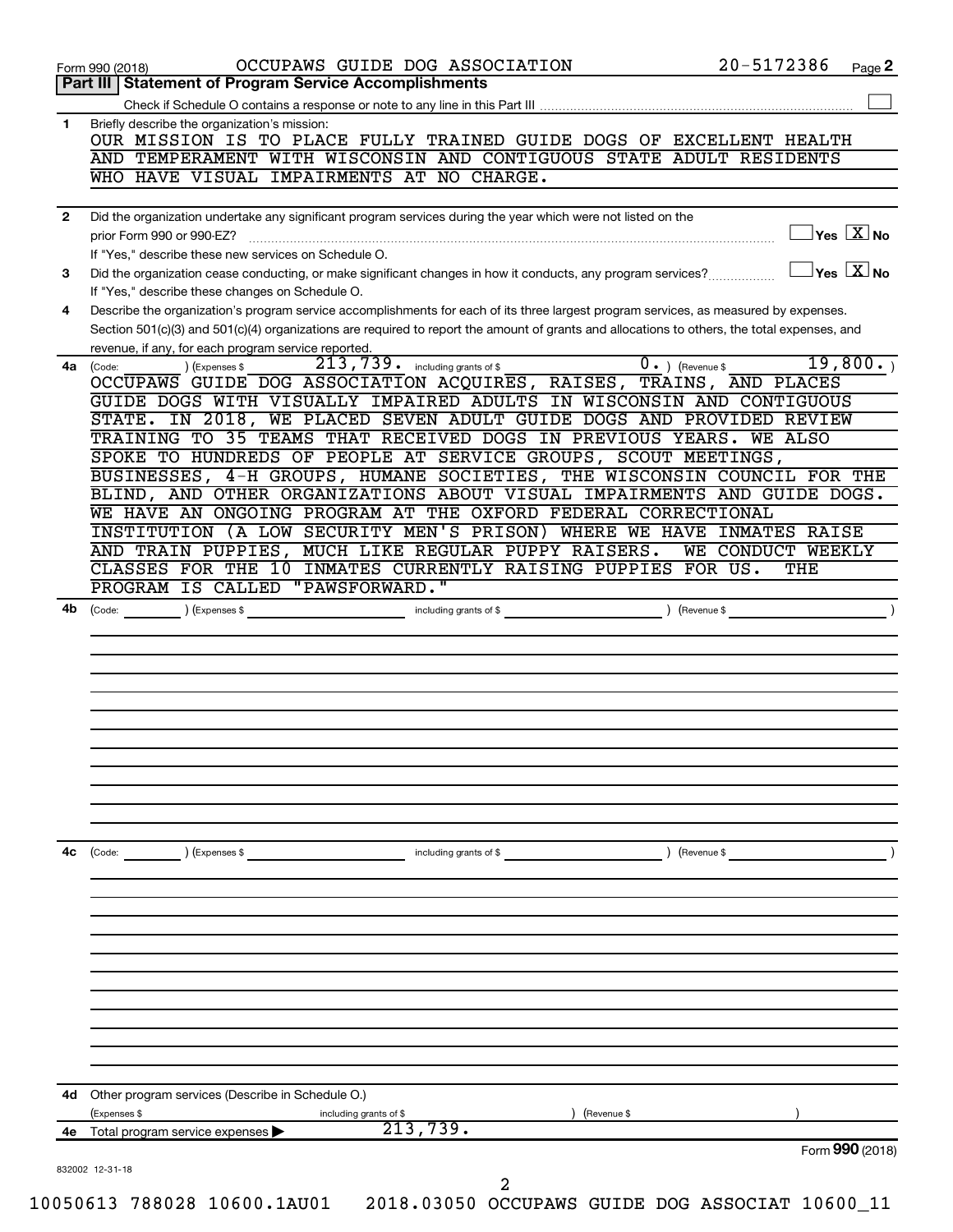| Part III   Statement of Program Service Accomplishments<br>Briefly describe the organization's mission:<br>OUR MISSION IS TO PLACE FULLY TRAINED GUIDE DOGS OF EXCELLENT HEALTH<br>AND TEMPERAMENT WITH WISCONSIN AND CONTIGUOUS STATE ADULT RESIDENTS<br>WHO HAVE VISUAL IMPAIRMENTS AT NO CHARGE.<br>Did the organization undertake any significant program services during the year which were not listed on the<br>$\sqrt{\mathsf{Yes}\ \mathbf{X}}$ No<br>prior Form 990 or 990-EZ?<br>If "Yes," describe these new services on Schedule O.<br>$\overline{Y}$ es $\overline{X}$ No<br>Did the organization cease conducting, or make significant changes in how it conducts, any program services?<br>If "Yes," describe these changes on Schedule O.<br>Describe the organization's program service accomplishments for each of its three largest program services, as measured by expenses.<br>Section 501(c)(3) and 501(c)(4) organizations are required to report the amount of grants and allocations to others, the total expenses, and<br>revenue, if any, for each program service reported.<br>19,800.<br>213, 739 . including grants of \$<br>$\overline{0}$ . ) (Revenue \$<br>(Expenses \$<br>4a (Code:<br>OCCUPAWS GUIDE DOG ASSOCIATION ACQUIRES, RAISES, TRAINS, AND PLACES<br>GUIDE DOGS WITH VISUALLY IMPAIRED ADULTS IN WISCONSIN AND CONTIGUOUS<br>STATE. IN 2018, WE PLACED SEVEN ADULT GUIDE DOGS AND PROVIDED REVIEW<br>TRAINING TO 35 TEAMS THAT RECEIVED DOGS IN PREVIOUS YEARS. WE ALSO<br>SPOKE TO HUNDREDS OF PEOPLE AT SERVICE GROUPS, SCOUT MEETINGS,<br>BUSINESSES, 4-H GROUPS, HUMANE SOCIETIES, THE WISCONSIN COUNCIL FOR THE<br>BLIND, AND OTHER ORGANIZATIONS ABOUT VISUAL IMPAIRMENTS AND GUIDE DOGS.<br>WE HAVE AN ONGOING PROGRAM AT THE OXFORD FEDERAL CORRECTIONAL<br>INSTITUTION (A LOW SECURITY MEN'S PRISON) WHERE WE HAVE INMATES RAISE<br>AND TRAIN PUPPIES, MUCH LIKE REGULAR PUPPY RAISERS.<br>WE CONDUCT WEEKLY<br>CLASSES FOR THE 10 INMATES CURRENTLY RAISING PUPPIES FOR US.<br>THE<br>PROGRAM IS CALLED "PAWSFORWARD.<br>) (Revenue \$<br>4b<br>(Expenses \$<br>including grants of \$<br>(Code:<br>4с<br>including grants of \$<br>) (Revenue \$<br>$\begin{array}{ c c }\n\hline\n\text{Code:} & \text{\quad} & \text{\quad} \quad\end{array}$<br>) (Expenses \$<br>Other program services (Describe in Schedule O.)<br>(Expenses \$<br>(Revenue \$<br>including grants of \$<br>213,739.<br>Total program service expenses<br>Form 990 (2018)<br>832002 12-31-18<br>10050613 788028 10600.1AU01  2018.03050 OCCUPAWS GUIDE DOG ASSOCIAT 10600_11 |              | OCCUPAWS GUIDE DOG ASSOCIATION<br>Form 990 (2018) | 20-5172386 | Page 2 |
|-------------------------------------------------------------------------------------------------------------------------------------------------------------------------------------------------------------------------------------------------------------------------------------------------------------------------------------------------------------------------------------------------------------------------------------------------------------------------------------------------------------------------------------------------------------------------------------------------------------------------------------------------------------------------------------------------------------------------------------------------------------------------------------------------------------------------------------------------------------------------------------------------------------------------------------------------------------------------------------------------------------------------------------------------------------------------------------------------------------------------------------------------------------------------------------------------------------------------------------------------------------------------------------------------------------------------------------------------------------------------------------------------------------------------------------------------------------------------------------------------------------------------------------------------------------------------------------------------------------------------------------------------------------------------------------------------------------------------------------------------------------------------------------------------------------------------------------------------------------------------------------------------------------------------------------------------------------------------------------------------------------------------------------------------------------------------------------------------------------------------------------------------------------------------------------------------------------------------------------------------------------------------------------------------------------------------------------------------------------------------------------------------------------------------------------------------------------------------------------------------------------------------------------------------------------------------------------------------------------|--------------|---------------------------------------------------|------------|--------|
|                                                                                                                                                                                                                                                                                                                                                                                                                                                                                                                                                                                                                                                                                                                                                                                                                                                                                                                                                                                                                                                                                                                                                                                                                                                                                                                                                                                                                                                                                                                                                                                                                                                                                                                                                                                                                                                                                                                                                                                                                                                                                                                                                                                                                                                                                                                                                                                                                                                                                                                                                                                                             |              |                                                   |            |        |
|                                                                                                                                                                                                                                                                                                                                                                                                                                                                                                                                                                                                                                                                                                                                                                                                                                                                                                                                                                                                                                                                                                                                                                                                                                                                                                                                                                                                                                                                                                                                                                                                                                                                                                                                                                                                                                                                                                                                                                                                                                                                                                                                                                                                                                                                                                                                                                                                                                                                                                                                                                                                             |              |                                                   |            |        |
|                                                                                                                                                                                                                                                                                                                                                                                                                                                                                                                                                                                                                                                                                                                                                                                                                                                                                                                                                                                                                                                                                                                                                                                                                                                                                                                                                                                                                                                                                                                                                                                                                                                                                                                                                                                                                                                                                                                                                                                                                                                                                                                                                                                                                                                                                                                                                                                                                                                                                                                                                                                                             | 1            |                                                   |            |        |
|                                                                                                                                                                                                                                                                                                                                                                                                                                                                                                                                                                                                                                                                                                                                                                                                                                                                                                                                                                                                                                                                                                                                                                                                                                                                                                                                                                                                                                                                                                                                                                                                                                                                                                                                                                                                                                                                                                                                                                                                                                                                                                                                                                                                                                                                                                                                                                                                                                                                                                                                                                                                             |              |                                                   |            |        |
|                                                                                                                                                                                                                                                                                                                                                                                                                                                                                                                                                                                                                                                                                                                                                                                                                                                                                                                                                                                                                                                                                                                                                                                                                                                                                                                                                                                                                                                                                                                                                                                                                                                                                                                                                                                                                                                                                                                                                                                                                                                                                                                                                                                                                                                                                                                                                                                                                                                                                                                                                                                                             | $\mathbf{2}$ |                                                   |            |        |
|                                                                                                                                                                                                                                                                                                                                                                                                                                                                                                                                                                                                                                                                                                                                                                                                                                                                                                                                                                                                                                                                                                                                                                                                                                                                                                                                                                                                                                                                                                                                                                                                                                                                                                                                                                                                                                                                                                                                                                                                                                                                                                                                                                                                                                                                                                                                                                                                                                                                                                                                                                                                             |              |                                                   |            |        |
|                                                                                                                                                                                                                                                                                                                                                                                                                                                                                                                                                                                                                                                                                                                                                                                                                                                                                                                                                                                                                                                                                                                                                                                                                                                                                                                                                                                                                                                                                                                                                                                                                                                                                                                                                                                                                                                                                                                                                                                                                                                                                                                                                                                                                                                                                                                                                                                                                                                                                                                                                                                                             | 3            |                                                   |            |        |
|                                                                                                                                                                                                                                                                                                                                                                                                                                                                                                                                                                                                                                                                                                                                                                                                                                                                                                                                                                                                                                                                                                                                                                                                                                                                                                                                                                                                                                                                                                                                                                                                                                                                                                                                                                                                                                                                                                                                                                                                                                                                                                                                                                                                                                                                                                                                                                                                                                                                                                                                                                                                             | 4            |                                                   |            |        |
|                                                                                                                                                                                                                                                                                                                                                                                                                                                                                                                                                                                                                                                                                                                                                                                                                                                                                                                                                                                                                                                                                                                                                                                                                                                                                                                                                                                                                                                                                                                                                                                                                                                                                                                                                                                                                                                                                                                                                                                                                                                                                                                                                                                                                                                                                                                                                                                                                                                                                                                                                                                                             |              |                                                   |            |        |
|                                                                                                                                                                                                                                                                                                                                                                                                                                                                                                                                                                                                                                                                                                                                                                                                                                                                                                                                                                                                                                                                                                                                                                                                                                                                                                                                                                                                                                                                                                                                                                                                                                                                                                                                                                                                                                                                                                                                                                                                                                                                                                                                                                                                                                                                                                                                                                                                                                                                                                                                                                                                             |              |                                                   |            |        |
|                                                                                                                                                                                                                                                                                                                                                                                                                                                                                                                                                                                                                                                                                                                                                                                                                                                                                                                                                                                                                                                                                                                                                                                                                                                                                                                                                                                                                                                                                                                                                                                                                                                                                                                                                                                                                                                                                                                                                                                                                                                                                                                                                                                                                                                                                                                                                                                                                                                                                                                                                                                                             |              |                                                   |            |        |
|                                                                                                                                                                                                                                                                                                                                                                                                                                                                                                                                                                                                                                                                                                                                                                                                                                                                                                                                                                                                                                                                                                                                                                                                                                                                                                                                                                                                                                                                                                                                                                                                                                                                                                                                                                                                                                                                                                                                                                                                                                                                                                                                                                                                                                                                                                                                                                                                                                                                                                                                                                                                             |              |                                                   |            |        |
|                                                                                                                                                                                                                                                                                                                                                                                                                                                                                                                                                                                                                                                                                                                                                                                                                                                                                                                                                                                                                                                                                                                                                                                                                                                                                                                                                                                                                                                                                                                                                                                                                                                                                                                                                                                                                                                                                                                                                                                                                                                                                                                                                                                                                                                                                                                                                                                                                                                                                                                                                                                                             |              |                                                   |            |        |
|                                                                                                                                                                                                                                                                                                                                                                                                                                                                                                                                                                                                                                                                                                                                                                                                                                                                                                                                                                                                                                                                                                                                                                                                                                                                                                                                                                                                                                                                                                                                                                                                                                                                                                                                                                                                                                                                                                                                                                                                                                                                                                                                                                                                                                                                                                                                                                                                                                                                                                                                                                                                             |              |                                                   |            |        |
|                                                                                                                                                                                                                                                                                                                                                                                                                                                                                                                                                                                                                                                                                                                                                                                                                                                                                                                                                                                                                                                                                                                                                                                                                                                                                                                                                                                                                                                                                                                                                                                                                                                                                                                                                                                                                                                                                                                                                                                                                                                                                                                                                                                                                                                                                                                                                                                                                                                                                                                                                                                                             |              |                                                   |            |        |
|                                                                                                                                                                                                                                                                                                                                                                                                                                                                                                                                                                                                                                                                                                                                                                                                                                                                                                                                                                                                                                                                                                                                                                                                                                                                                                                                                                                                                                                                                                                                                                                                                                                                                                                                                                                                                                                                                                                                                                                                                                                                                                                                                                                                                                                                                                                                                                                                                                                                                                                                                                                                             |              |                                                   |            |        |
|                                                                                                                                                                                                                                                                                                                                                                                                                                                                                                                                                                                                                                                                                                                                                                                                                                                                                                                                                                                                                                                                                                                                                                                                                                                                                                                                                                                                                                                                                                                                                                                                                                                                                                                                                                                                                                                                                                                                                                                                                                                                                                                                                                                                                                                                                                                                                                                                                                                                                                                                                                                                             |              |                                                   |            |        |
|                                                                                                                                                                                                                                                                                                                                                                                                                                                                                                                                                                                                                                                                                                                                                                                                                                                                                                                                                                                                                                                                                                                                                                                                                                                                                                                                                                                                                                                                                                                                                                                                                                                                                                                                                                                                                                                                                                                                                                                                                                                                                                                                                                                                                                                                                                                                                                                                                                                                                                                                                                                                             |              |                                                   |            |        |
|                                                                                                                                                                                                                                                                                                                                                                                                                                                                                                                                                                                                                                                                                                                                                                                                                                                                                                                                                                                                                                                                                                                                                                                                                                                                                                                                                                                                                                                                                                                                                                                                                                                                                                                                                                                                                                                                                                                                                                                                                                                                                                                                                                                                                                                                                                                                                                                                                                                                                                                                                                                                             |              |                                                   |            |        |
|                                                                                                                                                                                                                                                                                                                                                                                                                                                                                                                                                                                                                                                                                                                                                                                                                                                                                                                                                                                                                                                                                                                                                                                                                                                                                                                                                                                                                                                                                                                                                                                                                                                                                                                                                                                                                                                                                                                                                                                                                                                                                                                                                                                                                                                                                                                                                                                                                                                                                                                                                                                                             |              |                                                   |            |        |
|                                                                                                                                                                                                                                                                                                                                                                                                                                                                                                                                                                                                                                                                                                                                                                                                                                                                                                                                                                                                                                                                                                                                                                                                                                                                                                                                                                                                                                                                                                                                                                                                                                                                                                                                                                                                                                                                                                                                                                                                                                                                                                                                                                                                                                                                                                                                                                                                                                                                                                                                                                                                             |              |                                                   |            |        |
|                                                                                                                                                                                                                                                                                                                                                                                                                                                                                                                                                                                                                                                                                                                                                                                                                                                                                                                                                                                                                                                                                                                                                                                                                                                                                                                                                                                                                                                                                                                                                                                                                                                                                                                                                                                                                                                                                                                                                                                                                                                                                                                                                                                                                                                                                                                                                                                                                                                                                                                                                                                                             |              |                                                   |            |        |
|                                                                                                                                                                                                                                                                                                                                                                                                                                                                                                                                                                                                                                                                                                                                                                                                                                                                                                                                                                                                                                                                                                                                                                                                                                                                                                                                                                                                                                                                                                                                                                                                                                                                                                                                                                                                                                                                                                                                                                                                                                                                                                                                                                                                                                                                                                                                                                                                                                                                                                                                                                                                             |              |                                                   |            |        |
|                                                                                                                                                                                                                                                                                                                                                                                                                                                                                                                                                                                                                                                                                                                                                                                                                                                                                                                                                                                                                                                                                                                                                                                                                                                                                                                                                                                                                                                                                                                                                                                                                                                                                                                                                                                                                                                                                                                                                                                                                                                                                                                                                                                                                                                                                                                                                                                                                                                                                                                                                                                                             |              |                                                   |            |        |
|                                                                                                                                                                                                                                                                                                                                                                                                                                                                                                                                                                                                                                                                                                                                                                                                                                                                                                                                                                                                                                                                                                                                                                                                                                                                                                                                                                                                                                                                                                                                                                                                                                                                                                                                                                                                                                                                                                                                                                                                                                                                                                                                                                                                                                                                                                                                                                                                                                                                                                                                                                                                             |              |                                                   |            |        |
|                                                                                                                                                                                                                                                                                                                                                                                                                                                                                                                                                                                                                                                                                                                                                                                                                                                                                                                                                                                                                                                                                                                                                                                                                                                                                                                                                                                                                                                                                                                                                                                                                                                                                                                                                                                                                                                                                                                                                                                                                                                                                                                                                                                                                                                                                                                                                                                                                                                                                                                                                                                                             |              |                                                   |            |        |
|                                                                                                                                                                                                                                                                                                                                                                                                                                                                                                                                                                                                                                                                                                                                                                                                                                                                                                                                                                                                                                                                                                                                                                                                                                                                                                                                                                                                                                                                                                                                                                                                                                                                                                                                                                                                                                                                                                                                                                                                                                                                                                                                                                                                                                                                                                                                                                                                                                                                                                                                                                                                             |              |                                                   |            |        |
|                                                                                                                                                                                                                                                                                                                                                                                                                                                                                                                                                                                                                                                                                                                                                                                                                                                                                                                                                                                                                                                                                                                                                                                                                                                                                                                                                                                                                                                                                                                                                                                                                                                                                                                                                                                                                                                                                                                                                                                                                                                                                                                                                                                                                                                                                                                                                                                                                                                                                                                                                                                                             |              |                                                   |            |        |
|                                                                                                                                                                                                                                                                                                                                                                                                                                                                                                                                                                                                                                                                                                                                                                                                                                                                                                                                                                                                                                                                                                                                                                                                                                                                                                                                                                                                                                                                                                                                                                                                                                                                                                                                                                                                                                                                                                                                                                                                                                                                                                                                                                                                                                                                                                                                                                                                                                                                                                                                                                                                             |              |                                                   |            |        |
|                                                                                                                                                                                                                                                                                                                                                                                                                                                                                                                                                                                                                                                                                                                                                                                                                                                                                                                                                                                                                                                                                                                                                                                                                                                                                                                                                                                                                                                                                                                                                                                                                                                                                                                                                                                                                                                                                                                                                                                                                                                                                                                                                                                                                                                                                                                                                                                                                                                                                                                                                                                                             |              |                                                   |            |        |
|                                                                                                                                                                                                                                                                                                                                                                                                                                                                                                                                                                                                                                                                                                                                                                                                                                                                                                                                                                                                                                                                                                                                                                                                                                                                                                                                                                                                                                                                                                                                                                                                                                                                                                                                                                                                                                                                                                                                                                                                                                                                                                                                                                                                                                                                                                                                                                                                                                                                                                                                                                                                             |              |                                                   |            |        |
|                                                                                                                                                                                                                                                                                                                                                                                                                                                                                                                                                                                                                                                                                                                                                                                                                                                                                                                                                                                                                                                                                                                                                                                                                                                                                                                                                                                                                                                                                                                                                                                                                                                                                                                                                                                                                                                                                                                                                                                                                                                                                                                                                                                                                                                                                                                                                                                                                                                                                                                                                                                                             |              |                                                   |            |        |
|                                                                                                                                                                                                                                                                                                                                                                                                                                                                                                                                                                                                                                                                                                                                                                                                                                                                                                                                                                                                                                                                                                                                                                                                                                                                                                                                                                                                                                                                                                                                                                                                                                                                                                                                                                                                                                                                                                                                                                                                                                                                                                                                                                                                                                                                                                                                                                                                                                                                                                                                                                                                             |              |                                                   |            |        |
|                                                                                                                                                                                                                                                                                                                                                                                                                                                                                                                                                                                                                                                                                                                                                                                                                                                                                                                                                                                                                                                                                                                                                                                                                                                                                                                                                                                                                                                                                                                                                                                                                                                                                                                                                                                                                                                                                                                                                                                                                                                                                                                                                                                                                                                                                                                                                                                                                                                                                                                                                                                                             |              |                                                   |            |        |
|                                                                                                                                                                                                                                                                                                                                                                                                                                                                                                                                                                                                                                                                                                                                                                                                                                                                                                                                                                                                                                                                                                                                                                                                                                                                                                                                                                                                                                                                                                                                                                                                                                                                                                                                                                                                                                                                                                                                                                                                                                                                                                                                                                                                                                                                                                                                                                                                                                                                                                                                                                                                             |              |                                                   |            |        |
|                                                                                                                                                                                                                                                                                                                                                                                                                                                                                                                                                                                                                                                                                                                                                                                                                                                                                                                                                                                                                                                                                                                                                                                                                                                                                                                                                                                                                                                                                                                                                                                                                                                                                                                                                                                                                                                                                                                                                                                                                                                                                                                                                                                                                                                                                                                                                                                                                                                                                                                                                                                                             |              |                                                   |            |        |
|                                                                                                                                                                                                                                                                                                                                                                                                                                                                                                                                                                                                                                                                                                                                                                                                                                                                                                                                                                                                                                                                                                                                                                                                                                                                                                                                                                                                                                                                                                                                                                                                                                                                                                                                                                                                                                                                                                                                                                                                                                                                                                                                                                                                                                                                                                                                                                                                                                                                                                                                                                                                             |              |                                                   |            |        |
|                                                                                                                                                                                                                                                                                                                                                                                                                                                                                                                                                                                                                                                                                                                                                                                                                                                                                                                                                                                                                                                                                                                                                                                                                                                                                                                                                                                                                                                                                                                                                                                                                                                                                                                                                                                                                                                                                                                                                                                                                                                                                                                                                                                                                                                                                                                                                                                                                                                                                                                                                                                                             |              |                                                   |            |        |
|                                                                                                                                                                                                                                                                                                                                                                                                                                                                                                                                                                                                                                                                                                                                                                                                                                                                                                                                                                                                                                                                                                                                                                                                                                                                                                                                                                                                                                                                                                                                                                                                                                                                                                                                                                                                                                                                                                                                                                                                                                                                                                                                                                                                                                                                                                                                                                                                                                                                                                                                                                                                             |              |                                                   |            |        |
|                                                                                                                                                                                                                                                                                                                                                                                                                                                                                                                                                                                                                                                                                                                                                                                                                                                                                                                                                                                                                                                                                                                                                                                                                                                                                                                                                                                                                                                                                                                                                                                                                                                                                                                                                                                                                                                                                                                                                                                                                                                                                                                                                                                                                                                                                                                                                                                                                                                                                                                                                                                                             |              |                                                   |            |        |
|                                                                                                                                                                                                                                                                                                                                                                                                                                                                                                                                                                                                                                                                                                                                                                                                                                                                                                                                                                                                                                                                                                                                                                                                                                                                                                                                                                                                                                                                                                                                                                                                                                                                                                                                                                                                                                                                                                                                                                                                                                                                                                                                                                                                                                                                                                                                                                                                                                                                                                                                                                                                             |              |                                                   |            |        |
|                                                                                                                                                                                                                                                                                                                                                                                                                                                                                                                                                                                                                                                                                                                                                                                                                                                                                                                                                                                                                                                                                                                                                                                                                                                                                                                                                                                                                                                                                                                                                                                                                                                                                                                                                                                                                                                                                                                                                                                                                                                                                                                                                                                                                                                                                                                                                                                                                                                                                                                                                                                                             |              |                                                   |            |        |
|                                                                                                                                                                                                                                                                                                                                                                                                                                                                                                                                                                                                                                                                                                                                                                                                                                                                                                                                                                                                                                                                                                                                                                                                                                                                                                                                                                                                                                                                                                                                                                                                                                                                                                                                                                                                                                                                                                                                                                                                                                                                                                                                                                                                                                                                                                                                                                                                                                                                                                                                                                                                             |              |                                                   |            |        |
|                                                                                                                                                                                                                                                                                                                                                                                                                                                                                                                                                                                                                                                                                                                                                                                                                                                                                                                                                                                                                                                                                                                                                                                                                                                                                                                                                                                                                                                                                                                                                                                                                                                                                                                                                                                                                                                                                                                                                                                                                                                                                                                                                                                                                                                                                                                                                                                                                                                                                                                                                                                                             | 4d           |                                                   |            |        |
|                                                                                                                                                                                                                                                                                                                                                                                                                                                                                                                                                                                                                                                                                                                                                                                                                                                                                                                                                                                                                                                                                                                                                                                                                                                                                                                                                                                                                                                                                                                                                                                                                                                                                                                                                                                                                                                                                                                                                                                                                                                                                                                                                                                                                                                                                                                                                                                                                                                                                                                                                                                                             |              |                                                   |            |        |
|                                                                                                                                                                                                                                                                                                                                                                                                                                                                                                                                                                                                                                                                                                                                                                                                                                                                                                                                                                                                                                                                                                                                                                                                                                                                                                                                                                                                                                                                                                                                                                                                                                                                                                                                                                                                                                                                                                                                                                                                                                                                                                                                                                                                                                                                                                                                                                                                                                                                                                                                                                                                             |              |                                                   |            |        |
|                                                                                                                                                                                                                                                                                                                                                                                                                                                                                                                                                                                                                                                                                                                                                                                                                                                                                                                                                                                                                                                                                                                                                                                                                                                                                                                                                                                                                                                                                                                                                                                                                                                                                                                                                                                                                                                                                                                                                                                                                                                                                                                                                                                                                                                                                                                                                                                                                                                                                                                                                                                                             |              |                                                   |            |        |
|                                                                                                                                                                                                                                                                                                                                                                                                                                                                                                                                                                                                                                                                                                                                                                                                                                                                                                                                                                                                                                                                                                                                                                                                                                                                                                                                                                                                                                                                                                                                                                                                                                                                                                                                                                                                                                                                                                                                                                                                                                                                                                                                                                                                                                                                                                                                                                                                                                                                                                                                                                                                             |              |                                                   |            |        |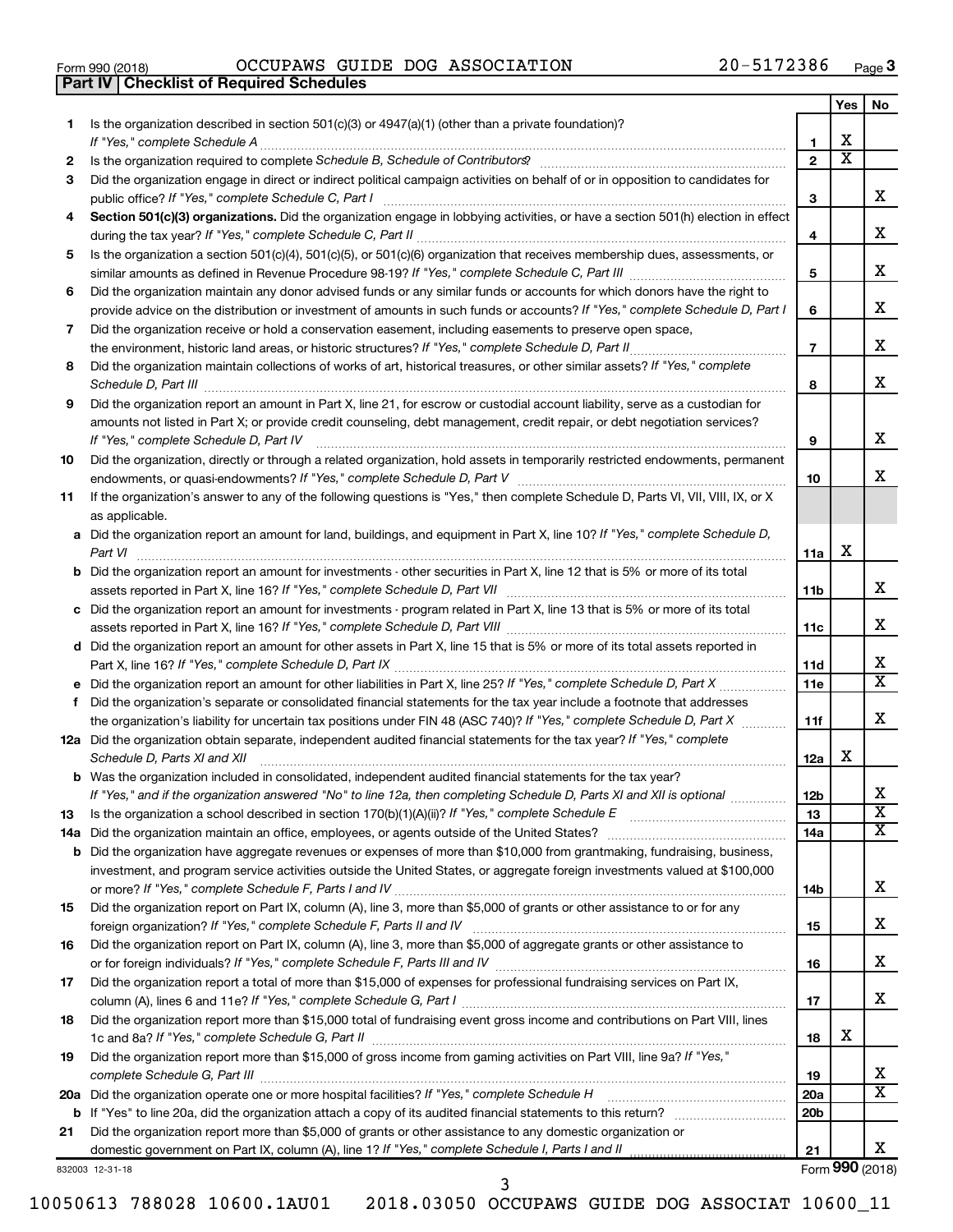|  | Form 990 (2018) |  |
|--|-----------------|--|
|  |                 |  |

Form 990 (2018)  $OCCUPANS$   $GUIDE$   $DOG$   $ASSOCIATION$   $20-5172386$   $Page$ **Part IV Checklist of Required Schedules**

|    |                                                                                                                                                                                                                                     |                 | Yes | No                           |
|----|-------------------------------------------------------------------------------------------------------------------------------------------------------------------------------------------------------------------------------------|-----------------|-----|------------------------------|
| 1  | Is the organization described in section $501(c)(3)$ or $4947(a)(1)$ (other than a private foundation)?                                                                                                                             |                 | x   |                              |
|    | If "Yes." complete Schedule A                                                                                                                                                                                                       | 1               | х   |                              |
| 2  | Is the organization required to complete Schedule B, Schedule of Contributors? [11] The organization required to complete Schedule B, Schedule of Contributors?                                                                     | $\overline{2}$  |     |                              |
| 3  | Did the organization engage in direct or indirect political campaign activities on behalf of or in opposition to candidates for<br>public office? If "Yes," complete Schedule C, Part I                                             | З               |     | x.                           |
| 4  | Section 501(c)(3) organizations. Did the organization engage in lobbying activities, or have a section 501(h) election in effect                                                                                                    |                 |     |                              |
|    |                                                                                                                                                                                                                                     | 4               |     | х                            |
| 5  | Is the organization a section 501(c)(4), 501(c)(5), or 501(c)(6) organization that receives membership dues, assessments, or                                                                                                        |                 |     |                              |
|    |                                                                                                                                                                                                                                     | 5               |     | x.                           |
| 6  | Did the organization maintain any donor advised funds or any similar funds or accounts for which donors have the right to                                                                                                           |                 |     |                              |
|    | provide advice on the distribution or investment of amounts in such funds or accounts? If "Yes," complete Schedule D, Part I                                                                                                        | 6               |     | х                            |
| 7  | Did the organization receive or hold a conservation easement, including easements to preserve open space,                                                                                                                           |                 |     |                              |
|    | the environment, historic land areas, or historic structures? If "Yes," complete Schedule D, Part II<br>.                                                                                                                           | $\overline{7}$  |     | х                            |
| 8  | Did the organization maintain collections of works of art, historical treasures, or other similar assets? If "Yes," complete                                                                                                        |                 |     |                              |
|    | Schedule D, Part III <b>Marting Commission Commission Commission</b> Commission Commission Commission Commission                                                                                                                    | 8               |     | x                            |
| 9  | Did the organization report an amount in Part X, line 21, for escrow or custodial account liability, serve as a custodian for                                                                                                       |                 |     |                              |
|    | amounts not listed in Part X; or provide credit counseling, debt management, credit repair, or debt negotiation services?                                                                                                           |                 |     |                              |
|    | If "Yes," complete Schedule D, Part IV                                                                                                                                                                                              | 9               |     | x                            |
| 10 | Did the organization, directly or through a related organization, hold assets in temporarily restricted endowments, permanent                                                                                                       |                 |     |                              |
|    |                                                                                                                                                                                                                                     | 10              |     | x.                           |
| 11 | If the organization's answer to any of the following questions is "Yes," then complete Schedule D, Parts VI, VII, VIII, IX, or X                                                                                                    |                 |     |                              |
|    | as applicable.                                                                                                                                                                                                                      |                 |     |                              |
|    | a Did the organization report an amount for land, buildings, and equipment in Part X, line 10? If "Yes," complete Schedule D,                                                                                                       |                 | х   |                              |
|    | Part VI<br><b>b</b> Did the organization report an amount for investments - other securities in Part X, line 12 that is 5% or more of its total                                                                                     | 11a             |     |                              |
|    |                                                                                                                                                                                                                                     | 11b             |     | х                            |
|    | c Did the organization report an amount for investments - program related in Part X, line 13 that is 5% or more of its total                                                                                                        |                 |     |                              |
|    |                                                                                                                                                                                                                                     | 11c             |     | x.                           |
|    | d Did the organization report an amount for other assets in Part X, line 15 that is 5% or more of its total assets reported in                                                                                                      |                 |     |                              |
|    |                                                                                                                                                                                                                                     | 11d             |     | х                            |
|    |                                                                                                                                                                                                                                     | 11e             |     | $\mathbf{x}$                 |
| f  | Did the organization's separate or consolidated financial statements for the tax year include a footnote that addresses                                                                                                             |                 |     |                              |
|    | the organization's liability for uncertain tax positions under FIN 48 (ASC 740)? If "Yes," complete Schedule D, Part X                                                                                                              | 11f             |     | x                            |
|    | 12a Did the organization obtain separate, independent audited financial statements for the tax year? If "Yes," complete                                                                                                             |                 |     |                              |
|    | Schedule D, Parts XI and XII                                                                                                                                                                                                        | 12a             | х   |                              |
|    | <b>b</b> Was the organization included in consolidated, independent audited financial statements for the tax year?                                                                                                                  |                 |     |                              |
|    | If "Yes," and if the organization answered "No" to line 12a, then completing Schedule D, Parts XI and XII is optional www.                                                                                                          | 12 <sub>b</sub> |     | Х<br>$\overline{\texttt{x}}$ |
| 13 | Is the organization a school described in section $170(b)(1)(A)(ii)$ ? If "Yes," complete Schedule E                                                                                                                                | 13              |     | x                            |
|    | 14a Did the organization maintain an office, employees, or agents outside of the United States?<br><b>b</b> Did the organization have aggregate revenues or expenses of more than \$10,000 from grantmaking, fundraising, business, | 14a             |     |                              |
|    | investment, and program service activities outside the United States, or aggregate foreign investments valued at \$100,000                                                                                                          |                 |     |                              |
|    |                                                                                                                                                                                                                                     | 14b             |     | х                            |
| 15 | Did the organization report on Part IX, column (A), line 3, more than \$5,000 of grants or other assistance to or for any                                                                                                           |                 |     |                              |
|    |                                                                                                                                                                                                                                     | 15              |     | х                            |
| 16 | Did the organization report on Part IX, column (A), line 3, more than \$5,000 of aggregate grants or other assistance to                                                                                                            |                 |     |                              |
|    |                                                                                                                                                                                                                                     | 16              |     | х                            |
| 17 | Did the organization report a total of more than \$15,000 of expenses for professional fundraising services on Part IX,                                                                                                             |                 |     |                              |
|    |                                                                                                                                                                                                                                     | 17              |     | х                            |
| 18 | Did the organization report more than \$15,000 total of fundraising event gross income and contributions on Part VIII, lines                                                                                                        |                 |     |                              |
|    |                                                                                                                                                                                                                                     | 18              | x   |                              |
| 19 | Did the organization report more than \$15,000 of gross income from gaming activities on Part VIII, line 9a? If "Yes,"                                                                                                              |                 |     |                              |
|    |                                                                                                                                                                                                                                     | 19              |     | X.                           |
|    | 20a Did the organization operate one or more hospital facilities? If "Yes," complete Schedule H                                                                                                                                     | <b>20a</b>      |     | x                            |
|    |                                                                                                                                                                                                                                     | 20 <sub>b</sub> |     |                              |
| 21 | Did the organization report more than \$5,000 of grants or other assistance to any domestic organization or                                                                                                                         | 21              |     | x                            |
|    |                                                                                                                                                                                                                                     |                 |     |                              |

832003 12-31-18

Form (2018) **990**

| 10050613 788028 10600.1AU01 |
|-----------------------------|
|-----------------------------|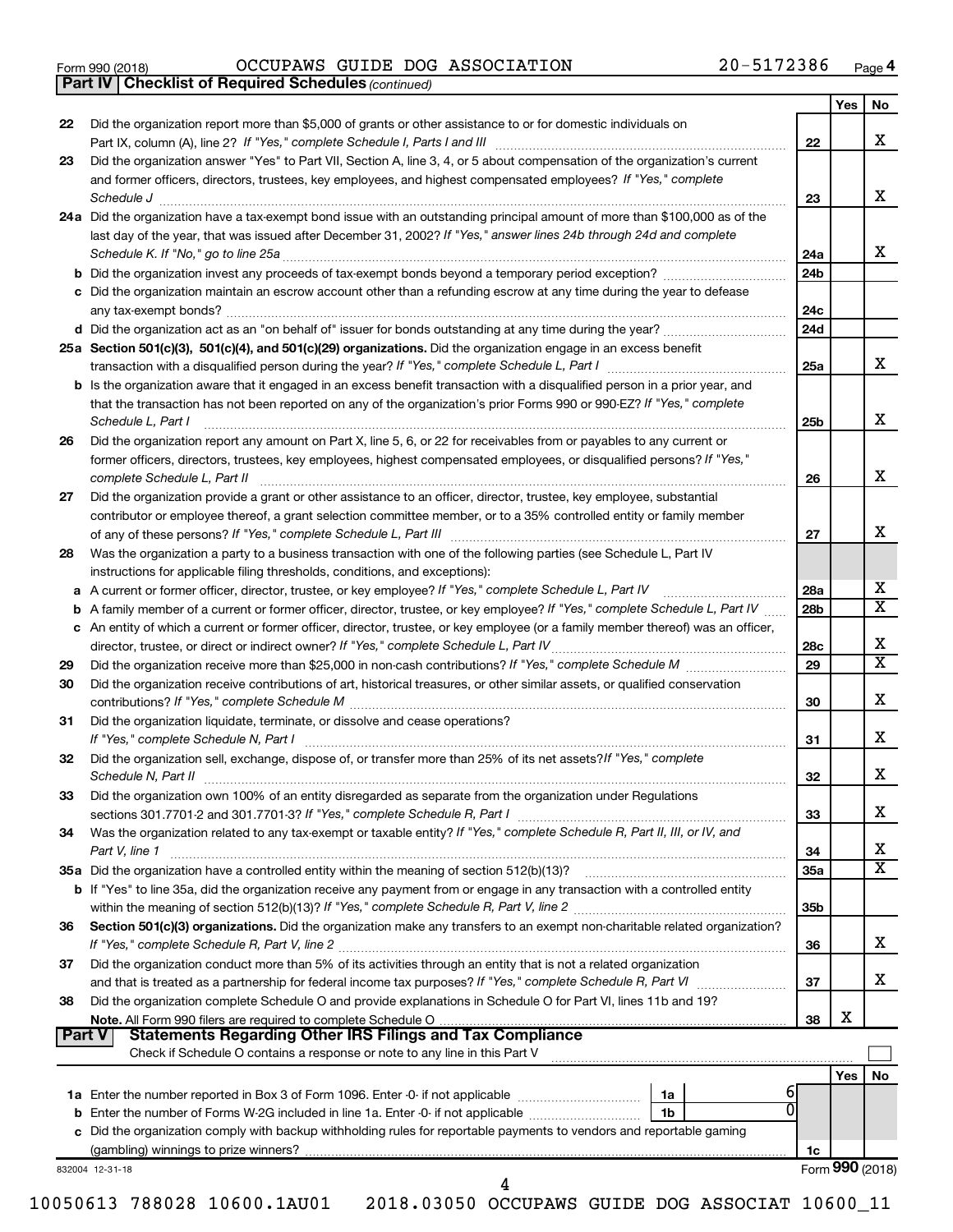|  | Form 990 (2018) |  |
|--|-----------------|--|
|  |                 |  |

*(continued)* **Part IV Checklist of Required Schedules**

Form 990 (2018)  $OCCUPANS$   $GUIDE$   $DOG$   $ASSOCIATION$   $20-5172386$   $Page$ 

|    |                                                                                                                                                                                                                                                 |                 | Yes             | No                      |
|----|-------------------------------------------------------------------------------------------------------------------------------------------------------------------------------------------------------------------------------------------------|-----------------|-----------------|-------------------------|
| 22 | Did the organization report more than \$5,000 of grants or other assistance to or for domestic individuals on                                                                                                                                   | 22              |                 | x                       |
| 23 | Did the organization answer "Yes" to Part VII, Section A, line 3, 4, or 5 about compensation of the organization's current                                                                                                                      |                 |                 |                         |
|    | and former officers, directors, trustees, key employees, and highest compensated employees? If "Yes," complete<br>Schedule J <b>www.communication.communication.communication.com</b>                                                           | 23              |                 | x                       |
|    | 24a Did the organization have a tax-exempt bond issue with an outstanding principal amount of more than \$100,000 as of the                                                                                                                     |                 |                 |                         |
|    | last day of the year, that was issued after December 31, 2002? If "Yes," answer lines 24b through 24d and complete                                                                                                                              | 24a             |                 | X                       |
|    |                                                                                                                                                                                                                                                 | 24b             |                 |                         |
|    | c Did the organization maintain an escrow account other than a refunding escrow at any time during the year to defease                                                                                                                          | 24c             |                 |                         |
|    |                                                                                                                                                                                                                                                 | 24d             |                 |                         |
|    | 25a Section 501(c)(3), 501(c)(4), and 501(c)(29) organizations. Did the organization engage in an excess benefit                                                                                                                                |                 |                 |                         |
|    | transaction with a disqualified person during the year? If "Yes," complete Schedule L, Part I manufaction with a disqualified person during the year? If "Yes," complete Schedule L, Part I                                                     | 25a             |                 | x                       |
|    | <b>b</b> Is the organization aware that it engaged in an excess benefit transaction with a disqualified person in a prior year, and                                                                                                             |                 |                 |                         |
|    | that the transaction has not been reported on any of the organization's prior Forms 990 or 990-EZ? If "Yes," complete<br>Schedule L, Part I                                                                                                     | 25b             |                 | x                       |
| 26 | Did the organization report any amount on Part X, line 5, 6, or 22 for receivables from or payables to any current or<br>former officers, directors, trustees, key employees, highest compensated employees, or disqualified persons? If "Yes," |                 |                 |                         |
|    | complete Schedule L, Part II                                                                                                                                                                                                                    | 26              |                 | x                       |
| 27 | Did the organization provide a grant or other assistance to an officer, director, trustee, key employee, substantial                                                                                                                            |                 |                 |                         |
|    | contributor or employee thereof, a grant selection committee member, or to a 35% controlled entity or family member                                                                                                                             |                 |                 | x                       |
|    |                                                                                                                                                                                                                                                 | 27              |                 |                         |
| 28 | Was the organization a party to a business transaction with one of the following parties (see Schedule L, Part IV<br>instructions for applicable filing thresholds, conditions, and exceptions):                                                |                 |                 |                         |
|    | a A current or former officer, director, trustee, or key employee? If "Yes," complete Schedule L, Part IV                                                                                                                                       | 28a             |                 | х                       |
|    | b A family member of a current or former officer, director, trustee, or key employee? If "Yes," complete Schedule L, Part IV                                                                                                                    | 28b             |                 | $\overline{\mathbf{X}}$ |
|    | c An entity of which a current or former officer, director, trustee, or key employee (or a family member thereof) was an officer,                                                                                                               |                 |                 |                         |
|    |                                                                                                                                                                                                                                                 | 28c             |                 | Х                       |
| 29 |                                                                                                                                                                                                                                                 | 29              |                 | $\overline{\textbf{x}}$ |
| 30 | Did the organization receive contributions of art, historical treasures, or other similar assets, or qualified conservation                                                                                                                     | 30              |                 | X                       |
| 31 | Did the organization liquidate, terminate, or dissolve and cease operations?                                                                                                                                                                    | 31              |                 | x                       |
| 32 | Did the organization sell, exchange, dispose of, or transfer more than 25% of its net assets? If "Yes," complete                                                                                                                                | 32              |                 | X                       |
| 33 | Did the organization own 100% of an entity disregarded as separate from the organization under Requlations                                                                                                                                      |                 |                 |                         |
|    |                                                                                                                                                                                                                                                 | 33              |                 | х                       |
| 34 | Was the organization related to any tax-exempt or taxable entity? If "Yes," complete Schedule R, Part II, III, or IV, and<br>Part V, line 1                                                                                                     | 34              |                 | х                       |
|    |                                                                                                                                                                                                                                                 | 35a             |                 | $\overline{\mathbf{X}}$ |
|    | <b>b</b> If "Yes" to line 35a, did the organization receive any payment from or engage in any transaction with a controlled entity                                                                                                              | 35 <sub>b</sub> |                 |                         |
| 36 | Section 501(c)(3) organizations. Did the organization make any transfers to an exempt non-charitable related organization?                                                                                                                      | 36              |                 | x                       |
| 37 | Did the organization conduct more than 5% of its activities through an entity that is not a related organization                                                                                                                                | 37              |                 | x                       |
| 38 | Did the organization complete Schedule O and provide explanations in Schedule O for Part VI, lines 11b and 19?                                                                                                                                  | 38              | X               |                         |
|    | <b>Statements Regarding Other IRS Filings and Tax Compliance</b><br>Part V<br>Check if Schedule O contains a response or note to any line in this Part V                                                                                        |                 |                 |                         |
|    |                                                                                                                                                                                                                                                 |                 | Yes             | No                      |
|    |                                                                                                                                                                                                                                                 |                 |                 |                         |
|    | 1a                                                                                                                                                                                                                                              |                 |                 |                         |
|    | 0<br>1 <sub>b</sub>                                                                                                                                                                                                                             |                 |                 |                         |
|    | c Did the organization comply with backup withholding rules for reportable payments to vendors and reportable gaming                                                                                                                            |                 |                 |                         |
|    |                                                                                                                                                                                                                                                 | 1c              | Form 990 (2018) |                         |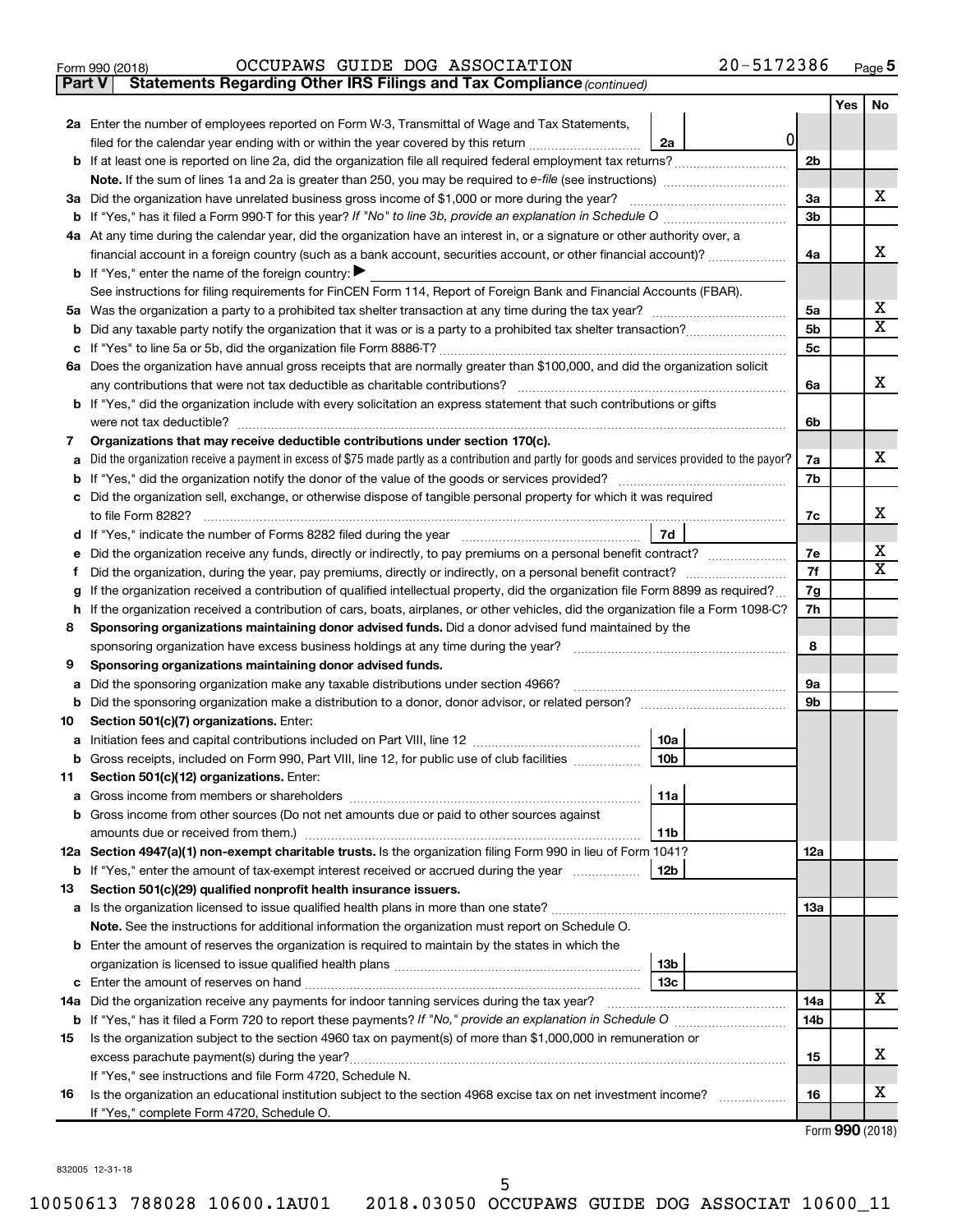|  | Form 990 (2018) |  |
|--|-----------------|--|
|  |                 |  |

**Part V** Statements Regarding Other IRS Filings and Tax Compliance (continued)

|        |                                                                                                                                                                                                                      |                | Yes | No                      |
|--------|----------------------------------------------------------------------------------------------------------------------------------------------------------------------------------------------------------------------|----------------|-----|-------------------------|
|        | 2a Enter the number of employees reported on Form W-3, Transmittal of Wage and Tax Statements,                                                                                                                       |                |     |                         |
|        | 0<br>filed for the calendar year ending with or within the year covered by this return<br>2a                                                                                                                         |                |     |                         |
|        |                                                                                                                                                                                                                      | 2b             |     |                         |
|        |                                                                                                                                                                                                                      |                |     |                         |
|        | 3a Did the organization have unrelated business gross income of \$1,000 or more during the year?                                                                                                                     | 3a             |     | х                       |
|        |                                                                                                                                                                                                                      | 3 <sub>b</sub> |     |                         |
|        | 4a At any time during the calendar year, did the organization have an interest in, or a signature or other authority over, a                                                                                         |                |     |                         |
|        | financial account in a foreign country (such as a bank account, securities account, or other financial account)?                                                                                                     | 4a             |     | х                       |
|        | <b>b</b> If "Yes," enter the name of the foreign country: $\blacktriangleright$                                                                                                                                      |                |     |                         |
|        | See instructions for filing requirements for FinCEN Form 114, Report of Foreign Bank and Financial Accounts (FBAR).                                                                                                  |                |     |                         |
| ьa     |                                                                                                                                                                                                                      | 5a             |     | х                       |
| b      |                                                                                                                                                                                                                      | 5 <sub>b</sub> |     | $\overline{\textbf{x}}$ |
| с      |                                                                                                                                                                                                                      | 5с             |     |                         |
|        | 6a Does the organization have annual gross receipts that are normally greater than \$100,000, and did the organization solicit                                                                                       |                |     |                         |
|        |                                                                                                                                                                                                                      | 6a             |     | x                       |
|        | <b>b</b> If "Yes," did the organization include with every solicitation an express statement that such contributions or gifts                                                                                        |                |     |                         |
|        | were not tax deductible?                                                                                                                                                                                             | 6b             |     |                         |
| 7      | Organizations that may receive deductible contributions under section 170(c).                                                                                                                                        |                |     | x.                      |
| a      | Did the organization receive a payment in excess of \$75 made partly as a contribution and partly for goods and services provided to the payor?                                                                      | 7a             |     |                         |
| b      | If "Yes," did the organization notify the donor of the value of the goods or services provided?<br>Did the organization sell, exchange, or otherwise dispose of tangible personal property for which it was required | 7b             |     |                         |
|        | to file Form 8282?                                                                                                                                                                                                   | 7с             |     | х                       |
|        | 7d                                                                                                                                                                                                                   |                |     |                         |
| d<br>е | Did the organization receive any funds, directly or indirectly, to pay premiums on a personal benefit contract?                                                                                                      | 7е             |     | x                       |
| f.     |                                                                                                                                                                                                                      | 7f             |     | $\overline{\mathbf{X}}$ |
| g      | If the organization received a contribution of qualified intellectual property, did the organization file Form 8899 as required?                                                                                     | 7g             |     |                         |
| h.     | If the organization received a contribution of cars, boats, airplanes, or other vehicles, did the organization file a Form 1098-C?                                                                                   | 7h             |     |                         |
| 8      | Sponsoring organizations maintaining donor advised funds. Did a donor advised fund maintained by the                                                                                                                 |                |     |                         |
|        | sponsoring organization have excess business holdings at any time during the year?                                                                                                                                   | 8              |     |                         |
| 9      | Sponsoring organizations maintaining donor advised funds.                                                                                                                                                            |                |     |                         |
| а      | Did the sponsoring organization make any taxable distributions under section 4966?                                                                                                                                   | 9а             |     |                         |
| b      |                                                                                                                                                                                                                      | 9b             |     |                         |
| 10     | Section 501(c)(7) organizations. Enter:                                                                                                                                                                              |                |     |                         |
| a      | 10a                                                                                                                                                                                                                  |                |     |                         |
|        | 10 <sub>b</sub><br>b Gross receipts, included on Form 990, Part VIII, line 12, for public use of club facilities                                                                                                     |                |     |                         |
| 11     | Section 501(c)(12) organizations. Enter:                                                                                                                                                                             |                |     |                         |
|        | 11a                                                                                                                                                                                                                  |                |     |                         |
|        | b Gross income from other sources (Do not net amounts due or paid to other sources against                                                                                                                           |                |     |                         |
|        | 11b                                                                                                                                                                                                                  |                |     |                         |
|        | 12a Section 4947(a)(1) non-exempt charitable trusts. Is the organization filing Form 990 in lieu of Form 1041?                                                                                                       | <b>12a</b>     |     |                         |
|        | b If "Yes," enter the amount of tax-exempt interest received or accrued during the year<br>12b                                                                                                                       |                |     |                         |
| 13     | Section 501(c)(29) qualified nonprofit health insurance issuers.                                                                                                                                                     |                |     |                         |
|        |                                                                                                                                                                                                                      | 13a            |     |                         |
|        | Note. See the instructions for additional information the organization must report on Schedule O.                                                                                                                    |                |     |                         |
|        | <b>b</b> Enter the amount of reserves the organization is required to maintain by the states in which the                                                                                                            |                |     |                         |
|        | 13b                                                                                                                                                                                                                  |                |     |                         |
|        | 13c                                                                                                                                                                                                                  |                |     | x                       |
|        | 14a Did the organization receive any payments for indoor tanning services during the tax year?                                                                                                                       | 14a            |     |                         |
|        |                                                                                                                                                                                                                      | 14b            |     |                         |
| 15     | Is the organization subject to the section 4960 tax on payment(s) of more than \$1,000,000 in remuneration or                                                                                                        |                |     | х                       |
|        |                                                                                                                                                                                                                      | 15             |     |                         |
|        | If "Yes," see instructions and file Form 4720, Schedule N.<br>Is the organization an educational institution subject to the section 4968 excise tax on net investment income?                                        | 16             |     | х                       |
| 16     | If "Yes," complete Form 4720, Schedule O.                                                                                                                                                                            |                |     |                         |
|        |                                                                                                                                                                                                                      |                |     |                         |

Form (2018) **990**

832005 12-31-18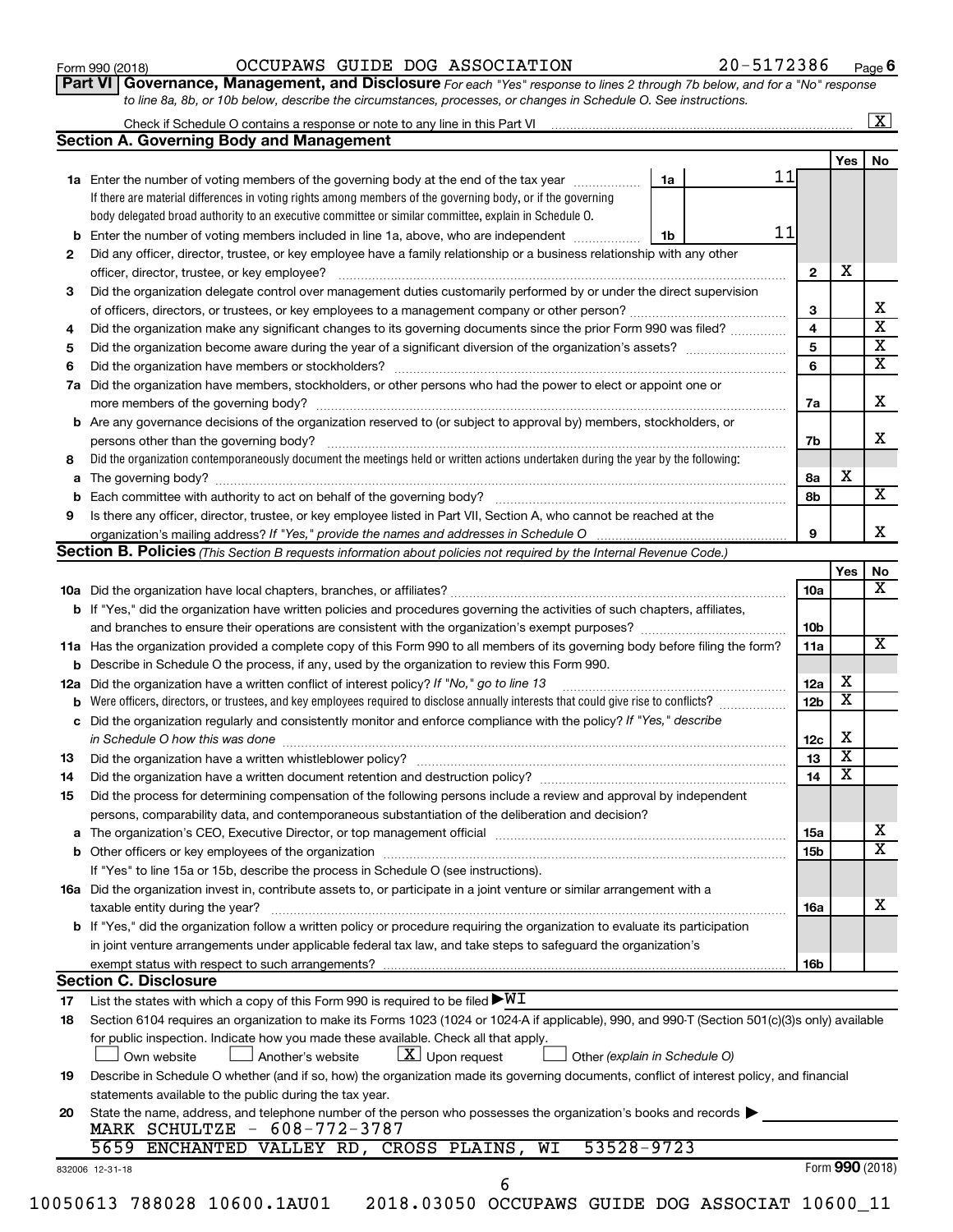| Form 990 (2018) |  |
|-----------------|--|
|-----------------|--|

## Form 990 (2018)  $OCCUPANS$   $GUIDE$   $DOG$   $ASSOCIATION$   $20-5172386$   $Page$

**Part VI** Governance, Management, and Disclosure For each "Yes" response to lines 2 through 7b below, and for a "No" response *to line 8a, 8b, or 10b below, describe the circumstances, processes, or changes in Schedule O. See instructions.*

|     | <b>Section A. Governing Body and Management</b>                                                                                                 |                               |    |                         |                              |  |
|-----|-------------------------------------------------------------------------------------------------------------------------------------------------|-------------------------------|----|-------------------------|------------------------------|--|
|     |                                                                                                                                                 |                               |    |                         | Yes                          |  |
|     | 1a Enter the number of voting members of the governing body at the end of the tax year                                                          | 1a                            | 11 |                         |                              |  |
|     | If there are material differences in voting rights among members of the governing body, or if the governing                                     |                               |    |                         |                              |  |
|     | body delegated broad authority to an executive committee or similar committee, explain in Schedule O.                                           |                               |    |                         |                              |  |
|     | <b>b</b> Enter the number of voting members included in line 1a, above, who are independent <i>manameron</i>                                    | 1b                            | 11 |                         |                              |  |
| 2   | Did any officer, director, trustee, or key employee have a family relationship or a business relationship with any other                        |                               |    |                         |                              |  |
|     | officer, director, trustee, or key employee?                                                                                                    |                               |    | $\overline{2}$          | х                            |  |
| 3   | Did the organization delegate control over management duties customarily performed by or under the direct supervision                           |                               |    |                         |                              |  |
|     |                                                                                                                                                 |                               |    | 3                       |                              |  |
| 4   | Did the organization make any significant changes to its governing documents since the prior Form 990 was filed?                                |                               |    | 4                       |                              |  |
| 5   |                                                                                                                                                 |                               |    | $\overline{\mathbf{5}}$ |                              |  |
| 6   |                                                                                                                                                 |                               |    | 6                       |                              |  |
| 7a  | Did the organization have members, stockholders, or other persons who had the power to elect or appoint one or                                  |                               |    |                         |                              |  |
|     |                                                                                                                                                 |                               |    | 7a                      |                              |  |
|     | <b>b</b> Are any governance decisions of the organization reserved to (or subject to approval by) members, stockholders, or                     |                               |    |                         |                              |  |
|     | persons other than the governing body?                                                                                                          |                               |    | 7b                      |                              |  |
| 8   | Did the organization contemporaneously document the meetings held or written actions undertaken during the year by the following:               |                               |    |                         |                              |  |
|     |                                                                                                                                                 |                               |    | 8a                      | х                            |  |
|     |                                                                                                                                                 |                               |    | 8b                      |                              |  |
| 9   | Is there any officer, director, trustee, or key employee listed in Part VII, Section A, who cannot be reached at the                            |                               |    |                         |                              |  |
|     |                                                                                                                                                 |                               |    | 9                       |                              |  |
|     | Section B. Policies (This Section B requests information about policies not required by the Internal Revenue Code.)                             |                               |    |                         |                              |  |
|     |                                                                                                                                                 |                               |    |                         | Yes                          |  |
|     |                                                                                                                                                 |                               |    | 10a                     |                              |  |
|     | <b>b</b> If "Yes," did the organization have written policies and procedures governing the activities of such chapters, affiliates,             |                               |    |                         |                              |  |
|     |                                                                                                                                                 |                               |    | 10 <sub>b</sub>         |                              |  |
|     |                                                                                                                                                 |                               |    | 11a                     |                              |  |
|     | 11a Has the organization provided a complete copy of this Form 990 to all members of its governing body before filing the form?                 |                               |    |                         |                              |  |
|     | <b>b</b> Describe in Schedule O the process, if any, used by the organization to review this Form 990.                                          |                               |    |                         | x                            |  |
| 12a | Did the organization have a written conflict of interest policy? If "No," go to line 13                                                         |                               |    | 12a                     | $\overline{\textbf{x}}$      |  |
| b   | Were officers, directors, or trustees, and key employees required to disclose annually interests that could give rise to conflicts?             |                               |    | 12 <sub>b</sub>         |                              |  |
|     | c Did the organization regularly and consistently monitor and enforce compliance with the policy? If "Yes," describe                            |                               |    |                         |                              |  |
|     | in Schedule O how this was done manufactured and continuum and contact the way to the set of the set of the schedule O how this was done        |                               |    | 12c                     | х<br>$\overline{\textbf{x}}$ |  |
| 13  |                                                                                                                                                 |                               |    | 13                      |                              |  |
| 14  | Did the organization have a written document retention and destruction policy? [11] manufaction manufaction in                                  |                               |    | 14                      | $\overline{\textbf{x}}$      |  |
| 15  | Did the process for determining compensation of the following persons include a review and approval by independent                              |                               |    |                         |                              |  |
|     | persons, comparability data, and contemporaneous substantiation of the deliberation and decision?                                               |                               |    |                         |                              |  |
|     |                                                                                                                                                 |                               |    | 15a                     |                              |  |
|     |                                                                                                                                                 |                               |    | 15b                     |                              |  |
|     | If "Yes" to line 15a or 15b, describe the process in Schedule O (see instructions).                                                             |                               |    |                         |                              |  |
|     | 16a Did the organization invest in, contribute assets to, or participate in a joint venture or similar arrangement with a                       |                               |    |                         |                              |  |
|     | taxable entity during the year?                                                                                                                 |                               |    | 16a                     |                              |  |
|     | <b>b</b> If "Yes," did the organization follow a written policy or procedure requiring the organization to evaluate its participation           |                               |    |                         |                              |  |
|     | in joint venture arrangements under applicable federal tax law, and take steps to safeguard the organization's                                  |                               |    |                         |                              |  |
|     | exempt status with respect to such arrangements?                                                                                                |                               |    | 16b                     |                              |  |
|     | <b>Section C. Disclosure</b>                                                                                                                    |                               |    |                         |                              |  |
| 17  | List the states with which a copy of this Form 990 is required to be filed $\blacktriangleright\texttt{WI}$                                     |                               |    |                         |                              |  |
| 18  | Section 6104 requires an organization to make its Forms 1023 (1024 or 1024 A if applicable), 990, and 990-T (Section 501(c)(3)s only) available |                               |    |                         |                              |  |
|     | for public inspection. Indicate how you made these available. Check all that apply.                                                             |                               |    |                         |                              |  |
|     | $\lfloor x \rfloor$ Upon request<br>Own website<br>Another's website                                                                            | Other (explain in Schedule O) |    |                         |                              |  |
| 19  | Describe in Schedule O whether (and if so, how) the organization made its governing documents, conflict of interest policy, and financial       |                               |    |                         |                              |  |
|     | statements available to the public during the tax year.                                                                                         |                               |    |                         |                              |  |
|     | State the name, address, and telephone number of the person who possesses the organization's books and records                                  |                               |    |                         |                              |  |
| 20  |                                                                                                                                                 |                               |    |                         |                              |  |
|     | MARK SCHULTZE - 608-772-3787                                                                                                                    |                               |    |                         |                              |  |
|     | 5659 ENCHANTED VALLEY RD, CROSS PLAINS, WI                                                                                                      | 53528-9723                    |    |                         |                              |  |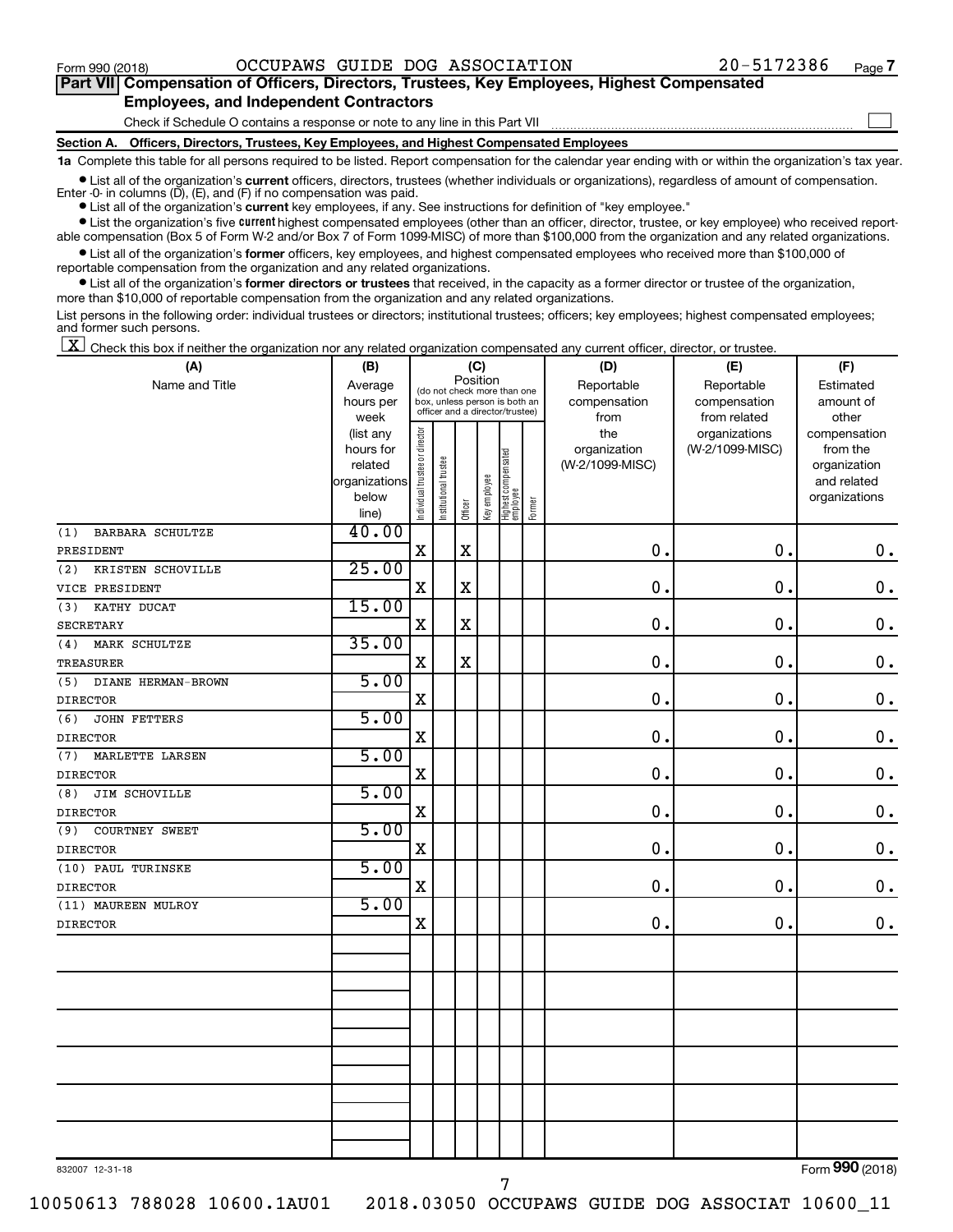$\Box$ 

| Part VII Compensation of Officers, Directors, Trustees, Key Employees, Highest Compensated |
|--------------------------------------------------------------------------------------------|
| <b>Employees, and Independent Contractors</b>                                              |

Check if Schedule O contains a response or note to any line in this Part VII

**Section A. Officers, Directors, Trustees, Key Employees, and Highest Compensated Employees**

**1a**  Complete this table for all persons required to be listed. Report compensation for the calendar year ending with or within the organization's tax year.

**•** List all of the organization's current officers, directors, trustees (whether individuals or organizations), regardless of amount of compensation. Enter -0- in columns  $(D)$ ,  $(E)$ , and  $(F)$  if no compensation was paid.

**•** List all of the organization's **current** key employees, if any. See instructions for definition of "key employee."

**•** List the organization's five current highest compensated employees (other than an officer, director, trustee, or key employee) who received reportable compensation (Box 5 of Form W-2 and/or Box 7 of Form 1099-MISC) of more than \$100,000 from the organization and any related organizations.

**•** List all of the organization's former officers, key employees, and highest compensated employees who received more than \$100,000 of reportable compensation from the organization and any related organizations.

**•** List all of the organization's former directors or trustees that received, in the capacity as a former director or trustee of the organization, more than \$10,000 of reportable compensation from the organization and any related organizations.

List persons in the following order: individual trustees or directors; institutional trustees; officers; key employees; highest compensated employees; and former such persons.

 $\boxed{\textbf{X}}$  Check this box if neither the organization nor any related organization compensated any current officer, director, or trustee.

| (A)                          | (B)                  | (C)                                     |                                                                  | (D)         | (E)          | (F)                             |           |                                 |                 |                             |
|------------------------------|----------------------|-----------------------------------------|------------------------------------------------------------------|-------------|--------------|---------------------------------|-----------|---------------------------------|-----------------|-----------------------------|
| Name and Title               | Average              | Position<br>(do not check more than one |                                                                  | Reportable  | Reportable   | Estimated                       |           |                                 |                 |                             |
|                              | hours per            |                                         | box, unless person is both an<br>officer and a director/trustee) |             | compensation | compensation                    | amount of |                                 |                 |                             |
|                              | week                 |                                         |                                                                  |             |              |                                 |           | from                            | from related    | other                       |
|                              | (list any            |                                         |                                                                  |             |              |                                 |           | the                             | organizations   | compensation                |
|                              | hours for<br>related |                                         |                                                                  |             |              |                                 |           | organization<br>(W-2/1099-MISC) | (W-2/1099-MISC) | from the                    |
|                              | organizations        |                                         |                                                                  |             |              |                                 |           |                                 |                 | organization<br>and related |
|                              | below                |                                         |                                                                  |             |              |                                 |           |                                 |                 | organizations               |
|                              | line)                | Individual trustee or director          | Institutional trustee                                            | Officer     | Key employee | Highest compensated<br>employee | Former    |                                 |                 |                             |
| (1)<br>BARBARA SCHULTZE      | 40.00                |                                         |                                                                  |             |              |                                 |           |                                 |                 |                             |
| PRESIDENT                    |                      | $\mathbf X$                             |                                                                  | $\mathbf X$ |              |                                 |           | $\mathbf 0$ .                   | $\mathbf 0$ .   | $\mathbf 0$ .               |
| (2)<br>KRISTEN SCHOVILLE     | 25.00                |                                         |                                                                  |             |              |                                 |           |                                 |                 |                             |
| VICE PRESIDENT               |                      | $\mathbf X$                             |                                                                  | $\mathbf X$ |              |                                 |           | 0                               | $\mathbf 0$ .   | $\mathbf 0$ .               |
| KATHY DUCAT<br>(3)           | 15.00                |                                         |                                                                  |             |              |                                 |           |                                 |                 |                             |
| <b>SECRETARY</b>             |                      | $\mathbf X$                             |                                                                  | $\mathbf X$ |              |                                 |           | $\mathbf 0$                     | $\mathbf 0$ .   | $\mathbf 0$ .               |
| (4)<br>MARK SCHULTZE         | 35.00                |                                         |                                                                  |             |              |                                 |           |                                 |                 |                             |
| TREASURER                    |                      | $\mathbf X$                             |                                                                  | $\mathbf X$ |              |                                 |           | $\mathbf 0$ .                   | $\mathbf 0$ .   | $\mathbf 0$ .               |
| DIANE HERMAN-BROWN<br>(5)    | 5.00                 |                                         |                                                                  |             |              |                                 |           |                                 |                 |                             |
| <b>DIRECTOR</b>              |                      | X                                       |                                                                  |             |              |                                 |           | $\mathbf 0$ .                   | $\mathbf 0$ .   | $\mathbf 0$ .               |
| (6)<br>JOHN FETTERS          | 5.00                 |                                         |                                                                  |             |              |                                 |           |                                 |                 |                             |
| <b>DIRECTOR</b>              |                      | $\mathbf X$                             |                                                                  |             |              |                                 |           | $\mathbf 0$                     | 0.              | $\mathbf 0$ .               |
| MARLETTE LARSEN<br>(7)       | 5.00                 |                                         |                                                                  |             |              |                                 |           |                                 |                 |                             |
| <b>DIRECTOR</b>              |                      | $\mathbf X$                             |                                                                  |             |              |                                 |           | $\mathbf 0$ .                   | $\mathbf 0$ .   | $\mathbf 0$ .               |
| <b>JIM SCHOVILLE</b><br>(8)  | 5.00                 |                                         |                                                                  |             |              |                                 |           |                                 |                 |                             |
| <b>DIRECTOR</b>              |                      | $\mathbf X$                             |                                                                  |             |              |                                 |           | 0.                              | 0.              | $\mathbf 0$ .               |
| <b>COURTNEY SWEET</b><br>(9) | 5.00                 |                                         |                                                                  |             |              |                                 |           |                                 |                 |                             |
| <b>DIRECTOR</b>              |                      | $\mathbf X$                             |                                                                  |             |              |                                 |           | 0.                              | 0.              | $\mathbf 0$ .               |
| (10) PAUL TURINSKE           | 5.00                 |                                         |                                                                  |             |              |                                 |           |                                 |                 |                             |
| <b>DIRECTOR</b>              |                      | $\mathbf X$                             |                                                                  |             |              |                                 |           | $\mathbf 0$ .                   | 0.              | $\mathbf 0$ .               |
| (11) MAUREEN MULROY          | 5.00                 |                                         |                                                                  |             |              |                                 |           |                                 |                 |                             |
| <b>DIRECTOR</b>              |                      | $\mathbf X$                             |                                                                  |             |              |                                 |           | 0.                              | $\mathbf 0$ .   | $\mathbf 0$ .               |
|                              |                      |                                         |                                                                  |             |              |                                 |           |                                 |                 |                             |
|                              |                      |                                         |                                                                  |             |              |                                 |           |                                 |                 |                             |
|                              |                      |                                         |                                                                  |             |              |                                 |           |                                 |                 |                             |
|                              |                      |                                         |                                                                  |             |              |                                 |           |                                 |                 |                             |
|                              |                      |                                         |                                                                  |             |              |                                 |           |                                 |                 |                             |
|                              |                      |                                         |                                                                  |             |              |                                 |           |                                 |                 |                             |
|                              |                      |                                         |                                                                  |             |              |                                 |           |                                 |                 |                             |
|                              |                      |                                         |                                                                  |             |              |                                 |           |                                 |                 |                             |
|                              |                      |                                         |                                                                  |             |              |                                 |           |                                 |                 |                             |
|                              |                      |                                         |                                                                  |             |              |                                 |           |                                 |                 |                             |
|                              |                      |                                         |                                                                  |             |              |                                 |           |                                 |                 |                             |
|                              |                      |                                         |                                                                  |             |              |                                 |           |                                 |                 |                             |

832007 12-31-18

10050613 788028 10600.1AU01 2018.03050 OCCUPAWS GUIDE DOG ASSOCIAT 10600\_11

7

Form (2018) **990**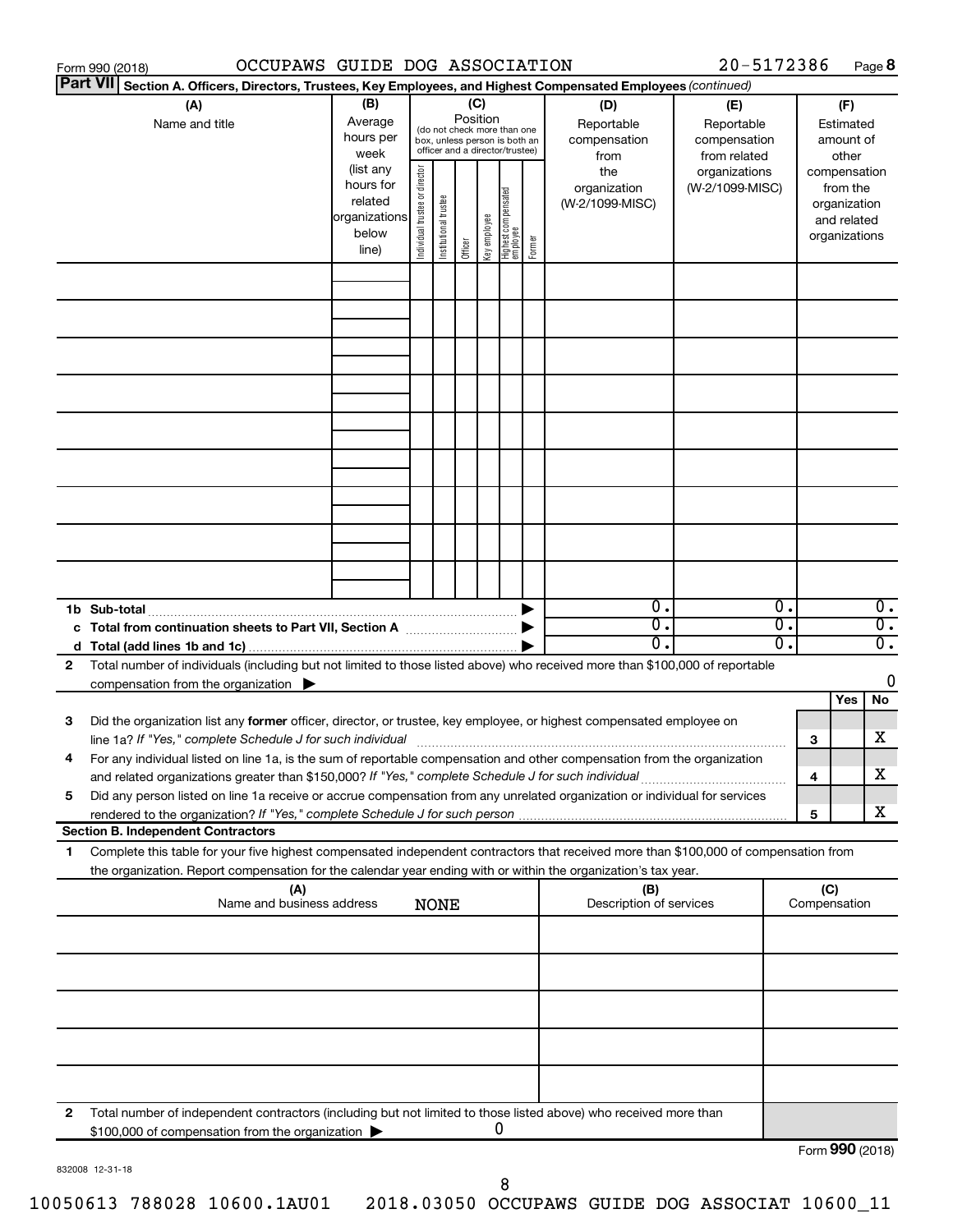|                 | OCCUPAWS GUIDE DOG ASSOCIATION<br>Form 990 (2018)                                                                                    |               |                                |                       |          |              |                                                              |        |                         | 20-5172386      |    |                 |              | Page 8           |
|-----------------|--------------------------------------------------------------------------------------------------------------------------------------|---------------|--------------------------------|-----------------------|----------|--------------|--------------------------------------------------------------|--------|-------------------------|-----------------|----|-----------------|--------------|------------------|
| <b>Part VII</b> | Section A. Officers, Directors, Trustees, Key Employees, and Highest Compensated Employees (continued)                               |               |                                |                       |          |              |                                                              |        |                         |                 |    |                 |              |                  |
|                 | (A)                                                                                                                                  | (B)           |                                |                       |          | (C)          |                                                              |        | (D)                     | (E)             |    |                 | (F)          |                  |
|                 | Name and title                                                                                                                       | Average       |                                |                       | Position |              |                                                              |        | Reportable              | Reportable      |    |                 | Estimated    |                  |
|                 |                                                                                                                                      | hours per     |                                |                       |          |              | (do not check more than one<br>box, unless person is both an |        | compensation            | compensation    |    |                 | amount of    |                  |
|                 |                                                                                                                                      | week          |                                |                       |          |              | officer and a director/trustee)                              |        | from                    | from related    |    |                 | other        |                  |
|                 |                                                                                                                                      | (list any     |                                |                       |          |              |                                                              |        | the                     | organizations   |    | compensation    |              |                  |
|                 |                                                                                                                                      | hours for     |                                |                       |          |              |                                                              |        | organization            | (W-2/1099-MISC) |    |                 | from the     |                  |
|                 |                                                                                                                                      | related       |                                |                       |          |              |                                                              |        | (W-2/1099-MISC)         |                 |    |                 | organization |                  |
|                 |                                                                                                                                      | organizations | Individual trustee or director | Institutional trustee |          | Key employee |                                                              |        |                         |                 |    |                 | and related  |                  |
|                 |                                                                                                                                      | below         |                                |                       |          |              |                                                              | Former |                         |                 |    | organizations   |              |                  |
|                 |                                                                                                                                      | line)         |                                |                       | Officer  |              | Highest compensated<br>  employee                            |        |                         |                 |    |                 |              |                  |
|                 |                                                                                                                                      |               |                                |                       |          |              |                                                              |        |                         |                 |    |                 |              |                  |
|                 |                                                                                                                                      |               |                                |                       |          |              |                                                              |        |                         |                 |    |                 |              |                  |
|                 |                                                                                                                                      |               |                                |                       |          |              |                                                              |        |                         |                 |    |                 |              |                  |
|                 |                                                                                                                                      |               |                                |                       |          |              |                                                              |        |                         |                 |    |                 |              |                  |
|                 |                                                                                                                                      |               |                                |                       |          |              |                                                              |        |                         |                 |    |                 |              |                  |
|                 |                                                                                                                                      |               |                                |                       |          |              |                                                              |        |                         |                 |    |                 |              |                  |
|                 |                                                                                                                                      |               |                                |                       |          |              |                                                              |        |                         |                 |    |                 |              |                  |
|                 |                                                                                                                                      |               |                                |                       |          |              |                                                              |        |                         |                 |    |                 |              |                  |
|                 |                                                                                                                                      |               |                                |                       |          |              |                                                              |        |                         |                 |    |                 |              |                  |
|                 |                                                                                                                                      |               |                                |                       |          |              |                                                              |        |                         |                 |    |                 |              |                  |
|                 |                                                                                                                                      |               |                                |                       |          |              |                                                              |        |                         |                 |    |                 |              |                  |
|                 |                                                                                                                                      |               |                                |                       |          |              |                                                              |        |                         |                 |    |                 |              |                  |
|                 |                                                                                                                                      |               |                                |                       |          |              |                                                              |        |                         |                 |    |                 |              |                  |
|                 |                                                                                                                                      |               |                                |                       |          |              |                                                              |        |                         |                 |    |                 |              |                  |
|                 |                                                                                                                                      |               |                                |                       |          |              |                                                              |        |                         |                 |    |                 |              |                  |
|                 |                                                                                                                                      |               |                                |                       |          |              |                                                              |        |                         |                 |    |                 |              |                  |
|                 |                                                                                                                                      |               |                                |                       |          |              |                                                              |        |                         |                 |    |                 |              |                  |
|                 |                                                                                                                                      |               |                                |                       |          |              |                                                              |        |                         |                 |    |                 |              |                  |
|                 |                                                                                                                                      |               |                                |                       |          |              |                                                              |        |                         |                 |    |                 |              |                  |
|                 | 1b Sub-total                                                                                                                         |               |                                |                       |          |              |                                                              |        | $\mathbf{0}$ .          |                 | 0. |                 |              | $\overline{0}$ . |
|                 | c Total from continuation sheets to Part VII, Section A manufactured by                                                              |               |                                |                       |          |              |                                                              |        | $\overline{0}$ .        |                 | σ. |                 |              | $\overline{0}$ . |
|                 |                                                                                                                                      |               |                                |                       |          |              |                                                              |        | 0.                      |                 | О. |                 |              | $\overline{0}$ . |
| 2               | Total number of individuals (including but not limited to those listed above) who received more than \$100,000 of reportable         |               |                                |                       |          |              |                                                              |        |                         |                 |    |                 |              |                  |
|                 | compensation from the organization $\blacktriangleright$                                                                             |               |                                |                       |          |              |                                                              |        |                         |                 |    |                 |              | 0                |
|                 |                                                                                                                                      |               |                                |                       |          |              |                                                              |        |                         |                 |    |                 | Yes          | No               |
| 3               | Did the organization list any former officer, director, or trustee, key employee, or highest compensated employee on                 |               |                                |                       |          |              |                                                              |        |                         |                 |    |                 |              |                  |
|                 | line 1a? If "Yes," complete Schedule J for such individual manufactured content to the set of the set of the s                       |               |                                |                       |          |              |                                                              |        |                         |                 |    | 3               |              | х                |
|                 | For any individual listed on line 1a, is the sum of reportable compensation and other compensation from the organization             |               |                                |                       |          |              |                                                              |        |                         |                 |    |                 |              |                  |
|                 | and related organizations greater than \$150,000? If "Yes," complete Schedule J for such individual                                  |               |                                |                       |          |              |                                                              |        |                         |                 |    | 4               |              | х                |
| 5               | Did any person listed on line 1a receive or accrue compensation from any unrelated organization or individual for services           |               |                                |                       |          |              |                                                              |        |                         |                 |    |                 |              |                  |
|                 |                                                                                                                                      |               |                                |                       |          |              |                                                              |        |                         |                 |    | 5               |              | х                |
|                 | <b>Section B. Independent Contractors</b>                                                                                            |               |                                |                       |          |              |                                                              |        |                         |                 |    |                 |              |                  |
| 1.              | Complete this table for your five highest compensated independent contractors that received more than \$100,000 of compensation from |               |                                |                       |          |              |                                                              |        |                         |                 |    |                 |              |                  |
|                 | the organization. Report compensation for the calendar year ending with or within the organization's tax year.                       |               |                                |                       |          |              |                                                              |        |                         |                 |    |                 |              |                  |
|                 | (A)                                                                                                                                  |               |                                |                       |          |              |                                                              |        | (B)                     |                 |    | (C)             |              |                  |
|                 | Name and business address                                                                                                            |               |                                | <b>NONE</b>           |          |              |                                                              |        | Description of services |                 |    | Compensation    |              |                  |
|                 |                                                                                                                                      |               |                                |                       |          |              |                                                              |        |                         |                 |    |                 |              |                  |
|                 |                                                                                                                                      |               |                                |                       |          |              |                                                              |        |                         |                 |    |                 |              |                  |
|                 |                                                                                                                                      |               |                                |                       |          |              |                                                              |        |                         |                 |    |                 |              |                  |
|                 |                                                                                                                                      |               |                                |                       |          |              |                                                              |        |                         |                 |    |                 |              |                  |
|                 |                                                                                                                                      |               |                                |                       |          |              |                                                              |        |                         |                 |    |                 |              |                  |
|                 |                                                                                                                                      |               |                                |                       |          |              |                                                              |        |                         |                 |    |                 |              |                  |
|                 |                                                                                                                                      |               |                                |                       |          |              |                                                              |        |                         |                 |    |                 |              |                  |
|                 |                                                                                                                                      |               |                                |                       |          |              |                                                              |        |                         |                 |    |                 |              |                  |
|                 |                                                                                                                                      |               |                                |                       |          |              |                                                              |        |                         |                 |    |                 |              |                  |
|                 |                                                                                                                                      |               |                                |                       |          |              |                                                              |        |                         |                 |    |                 |              |                  |
|                 |                                                                                                                                      |               |                                |                       |          |              |                                                              |        |                         |                 |    |                 |              |                  |
| 2               | Total number of independent contractors (including but not limited to those listed above) who received more than                     |               |                                |                       |          |              |                                                              |        |                         |                 |    |                 |              |                  |
|                 | \$100,000 of compensation from the organization                                                                                      |               |                                |                       |          |              | 0                                                            |        |                         |                 |    |                 |              |                  |
|                 |                                                                                                                                      |               |                                |                       |          |              |                                                              |        |                         |                 |    | Form 990 (2018) |              |                  |

832008 12-31-18

Form **990** (2018)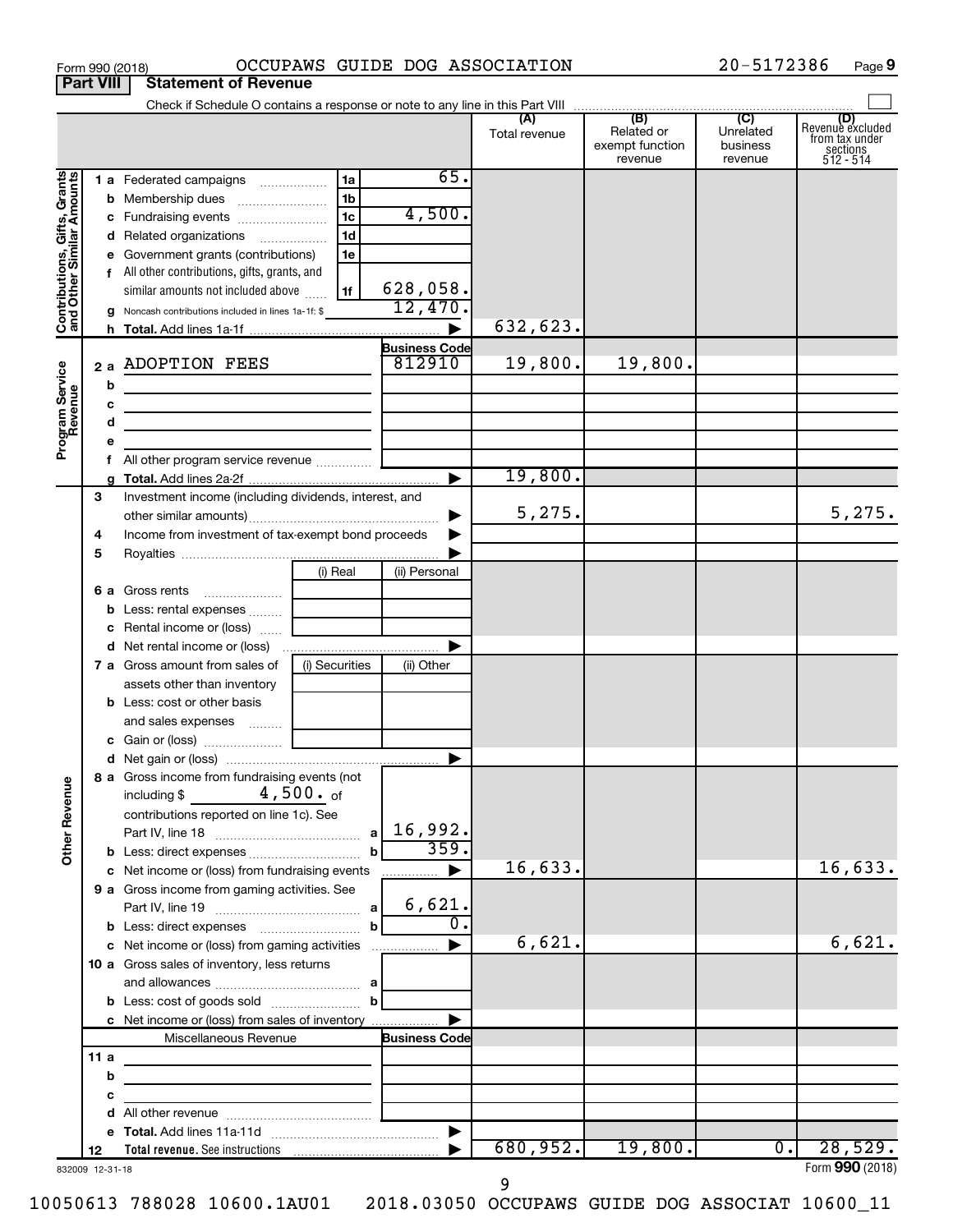| Part VIII                                                 |      |   | Statement or Revenue                                                                                                 |                    |                      |                      |                                                 |                                         |                                                                    |
|-----------------------------------------------------------|------|---|----------------------------------------------------------------------------------------------------------------------|--------------------|----------------------|----------------------|-------------------------------------------------|-----------------------------------------|--------------------------------------------------------------------|
|                                                           |      |   |                                                                                                                      |                    |                      | (A)<br>Total revenue | (B)<br>Related or<br>exempt function<br>revenue | (C)<br>Unrelated<br>business<br>revenue | (D)<br>Revenue excluded<br>from tax under<br>sections<br>512 - 514 |
|                                                           |      |   | 1 a Federated campaigns                                                                                              | 1a                 | 65.                  |                      |                                                 |                                         |                                                                    |
| Contributions, Gifts, Grants<br>and Other Similar Amounts |      |   | <b>b</b> Membership dues                                                                                             | 1 <sub>b</sub>     |                      |                      |                                                 |                                         |                                                                    |
|                                                           |      |   | c Fundraising events                                                                                                 | 1 <sub>c</sub>     | 4,500.               |                      |                                                 |                                         |                                                                    |
|                                                           |      |   | d Related organizations                                                                                              | 1 <sub>d</sub>     |                      |                      |                                                 |                                         |                                                                    |
|                                                           |      |   | e Government grants (contributions)                                                                                  | 1e                 |                      |                      |                                                 |                                         |                                                                    |
|                                                           |      |   | f All other contributions, gifts, grants, and<br>similar amounts not included above                                  | l 1f               | 628,058.             |                      |                                                 |                                         |                                                                    |
|                                                           |      |   | g Noncash contributions included in lines 1a-1f: \$                                                                  |                    | 12,470.              |                      |                                                 |                                         |                                                                    |
|                                                           |      |   |                                                                                                                      |                    |                      | 632,623.             |                                                 |                                         |                                                                    |
|                                                           |      |   |                                                                                                                      |                    | <b>Business Code</b> |                      |                                                 |                                         |                                                                    |
|                                                           |      |   | 2 a ADOPTION FEES                                                                                                    |                    | 812910               | 19,800.              | 19,800.                                         |                                         |                                                                    |
|                                                           |      | b |                                                                                                                      |                    |                      |                      |                                                 |                                         |                                                                    |
|                                                           |      | c | <u> 1989 - Johann Barbara, martin amerikan basar dan basa dan basar dan basar dalam basa dalam basa dan basa dan</u> |                    |                      |                      |                                                 |                                         |                                                                    |
|                                                           |      | d | <u> 1989 - Johann John Stein, markin fan it ferstjer fan it ferstjer fan it ferstjer fan it ferstjer fan it fers</u> |                    |                      |                      |                                                 |                                         |                                                                    |
| Program Service<br>Revenue                                |      | e |                                                                                                                      |                    |                      |                      |                                                 |                                         |                                                                    |
|                                                           |      |   |                                                                                                                      |                    |                      |                      |                                                 |                                         |                                                                    |
|                                                           |      |   |                                                                                                                      |                    |                      | 19,800.              |                                                 |                                         |                                                                    |
|                                                           | З    |   | Investment income (including dividends, interest, and                                                                |                    |                      | 5,275.               |                                                 |                                         | 5,275.                                                             |
|                                                           | 4    |   | Income from investment of tax-exempt bond proceeds                                                                   |                    | ▶                    |                      |                                                 |                                         |                                                                    |
|                                                           | 5    |   |                                                                                                                      |                    |                      |                      |                                                 |                                         |                                                                    |
|                                                           |      |   |                                                                                                                      | (i) Real           | (ii) Personal        |                      |                                                 |                                         |                                                                    |
|                                                           |      |   | 6 a Gross rents                                                                                                      |                    |                      |                      |                                                 |                                         |                                                                    |
|                                                           |      |   | <b>b</b> Less: rental expenses                                                                                       |                    |                      |                      |                                                 |                                         |                                                                    |
|                                                           |      |   | c Rental income or (loss)                                                                                            |                    |                      |                      |                                                 |                                         |                                                                    |
|                                                           |      |   |                                                                                                                      |                    |                      |                      |                                                 |                                         |                                                                    |
|                                                           |      |   | <b>7 a</b> Gross amount from sales of                                                                                | (i) Securities     | (ii) Other           |                      |                                                 |                                         |                                                                    |
|                                                           |      |   | assets other than inventory                                                                                          |                    |                      |                      |                                                 |                                         |                                                                    |
|                                                           |      |   | <b>b</b> Less: cost or other basis                                                                                   |                    |                      |                      |                                                 |                                         |                                                                    |
|                                                           |      |   | and sales expenses                                                                                                   |                    |                      |                      |                                                 |                                         |                                                                    |
|                                                           |      |   |                                                                                                                      |                    |                      |                      |                                                 |                                         |                                                                    |
|                                                           |      |   | 8 a Gross income from fundraising events (not                                                                        |                    |                      |                      |                                                 |                                         |                                                                    |
| <b>Other Revenue</b>                                      |      |   | including \$ $4,500.$ of<br>contributions reported on line 1c). See                                                  |                    |                      |                      |                                                 |                                         |                                                                    |
|                                                           |      |   |                                                                                                                      | a                  | 16,992.              |                      |                                                 |                                         |                                                                    |
|                                                           |      |   |                                                                                                                      | $\mathbf b$        | 359.                 |                      |                                                 |                                         |                                                                    |
|                                                           |      |   | c Net income or (loss) from fundraising events                                                                       |                    | .                    | 16,633.              |                                                 |                                         | 16,633.                                                            |
|                                                           |      |   | 9 a Gross income from gaming activities. See                                                                         |                    | 6,621.               |                      |                                                 |                                         |                                                                    |
|                                                           |      |   |                                                                                                                      | a <br>$\mathbf{b}$ | 0.                   |                      |                                                 |                                         |                                                                    |
|                                                           |      |   | c Net income or (loss) from gaming activities                                                                        |                    |                      | 6,621.               |                                                 |                                         | 6,621.                                                             |
|                                                           |      |   | 10 a Gross sales of inventory, less returns                                                                          |                    |                      |                      |                                                 |                                         |                                                                    |
|                                                           |      |   |                                                                                                                      |                    |                      |                      |                                                 |                                         |                                                                    |
|                                                           |      |   |                                                                                                                      | $\mathbf{b}$       |                      |                      |                                                 |                                         |                                                                    |
|                                                           |      |   | c Net income or (loss) from sales of inventory                                                                       |                    |                      |                      |                                                 |                                         |                                                                    |
|                                                           |      |   | Miscellaneous Revenue                                                                                                |                    | <b>Business Code</b> |                      |                                                 |                                         |                                                                    |
|                                                           | 11 a |   | <u> 1989 - Johann John Stein, markin film ar yn y brenin y brenin y brenin y brenin y brenin y brenin y brenin y</u> |                    |                      |                      |                                                 |                                         |                                                                    |
|                                                           |      | b |                                                                                                                      |                    |                      |                      |                                                 |                                         |                                                                    |
|                                                           |      | с |                                                                                                                      |                    |                      |                      |                                                 |                                         |                                                                    |
|                                                           |      |   |                                                                                                                      |                    |                      |                      |                                                 |                                         |                                                                    |
|                                                           |      |   |                                                                                                                      |                    |                      | 680,952.             | 19,800.                                         | 0.1                                     | 28,529.                                                            |
| 832009 12-31-18                                           | 12   |   |                                                                                                                      |                    |                      |                      |                                                 |                                         | Form 990 (2018)                                                    |

Form 990 (2018) OCCUPAWS GUIDE DOG ASSOCIATION 20-5172386 Page

**9**

832009 12-31-18

**Part 1990 (2018)**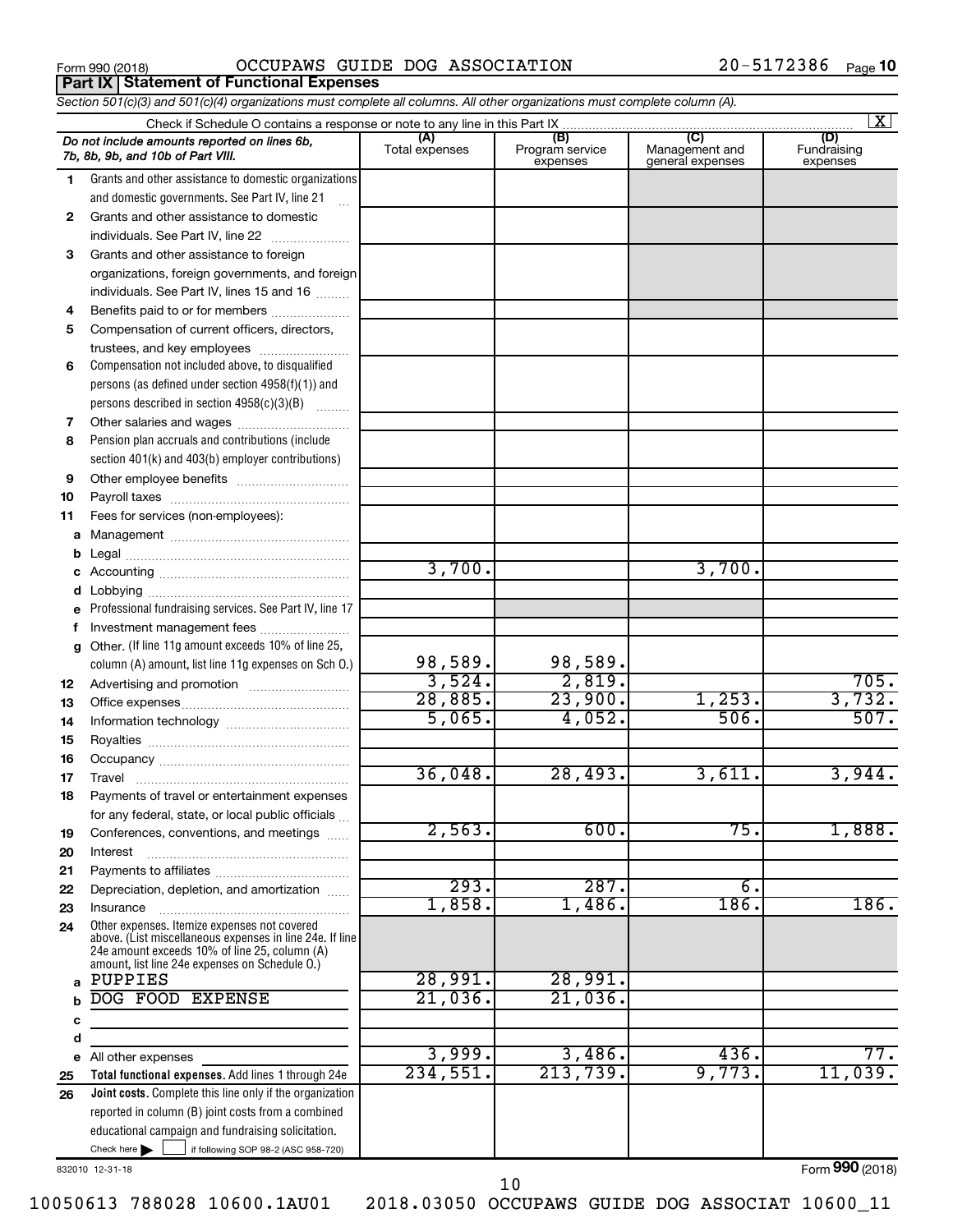**Part IX Statement of Functional Expenses**

Form 990 (2018)  $OCCUPANS$   $GUIDE$   $DOG$   $ASSOCIATION$   $20-5172386$   $Page$ 

*Section 501(c)(3) and 501(c)(4) organizations must complete all columns. All other organizations must complete column (A).*

|        | Check if Schedule O contains a response or note to any line in this Part IX                                                                                                                                 |                       |                                    | $\overline{\mathbf{x}}$                   |                                |  |  |
|--------|-------------------------------------------------------------------------------------------------------------------------------------------------------------------------------------------------------------|-----------------------|------------------------------------|-------------------------------------------|--------------------------------|--|--|
|        | Do not include amounts reported on lines 6b,<br>7b, 8b, 9b, and 10b of Part VIII.                                                                                                                           | (A)<br>Total expenses | (B)<br>Program service<br>expenses | (C)<br>Management and<br>general expenses | (D)<br>Fundraising<br>expenses |  |  |
| 1.     | Grants and other assistance to domestic organizations                                                                                                                                                       |                       |                                    |                                           |                                |  |  |
|        | and domestic governments. See Part IV, line 21                                                                                                                                                              |                       |                                    |                                           |                                |  |  |
| 2      | Grants and other assistance to domestic                                                                                                                                                                     |                       |                                    |                                           |                                |  |  |
|        | individuals. See Part IV, line 22                                                                                                                                                                           |                       |                                    |                                           |                                |  |  |
| 3      | Grants and other assistance to foreign                                                                                                                                                                      |                       |                                    |                                           |                                |  |  |
|        | organizations, foreign governments, and foreign                                                                                                                                                             |                       |                                    |                                           |                                |  |  |
|        | individuals. See Part IV, lines 15 and 16                                                                                                                                                                   |                       |                                    |                                           |                                |  |  |
| 4      | Benefits paid to or for members                                                                                                                                                                             |                       |                                    |                                           |                                |  |  |
| 5      | Compensation of current officers, directors,                                                                                                                                                                |                       |                                    |                                           |                                |  |  |
|        | trustees, and key employees                                                                                                                                                                                 |                       |                                    |                                           |                                |  |  |
| 6      | Compensation not included above, to disqualified                                                                                                                                                            |                       |                                    |                                           |                                |  |  |
|        | persons (as defined under section $4958(f)(1)$ ) and                                                                                                                                                        |                       |                                    |                                           |                                |  |  |
|        | persons described in section 4958(c)(3)(B)                                                                                                                                                                  |                       |                                    |                                           |                                |  |  |
| 7      |                                                                                                                                                                                                             |                       |                                    |                                           |                                |  |  |
| 8      | Pension plan accruals and contributions (include                                                                                                                                                            |                       |                                    |                                           |                                |  |  |
|        | section 401(k) and 403(b) employer contributions)                                                                                                                                                           |                       |                                    |                                           |                                |  |  |
| 9      |                                                                                                                                                                                                             |                       |                                    |                                           |                                |  |  |
| 10     |                                                                                                                                                                                                             |                       |                                    |                                           |                                |  |  |
| 11     | Fees for services (non-employees):                                                                                                                                                                          |                       |                                    |                                           |                                |  |  |
|        |                                                                                                                                                                                                             |                       |                                    |                                           |                                |  |  |
| b      |                                                                                                                                                                                                             | 3,700.                |                                    | 3,700.                                    |                                |  |  |
|        |                                                                                                                                                                                                             |                       |                                    |                                           |                                |  |  |
| d      |                                                                                                                                                                                                             |                       |                                    |                                           |                                |  |  |
|        | e Professional fundraising services. See Part IV, line 17                                                                                                                                                   |                       |                                    |                                           |                                |  |  |
| f<br>a | Investment management fees<br>Other. (If line 11g amount exceeds 10% of line 25,                                                                                                                            |                       |                                    |                                           |                                |  |  |
|        | column (A) amount, list line 11g expenses on Sch 0.)                                                                                                                                                        | 98,589.               | 98,589.                            |                                           |                                |  |  |
| 12     |                                                                                                                                                                                                             | 3,524.                | 2,819.                             |                                           | 705.                           |  |  |
| 13     |                                                                                                                                                                                                             | 28,885.               | 23,900.                            | 1,253.                                    | 3,732.                         |  |  |
| 14     |                                                                                                                                                                                                             | 5,065.                | 4,052.                             | 506.                                      | 507.                           |  |  |
| 15     |                                                                                                                                                                                                             |                       |                                    |                                           |                                |  |  |
| 16     |                                                                                                                                                                                                             |                       |                                    |                                           |                                |  |  |
| 17     |                                                                                                                                                                                                             | 36,048.               | 28,493.                            | 3,611.                                    | 3,944.                         |  |  |
| 18     | Payments of travel or entertainment expenses                                                                                                                                                                |                       |                                    |                                           |                                |  |  |
|        | for any federal, state, or local public officials                                                                                                                                                           |                       |                                    |                                           |                                |  |  |
| 19     | Conferences, conventions, and meetings                                                                                                                                                                      | 2,563.                | 600.                               | 75.                                       | 1,888.                         |  |  |
| 20     | Interest                                                                                                                                                                                                    |                       |                                    |                                           |                                |  |  |
| 21     |                                                                                                                                                                                                             |                       |                                    |                                           |                                |  |  |
| 22     | Depreciation, depletion, and amortization                                                                                                                                                                   | 293.                  | 287.                               | б.                                        |                                |  |  |
| 23     | Insurance                                                                                                                                                                                                   | 1,858.                | 1,486.                             | 186.                                      | 186.                           |  |  |
| 24     | Other expenses. Itemize expenses not covered<br>above. (List miscellaneous expenses in line 24e. If line<br>24e amount exceeds 10% of line 25, column (A)<br>amount, list line 24e expenses on Schedule O.) |                       |                                    |                                           |                                |  |  |
| a      | PUPPIES                                                                                                                                                                                                     | 28,991.               | 28,991.                            |                                           |                                |  |  |
|        | DOG FOOD EXPENSE                                                                                                                                                                                            | 21,036.               | $21,036$ .                         |                                           |                                |  |  |
| с      |                                                                                                                                                                                                             |                       |                                    |                                           |                                |  |  |
| d      |                                                                                                                                                                                                             |                       |                                    |                                           |                                |  |  |
| е      | All other expenses                                                                                                                                                                                          | 3,999.                | 3,486.                             | 436.                                      | 77.                            |  |  |
| 25     | Total functional expenses. Add lines 1 through 24e                                                                                                                                                          | 234,551.              | 213,739.                           | 9,773.                                    | 11,039.                        |  |  |
| 26     | Joint costs. Complete this line only if the organization                                                                                                                                                    |                       |                                    |                                           |                                |  |  |
|        | reported in column (B) joint costs from a combined                                                                                                                                                          |                       |                                    |                                           |                                |  |  |
|        | educational campaign and fundraising solicitation.                                                                                                                                                          |                       |                                    |                                           |                                |  |  |
|        | Check here $\blacktriangleright$<br>if following SOP 98-2 (ASC 958-720)                                                                                                                                     |                       |                                    |                                           |                                |  |  |

832010 12-31-18

Form (2018) **990**

10050613 788028 10600.1AU01 2018.03050 OCCUPAWS GUIDE DOG ASSOCIAT 10600\_11

10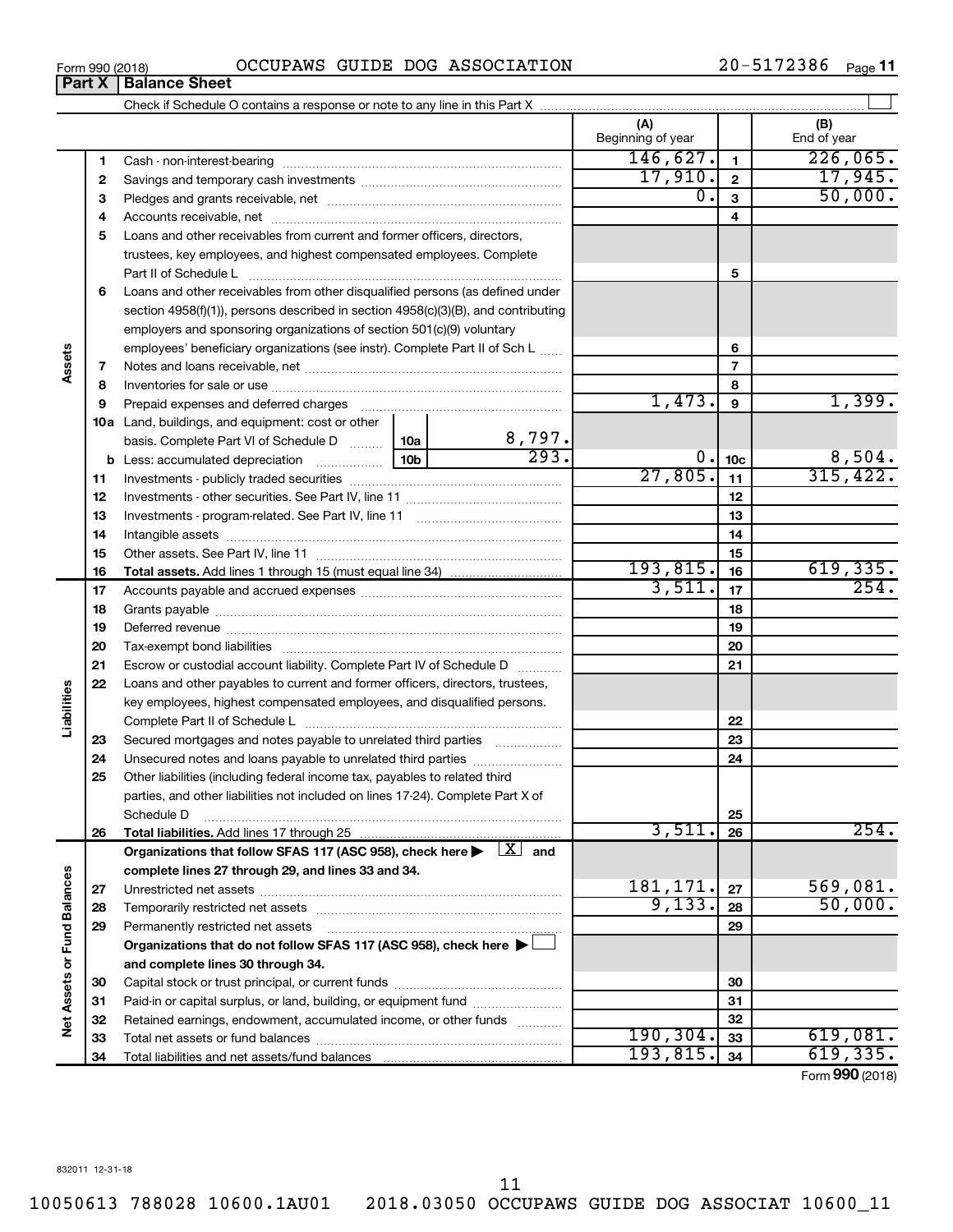| Form 990 (2018) | OCCUPAWS GUIDE DOG ASSOCIATION | $20 - 5172386$ Page 11 |  |
|-----------------|--------------------------------|------------------------|--|

| (A)<br>(B)<br>Beginning of year<br>End of year<br>146,627.<br>$\mathbf{1}$<br>1<br>17,945.<br>17,910.<br>$\overline{2}$<br>2<br>50,000.<br>0.<br>3<br>З<br>4<br>4<br>Loans and other receivables from current and former officers, directors,<br>5<br>trustees, key employees, and highest compensated employees. Complete<br>5<br>Part II of Schedule L<br>Loans and other receivables from other disqualified persons (as defined under<br>6<br>section $4958(f)(1)$ , persons described in section $4958(c)(3)(B)$ , and contributing<br>employers and sponsoring organizations of section 501(c)(9) voluntary<br>employees' beneficiary organizations (see instr). Complete Part II of Sch L<br>6<br>Assets<br>$\overline{7}$<br>7<br>8<br>8<br>1,473.<br>1,399.<br>9<br>9<br>10a Land, buildings, and equipment: cost or other<br>$\frac{8,797.}{293.}$<br>basis. Complete Part VI of Schedule D  10a<br>8,504.<br>$0$ .<br>10 <sub>c</sub><br>b<br>315,422.<br>27,805.<br>11<br>11<br>12<br>12<br>13<br>13<br>14<br>14<br>15<br>15<br>193,815.<br>619,335.<br>16<br>16<br>3,511.<br>254.<br>17<br>17<br>18<br>18<br>19<br>19<br>20<br>20<br>21<br>Escrow or custodial account liability. Complete Part IV of Schedule D<br>21<br>22<br>Loans and other payables to current and former officers, directors, trustees,<br>Liabilities<br>key employees, highest compensated employees, and disqualified persons.<br>22<br>23<br>23<br>Secured mortgages and notes payable to unrelated third parties<br>24<br>24<br>Unsecured notes and loans payable to unrelated third parties<br>Other liabilities (including federal income tax, payables to related third<br>25<br>parties, and other liabilities not included on lines 17-24). Complete Part X of<br>25<br>Schedule D<br>3,511<br>254.<br>26<br>26<br>Organizations that follow SFAS 117 (ASC 958), check here $\blacktriangleright \begin{array}{c} \perp X \\ \end{array}$ and<br>complete lines 27 through 29, and lines 33 and 34.<br><b>Fund Balances</b><br>181, 171.<br>569,081.<br>27<br>27<br>50,000.<br>9,133.<br>28<br>28<br>29<br>29<br>Permanently restricted net assets<br>Organizations that do not follow SFAS 117 (ASC 958), check here $\blacktriangleright$<br>Net Assets or<br>and complete lines 30 through 34.<br>30<br>30<br>Paid-in or capital surplus, or land, building, or equipment fund<br>31<br>31<br>32<br>Retained earnings, endowment, accumulated income, or other funds<br>32<br>190, 304.<br>33<br>33<br>193,815.<br>619,335.<br>34<br>34 |  | Part X | <b>Balance Sheet</b> |  |  |  |                                       |
|-----------------------------------------------------------------------------------------------------------------------------------------------------------------------------------------------------------------------------------------------------------------------------------------------------------------------------------------------------------------------------------------------------------------------------------------------------------------------------------------------------------------------------------------------------------------------------------------------------------------------------------------------------------------------------------------------------------------------------------------------------------------------------------------------------------------------------------------------------------------------------------------------------------------------------------------------------------------------------------------------------------------------------------------------------------------------------------------------------------------------------------------------------------------------------------------------------------------------------------------------------------------------------------------------------------------------------------------------------------------------------------------------------------------------------------------------------------------------------------------------------------------------------------------------------------------------------------------------------------------------------------------------------------------------------------------------------------------------------------------------------------------------------------------------------------------------------------------------------------------------------------------------------------------------------------------------------------------------------------------------------------------------------------------------------------------------------------------------------------------------------------------------------------------------------------------------------------------------------------------------------------------------------------------------------------------------------------------------------------------------------------------------------------------------------------------------------------------------------------------------------------------------------------------|--|--------|----------------------|--|--|--|---------------------------------------|
|                                                                                                                                                                                                                                                                                                                                                                                                                                                                                                                                                                                                                                                                                                                                                                                                                                                                                                                                                                                                                                                                                                                                                                                                                                                                                                                                                                                                                                                                                                                                                                                                                                                                                                                                                                                                                                                                                                                                                                                                                                                                                                                                                                                                                                                                                                                                                                                                                                                                                                                                         |  |        |                      |  |  |  |                                       |
|                                                                                                                                                                                                                                                                                                                                                                                                                                                                                                                                                                                                                                                                                                                                                                                                                                                                                                                                                                                                                                                                                                                                                                                                                                                                                                                                                                                                                                                                                                                                                                                                                                                                                                                                                                                                                                                                                                                                                                                                                                                                                                                                                                                                                                                                                                                                                                                                                                                                                                                                         |  |        |                      |  |  |  |                                       |
|                                                                                                                                                                                                                                                                                                                                                                                                                                                                                                                                                                                                                                                                                                                                                                                                                                                                                                                                                                                                                                                                                                                                                                                                                                                                                                                                                                                                                                                                                                                                                                                                                                                                                                                                                                                                                                                                                                                                                                                                                                                                                                                                                                                                                                                                                                                                                                                                                                                                                                                                         |  |        |                      |  |  |  | 226,065.                              |
|                                                                                                                                                                                                                                                                                                                                                                                                                                                                                                                                                                                                                                                                                                                                                                                                                                                                                                                                                                                                                                                                                                                                                                                                                                                                                                                                                                                                                                                                                                                                                                                                                                                                                                                                                                                                                                                                                                                                                                                                                                                                                                                                                                                                                                                                                                                                                                                                                                                                                                                                         |  |        |                      |  |  |  |                                       |
|                                                                                                                                                                                                                                                                                                                                                                                                                                                                                                                                                                                                                                                                                                                                                                                                                                                                                                                                                                                                                                                                                                                                                                                                                                                                                                                                                                                                                                                                                                                                                                                                                                                                                                                                                                                                                                                                                                                                                                                                                                                                                                                                                                                                                                                                                                                                                                                                                                                                                                                                         |  |        |                      |  |  |  |                                       |
|                                                                                                                                                                                                                                                                                                                                                                                                                                                                                                                                                                                                                                                                                                                                                                                                                                                                                                                                                                                                                                                                                                                                                                                                                                                                                                                                                                                                                                                                                                                                                                                                                                                                                                                                                                                                                                                                                                                                                                                                                                                                                                                                                                                                                                                                                                                                                                                                                                                                                                                                         |  |        |                      |  |  |  |                                       |
|                                                                                                                                                                                                                                                                                                                                                                                                                                                                                                                                                                                                                                                                                                                                                                                                                                                                                                                                                                                                                                                                                                                                                                                                                                                                                                                                                                                                                                                                                                                                                                                                                                                                                                                                                                                                                                                                                                                                                                                                                                                                                                                                                                                                                                                                                                                                                                                                                                                                                                                                         |  |        |                      |  |  |  |                                       |
|                                                                                                                                                                                                                                                                                                                                                                                                                                                                                                                                                                                                                                                                                                                                                                                                                                                                                                                                                                                                                                                                                                                                                                                                                                                                                                                                                                                                                                                                                                                                                                                                                                                                                                                                                                                                                                                                                                                                                                                                                                                                                                                                                                                                                                                                                                                                                                                                                                                                                                                                         |  |        |                      |  |  |  |                                       |
|                                                                                                                                                                                                                                                                                                                                                                                                                                                                                                                                                                                                                                                                                                                                                                                                                                                                                                                                                                                                                                                                                                                                                                                                                                                                                                                                                                                                                                                                                                                                                                                                                                                                                                                                                                                                                                                                                                                                                                                                                                                                                                                                                                                                                                                                                                                                                                                                                                                                                                                                         |  |        |                      |  |  |  |                                       |
|                                                                                                                                                                                                                                                                                                                                                                                                                                                                                                                                                                                                                                                                                                                                                                                                                                                                                                                                                                                                                                                                                                                                                                                                                                                                                                                                                                                                                                                                                                                                                                                                                                                                                                                                                                                                                                                                                                                                                                                                                                                                                                                                                                                                                                                                                                                                                                                                                                                                                                                                         |  |        |                      |  |  |  |                                       |
|                                                                                                                                                                                                                                                                                                                                                                                                                                                                                                                                                                                                                                                                                                                                                                                                                                                                                                                                                                                                                                                                                                                                                                                                                                                                                                                                                                                                                                                                                                                                                                                                                                                                                                                                                                                                                                                                                                                                                                                                                                                                                                                                                                                                                                                                                                                                                                                                                                                                                                                                         |  |        |                      |  |  |  |                                       |
|                                                                                                                                                                                                                                                                                                                                                                                                                                                                                                                                                                                                                                                                                                                                                                                                                                                                                                                                                                                                                                                                                                                                                                                                                                                                                                                                                                                                                                                                                                                                                                                                                                                                                                                                                                                                                                                                                                                                                                                                                                                                                                                                                                                                                                                                                                                                                                                                                                                                                                                                         |  |        |                      |  |  |  |                                       |
|                                                                                                                                                                                                                                                                                                                                                                                                                                                                                                                                                                                                                                                                                                                                                                                                                                                                                                                                                                                                                                                                                                                                                                                                                                                                                                                                                                                                                                                                                                                                                                                                                                                                                                                                                                                                                                                                                                                                                                                                                                                                                                                                                                                                                                                                                                                                                                                                                                                                                                                                         |  |        |                      |  |  |  |                                       |
|                                                                                                                                                                                                                                                                                                                                                                                                                                                                                                                                                                                                                                                                                                                                                                                                                                                                                                                                                                                                                                                                                                                                                                                                                                                                                                                                                                                                                                                                                                                                                                                                                                                                                                                                                                                                                                                                                                                                                                                                                                                                                                                                                                                                                                                                                                                                                                                                                                                                                                                                         |  |        |                      |  |  |  |                                       |
|                                                                                                                                                                                                                                                                                                                                                                                                                                                                                                                                                                                                                                                                                                                                                                                                                                                                                                                                                                                                                                                                                                                                                                                                                                                                                                                                                                                                                                                                                                                                                                                                                                                                                                                                                                                                                                                                                                                                                                                                                                                                                                                                                                                                                                                                                                                                                                                                                                                                                                                                         |  |        |                      |  |  |  |                                       |
|                                                                                                                                                                                                                                                                                                                                                                                                                                                                                                                                                                                                                                                                                                                                                                                                                                                                                                                                                                                                                                                                                                                                                                                                                                                                                                                                                                                                                                                                                                                                                                                                                                                                                                                                                                                                                                                                                                                                                                                                                                                                                                                                                                                                                                                                                                                                                                                                                                                                                                                                         |  |        |                      |  |  |  |                                       |
|                                                                                                                                                                                                                                                                                                                                                                                                                                                                                                                                                                                                                                                                                                                                                                                                                                                                                                                                                                                                                                                                                                                                                                                                                                                                                                                                                                                                                                                                                                                                                                                                                                                                                                                                                                                                                                                                                                                                                                                                                                                                                                                                                                                                                                                                                                                                                                                                                                                                                                                                         |  |        |                      |  |  |  |                                       |
|                                                                                                                                                                                                                                                                                                                                                                                                                                                                                                                                                                                                                                                                                                                                                                                                                                                                                                                                                                                                                                                                                                                                                                                                                                                                                                                                                                                                                                                                                                                                                                                                                                                                                                                                                                                                                                                                                                                                                                                                                                                                                                                                                                                                                                                                                                                                                                                                                                                                                                                                         |  |        |                      |  |  |  |                                       |
|                                                                                                                                                                                                                                                                                                                                                                                                                                                                                                                                                                                                                                                                                                                                                                                                                                                                                                                                                                                                                                                                                                                                                                                                                                                                                                                                                                                                                                                                                                                                                                                                                                                                                                                                                                                                                                                                                                                                                                                                                                                                                                                                                                                                                                                                                                                                                                                                                                                                                                                                         |  |        |                      |  |  |  |                                       |
|                                                                                                                                                                                                                                                                                                                                                                                                                                                                                                                                                                                                                                                                                                                                                                                                                                                                                                                                                                                                                                                                                                                                                                                                                                                                                                                                                                                                                                                                                                                                                                                                                                                                                                                                                                                                                                                                                                                                                                                                                                                                                                                                                                                                                                                                                                                                                                                                                                                                                                                                         |  |        |                      |  |  |  |                                       |
|                                                                                                                                                                                                                                                                                                                                                                                                                                                                                                                                                                                                                                                                                                                                                                                                                                                                                                                                                                                                                                                                                                                                                                                                                                                                                                                                                                                                                                                                                                                                                                                                                                                                                                                                                                                                                                                                                                                                                                                                                                                                                                                                                                                                                                                                                                                                                                                                                                                                                                                                         |  |        |                      |  |  |  |                                       |
|                                                                                                                                                                                                                                                                                                                                                                                                                                                                                                                                                                                                                                                                                                                                                                                                                                                                                                                                                                                                                                                                                                                                                                                                                                                                                                                                                                                                                                                                                                                                                                                                                                                                                                                                                                                                                                                                                                                                                                                                                                                                                                                                                                                                                                                                                                                                                                                                                                                                                                                                         |  |        |                      |  |  |  |                                       |
|                                                                                                                                                                                                                                                                                                                                                                                                                                                                                                                                                                                                                                                                                                                                                                                                                                                                                                                                                                                                                                                                                                                                                                                                                                                                                                                                                                                                                                                                                                                                                                                                                                                                                                                                                                                                                                                                                                                                                                                                                                                                                                                                                                                                                                                                                                                                                                                                                                                                                                                                         |  |        |                      |  |  |  |                                       |
|                                                                                                                                                                                                                                                                                                                                                                                                                                                                                                                                                                                                                                                                                                                                                                                                                                                                                                                                                                                                                                                                                                                                                                                                                                                                                                                                                                                                                                                                                                                                                                                                                                                                                                                                                                                                                                                                                                                                                                                                                                                                                                                                                                                                                                                                                                                                                                                                                                                                                                                                         |  |        |                      |  |  |  |                                       |
|                                                                                                                                                                                                                                                                                                                                                                                                                                                                                                                                                                                                                                                                                                                                                                                                                                                                                                                                                                                                                                                                                                                                                                                                                                                                                                                                                                                                                                                                                                                                                                                                                                                                                                                                                                                                                                                                                                                                                                                                                                                                                                                                                                                                                                                                                                                                                                                                                                                                                                                                         |  |        |                      |  |  |  |                                       |
|                                                                                                                                                                                                                                                                                                                                                                                                                                                                                                                                                                                                                                                                                                                                                                                                                                                                                                                                                                                                                                                                                                                                                                                                                                                                                                                                                                                                                                                                                                                                                                                                                                                                                                                                                                                                                                                                                                                                                                                                                                                                                                                                                                                                                                                                                                                                                                                                                                                                                                                                         |  |        |                      |  |  |  |                                       |
|                                                                                                                                                                                                                                                                                                                                                                                                                                                                                                                                                                                                                                                                                                                                                                                                                                                                                                                                                                                                                                                                                                                                                                                                                                                                                                                                                                                                                                                                                                                                                                                                                                                                                                                                                                                                                                                                                                                                                                                                                                                                                                                                                                                                                                                                                                                                                                                                                                                                                                                                         |  |        |                      |  |  |  |                                       |
|                                                                                                                                                                                                                                                                                                                                                                                                                                                                                                                                                                                                                                                                                                                                                                                                                                                                                                                                                                                                                                                                                                                                                                                                                                                                                                                                                                                                                                                                                                                                                                                                                                                                                                                                                                                                                                                                                                                                                                                                                                                                                                                                                                                                                                                                                                                                                                                                                                                                                                                                         |  |        |                      |  |  |  |                                       |
|                                                                                                                                                                                                                                                                                                                                                                                                                                                                                                                                                                                                                                                                                                                                                                                                                                                                                                                                                                                                                                                                                                                                                                                                                                                                                                                                                                                                                                                                                                                                                                                                                                                                                                                                                                                                                                                                                                                                                                                                                                                                                                                                                                                                                                                                                                                                                                                                                                                                                                                                         |  |        |                      |  |  |  |                                       |
|                                                                                                                                                                                                                                                                                                                                                                                                                                                                                                                                                                                                                                                                                                                                                                                                                                                                                                                                                                                                                                                                                                                                                                                                                                                                                                                                                                                                                                                                                                                                                                                                                                                                                                                                                                                                                                                                                                                                                                                                                                                                                                                                                                                                                                                                                                                                                                                                                                                                                                                                         |  |        |                      |  |  |  |                                       |
|                                                                                                                                                                                                                                                                                                                                                                                                                                                                                                                                                                                                                                                                                                                                                                                                                                                                                                                                                                                                                                                                                                                                                                                                                                                                                                                                                                                                                                                                                                                                                                                                                                                                                                                                                                                                                                                                                                                                                                                                                                                                                                                                                                                                                                                                                                                                                                                                                                                                                                                                         |  |        |                      |  |  |  |                                       |
|                                                                                                                                                                                                                                                                                                                                                                                                                                                                                                                                                                                                                                                                                                                                                                                                                                                                                                                                                                                                                                                                                                                                                                                                                                                                                                                                                                                                                                                                                                                                                                                                                                                                                                                                                                                                                                                                                                                                                                                                                                                                                                                                                                                                                                                                                                                                                                                                                                                                                                                                         |  |        |                      |  |  |  |                                       |
|                                                                                                                                                                                                                                                                                                                                                                                                                                                                                                                                                                                                                                                                                                                                                                                                                                                                                                                                                                                                                                                                                                                                                                                                                                                                                                                                                                                                                                                                                                                                                                                                                                                                                                                                                                                                                                                                                                                                                                                                                                                                                                                                                                                                                                                                                                                                                                                                                                                                                                                                         |  |        |                      |  |  |  |                                       |
|                                                                                                                                                                                                                                                                                                                                                                                                                                                                                                                                                                                                                                                                                                                                                                                                                                                                                                                                                                                                                                                                                                                                                                                                                                                                                                                                                                                                                                                                                                                                                                                                                                                                                                                                                                                                                                                                                                                                                                                                                                                                                                                                                                                                                                                                                                                                                                                                                                                                                                                                         |  |        |                      |  |  |  |                                       |
|                                                                                                                                                                                                                                                                                                                                                                                                                                                                                                                                                                                                                                                                                                                                                                                                                                                                                                                                                                                                                                                                                                                                                                                                                                                                                                                                                                                                                                                                                                                                                                                                                                                                                                                                                                                                                                                                                                                                                                                                                                                                                                                                                                                                                                                                                                                                                                                                                                                                                                                                         |  |        |                      |  |  |  |                                       |
|                                                                                                                                                                                                                                                                                                                                                                                                                                                                                                                                                                                                                                                                                                                                                                                                                                                                                                                                                                                                                                                                                                                                                                                                                                                                                                                                                                                                                                                                                                                                                                                                                                                                                                                                                                                                                                                                                                                                                                                                                                                                                                                                                                                                                                                                                                                                                                                                                                                                                                                                         |  |        |                      |  |  |  |                                       |
|                                                                                                                                                                                                                                                                                                                                                                                                                                                                                                                                                                                                                                                                                                                                                                                                                                                                                                                                                                                                                                                                                                                                                                                                                                                                                                                                                                                                                                                                                                                                                                                                                                                                                                                                                                                                                                                                                                                                                                                                                                                                                                                                                                                                                                                                                                                                                                                                                                                                                                                                         |  |        |                      |  |  |  |                                       |
|                                                                                                                                                                                                                                                                                                                                                                                                                                                                                                                                                                                                                                                                                                                                                                                                                                                                                                                                                                                                                                                                                                                                                                                                                                                                                                                                                                                                                                                                                                                                                                                                                                                                                                                                                                                                                                                                                                                                                                                                                                                                                                                                                                                                                                                                                                                                                                                                                                                                                                                                         |  |        |                      |  |  |  |                                       |
|                                                                                                                                                                                                                                                                                                                                                                                                                                                                                                                                                                                                                                                                                                                                                                                                                                                                                                                                                                                                                                                                                                                                                                                                                                                                                                                                                                                                                                                                                                                                                                                                                                                                                                                                                                                                                                                                                                                                                                                                                                                                                                                                                                                                                                                                                                                                                                                                                                                                                                                                         |  |        |                      |  |  |  |                                       |
|                                                                                                                                                                                                                                                                                                                                                                                                                                                                                                                                                                                                                                                                                                                                                                                                                                                                                                                                                                                                                                                                                                                                                                                                                                                                                                                                                                                                                                                                                                                                                                                                                                                                                                                                                                                                                                                                                                                                                                                                                                                                                                                                                                                                                                                                                                                                                                                                                                                                                                                                         |  |        |                      |  |  |  |                                       |
|                                                                                                                                                                                                                                                                                                                                                                                                                                                                                                                                                                                                                                                                                                                                                                                                                                                                                                                                                                                                                                                                                                                                                                                                                                                                                                                                                                                                                                                                                                                                                                                                                                                                                                                                                                                                                                                                                                                                                                                                                                                                                                                                                                                                                                                                                                                                                                                                                                                                                                                                         |  |        |                      |  |  |  |                                       |
|                                                                                                                                                                                                                                                                                                                                                                                                                                                                                                                                                                                                                                                                                                                                                                                                                                                                                                                                                                                                                                                                                                                                                                                                                                                                                                                                                                                                                                                                                                                                                                                                                                                                                                                                                                                                                                                                                                                                                                                                                                                                                                                                                                                                                                                                                                                                                                                                                                                                                                                                         |  |        |                      |  |  |  |                                       |
|                                                                                                                                                                                                                                                                                                                                                                                                                                                                                                                                                                                                                                                                                                                                                                                                                                                                                                                                                                                                                                                                                                                                                                                                                                                                                                                                                                                                                                                                                                                                                                                                                                                                                                                                                                                                                                                                                                                                                                                                                                                                                                                                                                                                                                                                                                                                                                                                                                                                                                                                         |  |        |                      |  |  |  |                                       |
|                                                                                                                                                                                                                                                                                                                                                                                                                                                                                                                                                                                                                                                                                                                                                                                                                                                                                                                                                                                                                                                                                                                                                                                                                                                                                                                                                                                                                                                                                                                                                                                                                                                                                                                                                                                                                                                                                                                                                                                                                                                                                                                                                                                                                                                                                                                                                                                                                                                                                                                                         |  |        |                      |  |  |  |                                       |
|                                                                                                                                                                                                                                                                                                                                                                                                                                                                                                                                                                                                                                                                                                                                                                                                                                                                                                                                                                                                                                                                                                                                                                                                                                                                                                                                                                                                                                                                                                                                                                                                                                                                                                                                                                                                                                                                                                                                                                                                                                                                                                                                                                                                                                                                                                                                                                                                                                                                                                                                         |  |        |                      |  |  |  |                                       |
|                                                                                                                                                                                                                                                                                                                                                                                                                                                                                                                                                                                                                                                                                                                                                                                                                                                                                                                                                                                                                                                                                                                                                                                                                                                                                                                                                                                                                                                                                                                                                                                                                                                                                                                                                                                                                                                                                                                                                                                                                                                                                                                                                                                                                                                                                                                                                                                                                                                                                                                                         |  |        |                      |  |  |  |                                       |
|                                                                                                                                                                                                                                                                                                                                                                                                                                                                                                                                                                                                                                                                                                                                                                                                                                                                                                                                                                                                                                                                                                                                                                                                                                                                                                                                                                                                                                                                                                                                                                                                                                                                                                                                                                                                                                                                                                                                                                                                                                                                                                                                                                                                                                                                                                                                                                                                                                                                                                                                         |  |        |                      |  |  |  |                                       |
|                                                                                                                                                                                                                                                                                                                                                                                                                                                                                                                                                                                                                                                                                                                                                                                                                                                                                                                                                                                                                                                                                                                                                                                                                                                                                                                                                                                                                                                                                                                                                                                                                                                                                                                                                                                                                                                                                                                                                                                                                                                                                                                                                                                                                                                                                                                                                                                                                                                                                                                                         |  |        |                      |  |  |  |                                       |
|                                                                                                                                                                                                                                                                                                                                                                                                                                                                                                                                                                                                                                                                                                                                                                                                                                                                                                                                                                                                                                                                                                                                                                                                                                                                                                                                                                                                                                                                                                                                                                                                                                                                                                                                                                                                                                                                                                                                                                                                                                                                                                                                                                                                                                                                                                                                                                                                                                                                                                                                         |  |        |                      |  |  |  | 619,081.                              |
|                                                                                                                                                                                                                                                                                                                                                                                                                                                                                                                                                                                                                                                                                                                                                                                                                                                                                                                                                                                                                                                                                                                                                                                                                                                                                                                                                                                                                                                                                                                                                                                                                                                                                                                                                                                                                                                                                                                                                                                                                                                                                                                                                                                                                                                                                                                                                                                                                                                                                                                                         |  |        |                      |  |  |  | $F_{\text{sum}}$ QQQ $n_{\text{max}}$ |

Form (2018) **990**

11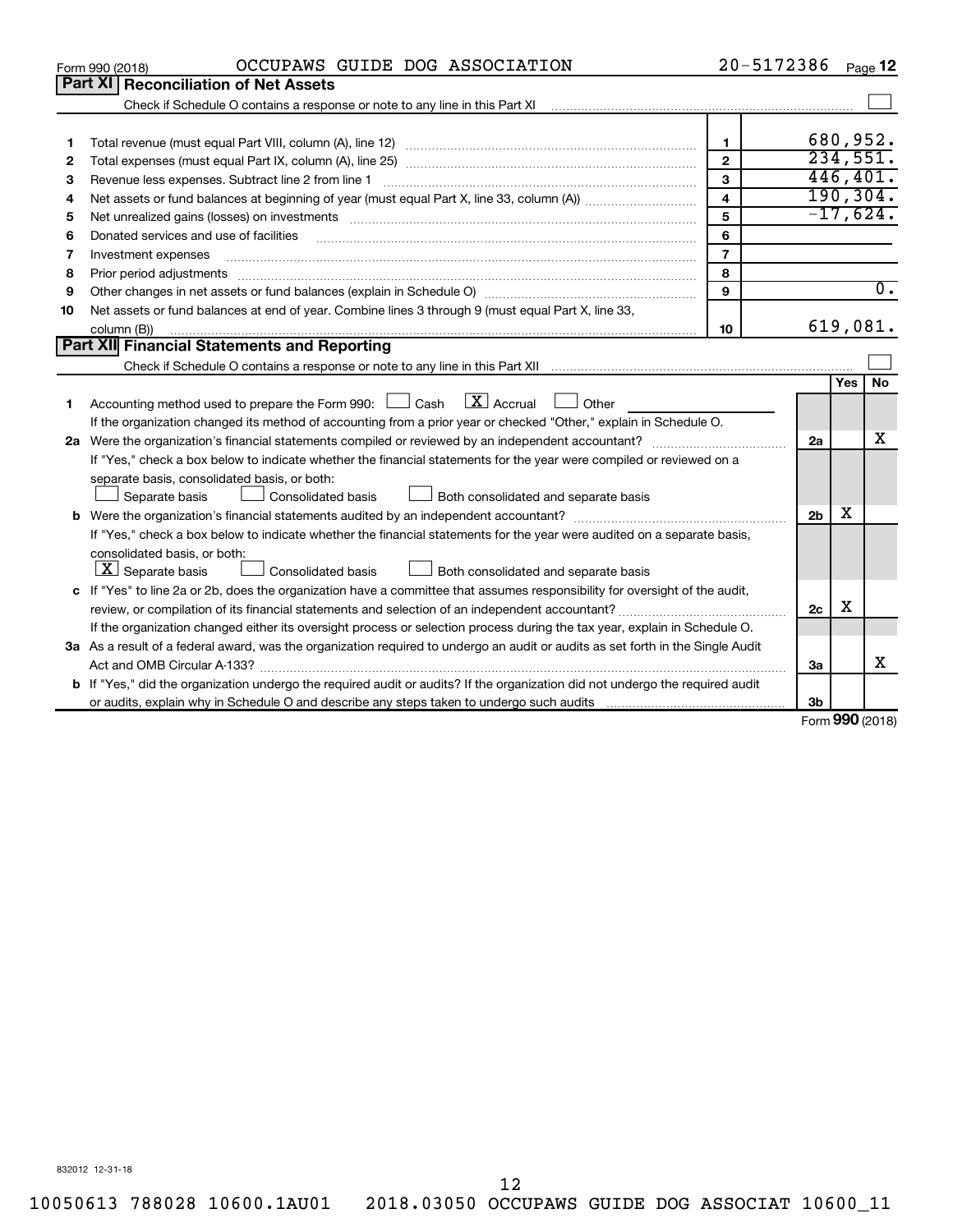|    | OCCUPAWS GUIDE DOG ASSOCIATION<br>Form 990 (2018)                                                                                                                                                                                                                                                                                                                                                                                                                                                   | 20-5172386              |                                   |     | Page 12          |
|----|-----------------------------------------------------------------------------------------------------------------------------------------------------------------------------------------------------------------------------------------------------------------------------------------------------------------------------------------------------------------------------------------------------------------------------------------------------------------------------------------------------|-------------------------|-----------------------------------|-----|------------------|
|    | Part XI   Reconciliation of Net Assets                                                                                                                                                                                                                                                                                                                                                                                                                                                              |                         |                                   |     |                  |
|    | Check if Schedule O contains a response or note to any line in this Part XI [11] [12] Check if Schedule O contains a response or note to any line in this Part XI                                                                                                                                                                                                                                                                                                                                   |                         |                                   |     |                  |
|    |                                                                                                                                                                                                                                                                                                                                                                                                                                                                                                     |                         |                                   |     |                  |
| 1  |                                                                                                                                                                                                                                                                                                                                                                                                                                                                                                     | 1                       |                                   |     | 680,952.         |
| 2  |                                                                                                                                                                                                                                                                                                                                                                                                                                                                                                     | $\mathfrak{p}$          |                                   |     | 234,551.         |
| 3  |                                                                                                                                                                                                                                                                                                                                                                                                                                                                                                     | 3                       |                                   |     | 446, 401.        |
| 4  |                                                                                                                                                                                                                                                                                                                                                                                                                                                                                                     | $\overline{\mathbf{4}}$ |                                   |     | 190, 304.        |
| 5  |                                                                                                                                                                                                                                                                                                                                                                                                                                                                                                     | 5                       |                                   |     | $-17,624.$       |
| 6  | Donated services and use of facilities                                                                                                                                                                                                                                                                                                                                                                                                                                                              | 6                       |                                   |     |                  |
| 7  | Investment expenses                                                                                                                                                                                                                                                                                                                                                                                                                                                                                 | $\overline{7}$          |                                   |     |                  |
| 8  | Prior period adjustments                                                                                                                                                                                                                                                                                                                                                                                                                                                                            | 8                       |                                   |     |                  |
| 9  |                                                                                                                                                                                                                                                                                                                                                                                                                                                                                                     | 9                       |                                   |     | $\overline{0}$ . |
| 10 | Net assets or fund balances at end of year. Combine lines 3 through 9 (must equal Part X, line 33,                                                                                                                                                                                                                                                                                                                                                                                                  |                         |                                   |     |                  |
|    | column (B))<br>$\begin{minipage}{0.9\linewidth} \begin{tabular}{l} \hline \textbf{0.01} \end{tabular} \end{minipage} \begin{tabular}{l} \hline \textbf{1.01} \end{tabular} \end{minipage} \begin{tabular}{l} \hline \textbf{1.01} \end{tabular} \end{minipage} \begin{minipage}{0.9\linewidth} \textbf{1.01} \end{minipage} \begin{tabular}{l} \hline \textbf{1.01} \end{tabular} \end{minipage} \begin{minipage}{0.9\linewidth} \textbf{1.01} \end{minipage} \begin{tabular}{l} \hline \textbf{1.$ | 10                      |                                   |     | 619,081.         |
|    | <b>Part XII</b> Financial Statements and Reporting                                                                                                                                                                                                                                                                                                                                                                                                                                                  |                         |                                   |     |                  |
|    |                                                                                                                                                                                                                                                                                                                                                                                                                                                                                                     |                         |                                   |     |                  |
|    |                                                                                                                                                                                                                                                                                                                                                                                                                                                                                                     |                         |                                   | Yes | <b>No</b>        |
| 1  | $X$ Accrual<br>Accounting method used to prepare the Form 990: $\Box$ Cash<br>Other                                                                                                                                                                                                                                                                                                                                                                                                                 |                         |                                   |     |                  |
|    | If the organization changed its method of accounting from a prior year or checked "Other," explain in Schedule O.                                                                                                                                                                                                                                                                                                                                                                                   |                         |                                   |     |                  |
|    |                                                                                                                                                                                                                                                                                                                                                                                                                                                                                                     |                         | 2a                                |     | x                |
|    | If "Yes," check a box below to indicate whether the financial statements for the year were compiled or reviewed on a                                                                                                                                                                                                                                                                                                                                                                                |                         |                                   |     |                  |
|    | separate basis, consolidated basis, or both:                                                                                                                                                                                                                                                                                                                                                                                                                                                        |                         |                                   |     |                  |
|    | Separate basis<br><b>Consolidated basis</b><br>Both consolidated and separate basis                                                                                                                                                                                                                                                                                                                                                                                                                 |                         |                                   |     |                  |
|    |                                                                                                                                                                                                                                                                                                                                                                                                                                                                                                     |                         | 2 <sub>b</sub>                    | х   |                  |
|    | If "Yes," check a box below to indicate whether the financial statements for the year were audited on a separate basis,                                                                                                                                                                                                                                                                                                                                                                             |                         |                                   |     |                  |
|    | consolidated basis, or both:                                                                                                                                                                                                                                                                                                                                                                                                                                                                        |                         |                                   |     |                  |
|    | $\lfloor x \rfloor$ Separate basis<br>Consolidated basis<br>Both consolidated and separate basis                                                                                                                                                                                                                                                                                                                                                                                                    |                         |                                   |     |                  |
|    | c If "Yes" to line 2a or 2b, does the organization have a committee that assumes responsibility for oversight of the audit,                                                                                                                                                                                                                                                                                                                                                                         |                         |                                   |     |                  |
|    |                                                                                                                                                                                                                                                                                                                                                                                                                                                                                                     |                         | 2c                                | х   |                  |
|    | If the organization changed either its oversight process or selection process during the tax year, explain in Schedule O.                                                                                                                                                                                                                                                                                                                                                                           |                         |                                   |     |                  |
|    | 3a As a result of a federal award, was the organization required to undergo an audit or audits as set forth in the Single Audit                                                                                                                                                                                                                                                                                                                                                                     |                         |                                   |     |                  |
|    |                                                                                                                                                                                                                                                                                                                                                                                                                                                                                                     |                         | 3a                                |     | x                |
|    | <b>b</b> If "Yes," did the organization undergo the required audit or audits? If the organization did not undergo the required audit                                                                                                                                                                                                                                                                                                                                                                |                         |                                   |     |                  |
|    |                                                                                                                                                                                                                                                                                                                                                                                                                                                                                                     |                         | 3b<br>$F_{\text{arm}}$ 000 (2018) |     |                  |

Form (2018) **990**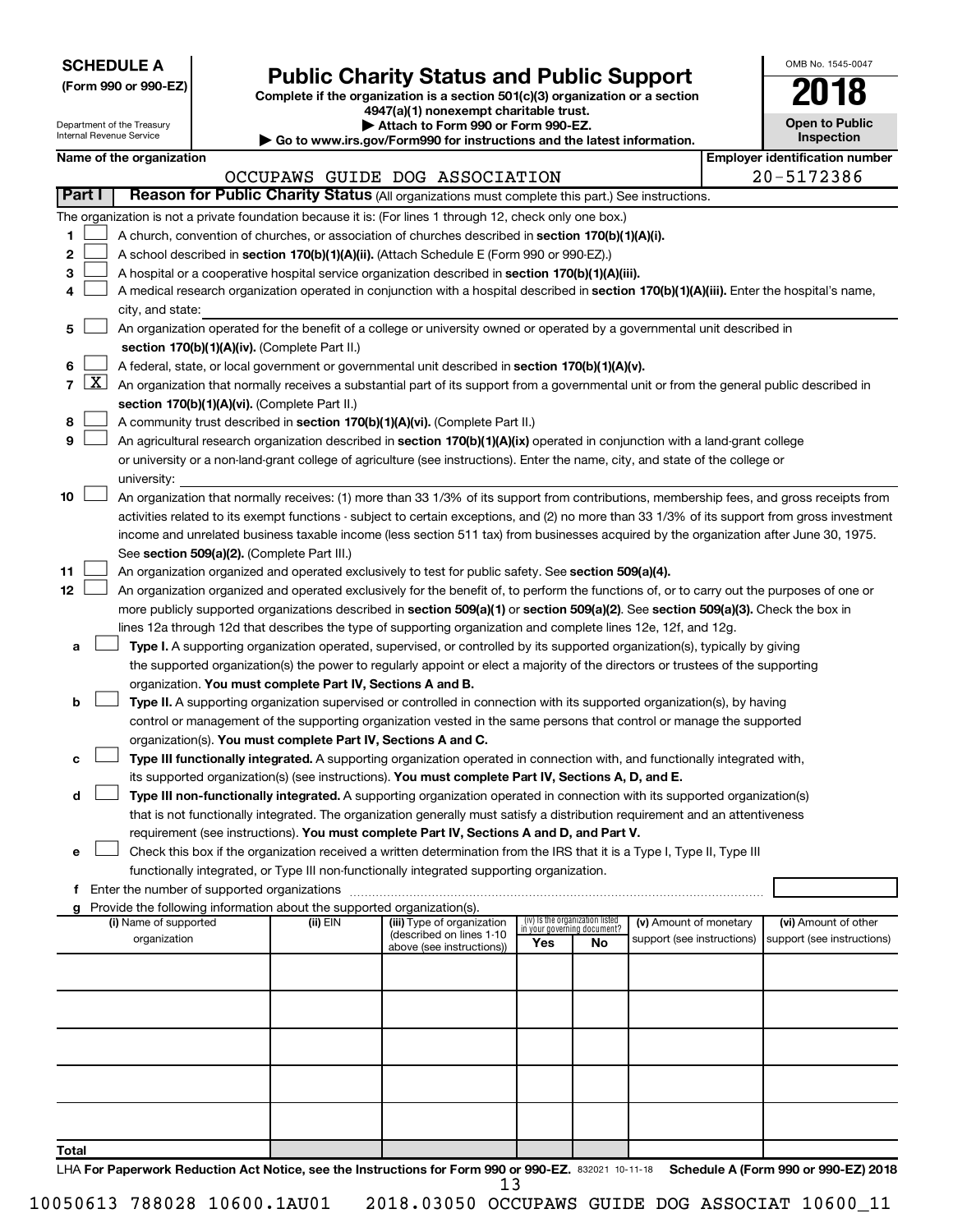| <b>SCHEDULE A</b> |  |
|-------------------|--|
|-------------------|--|

| (Form 990 or 990-EZ) |  |  |  |
|----------------------|--|--|--|
|----------------------|--|--|--|

## **Public Charity Status and Public Support**

**(Form 990 or 990-EZ) Complete if the organization is a section 501(c)(3) organization or a section**

**4947(a)(1) nonexempt charitable trust.**

| OMB No. 1545-0047                   |  |
|-------------------------------------|--|
| 1                                   |  |
| <b>Open to Public</b><br>Inspection |  |

|       |                 | Department of the Treasury<br>Internal Revenue Service |  |                                                                        | Attach to Form 990 or Form 990-EZ.<br>▶ Go to www.irs.gov/Form990 for instructions and the latest information.                                                                                                                                                                         |     |                                                                |                            |  | <b>Open to Public</b><br>Inspection   |  |  |
|-------|-----------------|--------------------------------------------------------|--|------------------------------------------------------------------------|----------------------------------------------------------------------------------------------------------------------------------------------------------------------------------------------------------------------------------------------------------------------------------------|-----|----------------------------------------------------------------|----------------------------|--|---------------------------------------|--|--|
|       |                 | Name of the organization                               |  |                                                                        |                                                                                                                                                                                                                                                                                        |     |                                                                |                            |  | <b>Employer identification number</b> |  |  |
|       |                 |                                                        |  |                                                                        | OCCUPAWS GUIDE DOG ASSOCIATION                                                                                                                                                                                                                                                         |     |                                                                |                            |  | 20-5172386                            |  |  |
|       | Part I          |                                                        |  |                                                                        | Reason for Public Charity Status (All organizations must complete this part.) See instructions.                                                                                                                                                                                        |     |                                                                |                            |  |                                       |  |  |
|       |                 |                                                        |  |                                                                        | The organization is not a private foundation because it is: (For lines 1 through 12, check only one box.)                                                                                                                                                                              |     |                                                                |                            |  |                                       |  |  |
| 1     |                 |                                                        |  |                                                                        | A church, convention of churches, or association of churches described in section 170(b)(1)(A)(i).                                                                                                                                                                                     |     |                                                                |                            |  |                                       |  |  |
| 2     |                 |                                                        |  |                                                                        | A school described in section 170(b)(1)(A)(ii). (Attach Schedule E (Form 990 or 990-EZ).)                                                                                                                                                                                              |     |                                                                |                            |  |                                       |  |  |
| З     |                 |                                                        |  |                                                                        | A hospital or a cooperative hospital service organization described in section 170(b)(1)(A)(iii).                                                                                                                                                                                      |     |                                                                |                            |  |                                       |  |  |
| 4     |                 |                                                        |  |                                                                        | A medical research organization operated in conjunction with a hospital described in section 170(b)(1)(A)(iii). Enter the hospital's name,                                                                                                                                             |     |                                                                |                            |  |                                       |  |  |
|       |                 | city, and state:                                       |  |                                                                        |                                                                                                                                                                                                                                                                                        |     |                                                                |                            |  |                                       |  |  |
| 5     |                 |                                                        |  |                                                                        | An organization operated for the benefit of a college or university owned or operated by a governmental unit described in                                                                                                                                                              |     |                                                                |                            |  |                                       |  |  |
|       |                 |                                                        |  | section 170(b)(1)(A)(iv). (Complete Part II.)                          |                                                                                                                                                                                                                                                                                        |     |                                                                |                            |  |                                       |  |  |
| 6     |                 |                                                        |  |                                                                        | A federal, state, or local government or governmental unit described in section 170(b)(1)(A)(v).                                                                                                                                                                                       |     |                                                                |                            |  |                                       |  |  |
|       | $7 \mid X \mid$ |                                                        |  |                                                                        | An organization that normally receives a substantial part of its support from a governmental unit or from the general public described in                                                                                                                                              |     |                                                                |                            |  |                                       |  |  |
|       |                 |                                                        |  | section 170(b)(1)(A)(vi). (Complete Part II.)                          |                                                                                                                                                                                                                                                                                        |     |                                                                |                            |  |                                       |  |  |
| 8     |                 |                                                        |  |                                                                        | A community trust described in section 170(b)(1)(A)(vi). (Complete Part II.)                                                                                                                                                                                                           |     |                                                                |                            |  |                                       |  |  |
| 9     |                 |                                                        |  |                                                                        | An agricultural research organization described in section 170(b)(1)(A)(ix) operated in conjunction with a land-grant college                                                                                                                                                          |     |                                                                |                            |  |                                       |  |  |
|       |                 |                                                        |  |                                                                        | or university or a non-land-grant college of agriculture (see instructions). Enter the name, city, and state of the college or                                                                                                                                                         |     |                                                                |                            |  |                                       |  |  |
| 10    |                 | university:                                            |  |                                                                        |                                                                                                                                                                                                                                                                                        |     |                                                                |                            |  |                                       |  |  |
|       |                 |                                                        |  |                                                                        | An organization that normally receives: (1) more than 33 1/3% of its support from contributions, membership fees, and gross receipts from                                                                                                                                              |     |                                                                |                            |  |                                       |  |  |
|       |                 |                                                        |  |                                                                        | activities related to its exempt functions - subject to certain exceptions, and (2) no more than 33 1/3% of its support from gross investment<br>income and unrelated business taxable income (less section 511 tax) from businesses acquired by the organization after June 30, 1975. |     |                                                                |                            |  |                                       |  |  |
|       |                 |                                                        |  | See section 509(a)(2). (Complete Part III.)                            |                                                                                                                                                                                                                                                                                        |     |                                                                |                            |  |                                       |  |  |
| 11    |                 |                                                        |  |                                                                        | An organization organized and operated exclusively to test for public safety. See section 509(a)(4).                                                                                                                                                                                   |     |                                                                |                            |  |                                       |  |  |
| 12    |                 |                                                        |  |                                                                        | An organization organized and operated exclusively for the benefit of, to perform the functions of, or to carry out the purposes of one or                                                                                                                                             |     |                                                                |                            |  |                                       |  |  |
|       |                 |                                                        |  |                                                                        | more publicly supported organizations described in section 509(a)(1) or section 509(a)(2). See section 509(a)(3). Check the box in                                                                                                                                                     |     |                                                                |                            |  |                                       |  |  |
|       |                 |                                                        |  |                                                                        | lines 12a through 12d that describes the type of supporting organization and complete lines 12e, 12f, and 12g.                                                                                                                                                                         |     |                                                                |                            |  |                                       |  |  |
| а     |                 |                                                        |  |                                                                        | Type I. A supporting organization operated, supervised, or controlled by its supported organization(s), typically by giving                                                                                                                                                            |     |                                                                |                            |  |                                       |  |  |
|       |                 |                                                        |  |                                                                        | the supported organization(s) the power to regularly appoint or elect a majority of the directors or trustees of the supporting                                                                                                                                                        |     |                                                                |                            |  |                                       |  |  |
|       |                 |                                                        |  | organization. You must complete Part IV, Sections A and B.             |                                                                                                                                                                                                                                                                                        |     |                                                                |                            |  |                                       |  |  |
| b     |                 |                                                        |  |                                                                        | Type II. A supporting organization supervised or controlled in connection with its supported organization(s), by having                                                                                                                                                                |     |                                                                |                            |  |                                       |  |  |
|       |                 |                                                        |  |                                                                        | control or management of the supporting organization vested in the same persons that control or manage the supported                                                                                                                                                                   |     |                                                                |                            |  |                                       |  |  |
|       |                 |                                                        |  | organization(s). You must complete Part IV, Sections A and C.          |                                                                                                                                                                                                                                                                                        |     |                                                                |                            |  |                                       |  |  |
| с     |                 |                                                        |  |                                                                        | Type III functionally integrated. A supporting organization operated in connection with, and functionally integrated with,                                                                                                                                                             |     |                                                                |                            |  |                                       |  |  |
|       |                 |                                                        |  |                                                                        | its supported organization(s) (see instructions). You must complete Part IV, Sections A, D, and E.                                                                                                                                                                                     |     |                                                                |                            |  |                                       |  |  |
| d     |                 |                                                        |  |                                                                        | Type III non-functionally integrated. A supporting organization operated in connection with its supported organization(s)                                                                                                                                                              |     |                                                                |                            |  |                                       |  |  |
|       |                 |                                                        |  |                                                                        | that is not functionally integrated. The organization generally must satisfy a distribution requirement and an attentiveness                                                                                                                                                           |     |                                                                |                            |  |                                       |  |  |
|       |                 |                                                        |  |                                                                        | requirement (see instructions). You must complete Part IV, Sections A and D, and Part V.                                                                                                                                                                                               |     |                                                                |                            |  |                                       |  |  |
| е     |                 |                                                        |  |                                                                        | Check this box if the organization received a written determination from the IRS that it is a Type I, Type II, Type III<br>functionally integrated, or Type III non-functionally integrated supporting organization.                                                                   |     |                                                                |                            |  |                                       |  |  |
|       |                 |                                                        |  |                                                                        |                                                                                                                                                                                                                                                                                        |     |                                                                |                            |  |                                       |  |  |
|       |                 |                                                        |  | Provide the following information about the supported organization(s). |                                                                                                                                                                                                                                                                                        |     |                                                                |                            |  |                                       |  |  |
|       |                 | (i) Name of supported                                  |  | (ii) EIN                                                               | (iii) Type of organization                                                                                                                                                                                                                                                             |     | (iv) Is the organization listed<br>in your governing document? | (v) Amount of monetary     |  | (vi) Amount of other                  |  |  |
|       |                 | organization                                           |  |                                                                        | (described on lines 1-10<br>above (see instructions))                                                                                                                                                                                                                                  | Yes | No                                                             | support (see instructions) |  | support (see instructions)            |  |  |
|       |                 |                                                        |  |                                                                        |                                                                                                                                                                                                                                                                                        |     |                                                                |                            |  |                                       |  |  |
|       |                 |                                                        |  |                                                                        |                                                                                                                                                                                                                                                                                        |     |                                                                |                            |  |                                       |  |  |
|       |                 |                                                        |  |                                                                        |                                                                                                                                                                                                                                                                                        |     |                                                                |                            |  |                                       |  |  |
|       |                 |                                                        |  |                                                                        |                                                                                                                                                                                                                                                                                        |     |                                                                |                            |  |                                       |  |  |
|       |                 |                                                        |  |                                                                        |                                                                                                                                                                                                                                                                                        |     |                                                                |                            |  |                                       |  |  |
|       |                 |                                                        |  |                                                                        |                                                                                                                                                                                                                                                                                        |     |                                                                |                            |  |                                       |  |  |
|       |                 |                                                        |  |                                                                        |                                                                                                                                                                                                                                                                                        |     |                                                                |                            |  |                                       |  |  |
|       |                 |                                                        |  |                                                                        |                                                                                                                                                                                                                                                                                        |     |                                                                |                            |  |                                       |  |  |
|       |                 |                                                        |  |                                                                        |                                                                                                                                                                                                                                                                                        |     |                                                                |                            |  |                                       |  |  |
| Total |                 |                                                        |  |                                                                        |                                                                                                                                                                                                                                                                                        |     |                                                                |                            |  |                                       |  |  |
|       |                 |                                                        |  |                                                                        |                                                                                                                                                                                                                                                                                        |     |                                                                |                            |  |                                       |  |  |

LHA For Paperwork Reduction Act Notice, see the Instructions for Form 990 or 990-EZ. 832021 10-11-18 Schedule A (Form 990 or 990-EZ) 2018 13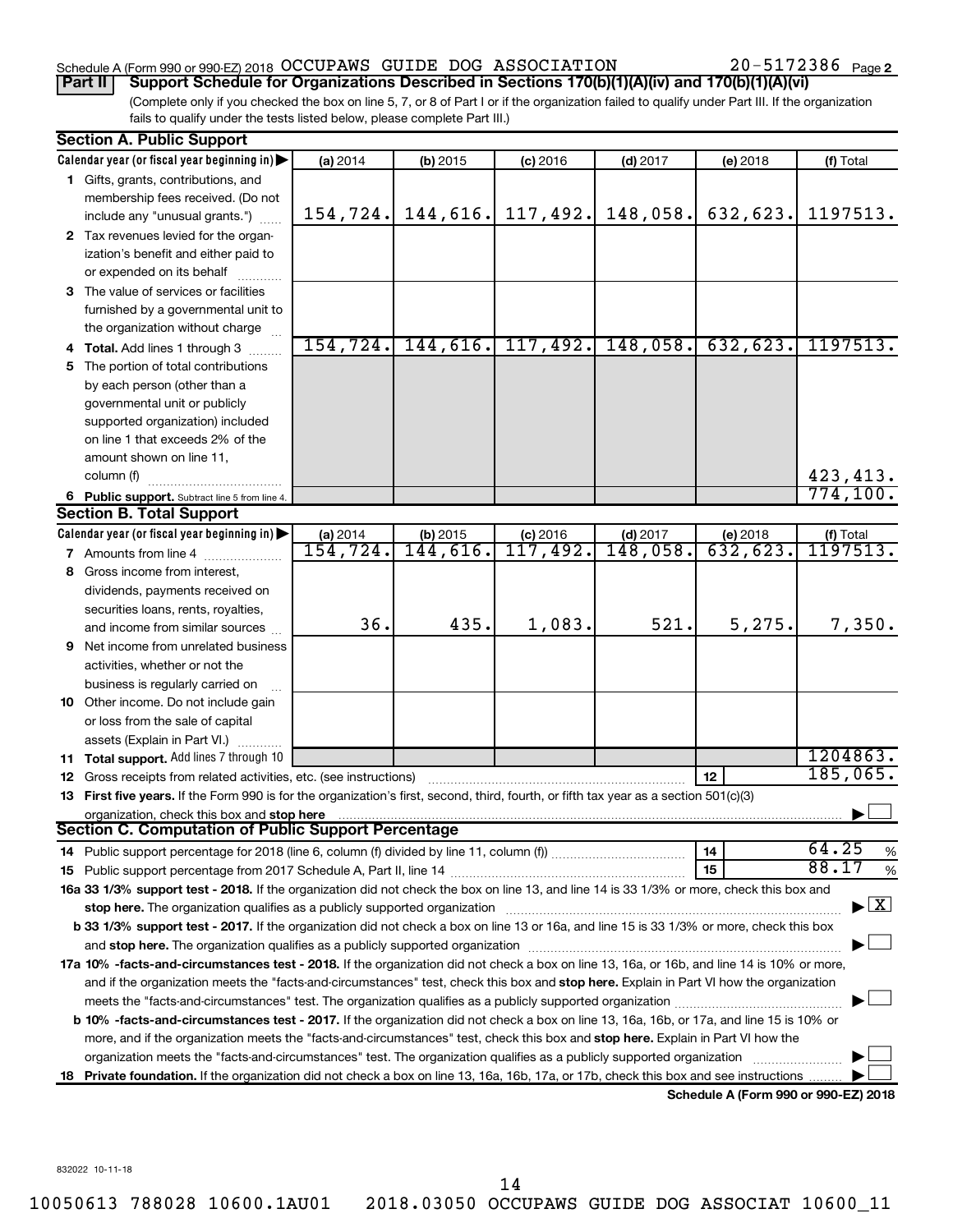## Schedule A (Form 990 or 990-EZ) 2018  $\rm OCCUPANS$  GUIDE DOG  $\rm ASSOCIATION$   $20-5172386$   $_{\rm Page}$

20-5172386 Page 2

(Complete only if you checked the box on line 5, 7, or 8 of Part I or if the organization failed to qualify under Part III. If the organization fails to qualify under the tests listed below, please complete Part III.) **Part II Support Schedule for Organizations Described in Sections 170(b)(1)(A)(iv) and 170(b)(1)(A)(vi)**

| Calendar year (or fiscal year beginning in)<br>(a) 2014<br>(f) Total<br>$(b)$ 2015<br>$(c)$ 2016<br>$(d)$ 2017<br>(e) 2018<br>1 Gifts, grants, contributions, and<br>membership fees received. (Do not<br>144,616.<br>117,492.<br>148,058.<br>632,623.<br>1197513.<br>154, 724.<br>include any "unusual grants.")<br>2 Tax revenues levied for the organ-<br>ization's benefit and either paid to<br>or expended on its behalf<br>3 The value of services or facilities<br>furnished by a governmental unit to<br>the organization without charge<br>154, 724.<br>144,616.<br>117,492.<br>148,058.<br>632,623.<br>1197513.<br>4 Total. Add lines 1 through 3<br>The portion of total contributions<br>5.<br>by each person (other than a<br>governmental unit or publicly<br>supported organization) included<br>on line 1 that exceeds 2% of the<br>amount shown on line 11,<br>423, 413.<br>column (f)<br>774, 100.<br>6 Public support. Subtract line 5 from line 4.<br><b>Section B. Total Support</b><br>Calendar year (or fiscal year beginning in)<br>$(d)$ 2017<br>(a) 2014<br>$(b)$ 2015<br>$(c)$ 2016<br>(e) 2018<br>(f) Total<br><del>1197513.</del><br>144,616.<br>117,492.<br>632,623.<br>154,724.<br>148,058.<br><b>7</b> Amounts from line 4<br>8 Gross income from interest,<br>dividends, payments received on<br>securities loans, rents, royalties,<br>435.<br>521.<br>36.<br>1,083.<br>5,275.<br>7,350.<br>and income from similar sources<br>9 Net income from unrelated business<br>activities, whether or not the<br>business is regularly carried on<br>10 Other income. Do not include gain<br>or loss from the sale of capital<br>assets (Explain in Part VI.)<br>1204863.<br>11 Total support. Add lines 7 through 10<br>185,065.<br>12<br><b>12</b> Gross receipts from related activities, etc. (see instructions)<br>13 First five years. If the Form 990 is for the organization's first, second, third, fourth, or fifth tax year as a section 501(c)(3)<br>organization, check this box and stop here<br>Section C. Computation of Public Support Percentage<br>64.25<br>14<br>$\%$<br>88.17<br>15<br>$\%$<br>16a 33 1/3% support test - 2018. If the organization did not check the box on line 13, and line 14 is 33 1/3% or more, check this box and<br>$\blacktriangleright$ $\boxed{\text{X}}$<br>b 33 1/3% support test - 2017. If the organization did not check a box on line 13 or 16a, and line 15 is 33 1/3% or more, check this box<br>and stop here. The organization qualifies as a publicly supported organization [11,111] and stop here. The organization [11] and stop here. The organization [11] and stop here. The organization [11] and stop here is a publ<br>17a 10% -facts-and-circumstances test - 2018. If the organization did not check a box on line 13, 16a, or 16b, and line 14 is 10% or more,<br>and if the organization meets the "facts-and-circumstances" test, check this box and stop here. Explain in Part VI how the organization<br>b 10% -facts-and-circumstances test - 2017. If the organization did not check a box on line 13, 16a, 16b, or 17a, and line 15 is 10% or<br>more, and if the organization meets the "facts-and-circumstances" test, check this box and stop here. Explain in Part VI how the<br>organization meets the "facts-and-circumstances" test. The organization qualifies as a publicly supported organization<br>18 Private foundation. If the organization did not check a box on line 13, 16a, 16b, 17a, or 17b, check this box and see instructions<br>Schedule A (Form 990 or 990-F7) 2018 | <b>Section A. Public Support</b> |  |  |  |
|-------------------------------------------------------------------------------------------------------------------------------------------------------------------------------------------------------------------------------------------------------------------------------------------------------------------------------------------------------------------------------------------------------------------------------------------------------------------------------------------------------------------------------------------------------------------------------------------------------------------------------------------------------------------------------------------------------------------------------------------------------------------------------------------------------------------------------------------------------------------------------------------------------------------------------------------------------------------------------------------------------------------------------------------------------------------------------------------------------------------------------------------------------------------------------------------------------------------------------------------------------------------------------------------------------------------------------------------------------------------------------------------------------------------------------------------------------------------------------------------------------------------------------------------------------------------------------------------------------------------------------------------------------------------------------------------------------------------------------------------------------------------------------------------------------------------------------------------------------------------------------------------------------------------------------------------------------------------------------------------------------------------------------------------------------------------------------------------------------------------------------------------------------------------------------------------------------------------------------------------------------------------------------------------------------------------------------------------------------------------------------------------------------------------------------------------------------------------------------------------------------------------------------------------------------------------------------------------------------------------------------------------------------------------------------------------------------------------------------------------------------------------------------------------------------------------------------------------------------------------------------------------------------------------------------------------------------------------------------------------------------------------------------------------------------------------------------------------------------------------------------------------------------------------------------------------------------------------------------------------------------------------------------------------------------------------------------------------------------------------------------------------------------------------------------------------------------------------------------------------------------------------------------------------------------------------------------------------------------|----------------------------------|--|--|--|
|                                                                                                                                                                                                                                                                                                                                                                                                                                                                                                                                                                                                                                                                                                                                                                                                                                                                                                                                                                                                                                                                                                                                                                                                                                                                                                                                                                                                                                                                                                                                                                                                                                                                                                                                                                                                                                                                                                                                                                                                                                                                                                                                                                                                                                                                                                                                                                                                                                                                                                                                                                                                                                                                                                                                                                                                                                                                                                                                                                                                                                                                                                                                                                                                                                                                                                                                                                                                                                                                                                                                                                                                       |                                  |  |  |  |
|                                                                                                                                                                                                                                                                                                                                                                                                                                                                                                                                                                                                                                                                                                                                                                                                                                                                                                                                                                                                                                                                                                                                                                                                                                                                                                                                                                                                                                                                                                                                                                                                                                                                                                                                                                                                                                                                                                                                                                                                                                                                                                                                                                                                                                                                                                                                                                                                                                                                                                                                                                                                                                                                                                                                                                                                                                                                                                                                                                                                                                                                                                                                                                                                                                                                                                                                                                                                                                                                                                                                                                                                       |                                  |  |  |  |
|                                                                                                                                                                                                                                                                                                                                                                                                                                                                                                                                                                                                                                                                                                                                                                                                                                                                                                                                                                                                                                                                                                                                                                                                                                                                                                                                                                                                                                                                                                                                                                                                                                                                                                                                                                                                                                                                                                                                                                                                                                                                                                                                                                                                                                                                                                                                                                                                                                                                                                                                                                                                                                                                                                                                                                                                                                                                                                                                                                                                                                                                                                                                                                                                                                                                                                                                                                                                                                                                                                                                                                                                       |                                  |  |  |  |
|                                                                                                                                                                                                                                                                                                                                                                                                                                                                                                                                                                                                                                                                                                                                                                                                                                                                                                                                                                                                                                                                                                                                                                                                                                                                                                                                                                                                                                                                                                                                                                                                                                                                                                                                                                                                                                                                                                                                                                                                                                                                                                                                                                                                                                                                                                                                                                                                                                                                                                                                                                                                                                                                                                                                                                                                                                                                                                                                                                                                                                                                                                                                                                                                                                                                                                                                                                                                                                                                                                                                                                                                       |                                  |  |  |  |
|                                                                                                                                                                                                                                                                                                                                                                                                                                                                                                                                                                                                                                                                                                                                                                                                                                                                                                                                                                                                                                                                                                                                                                                                                                                                                                                                                                                                                                                                                                                                                                                                                                                                                                                                                                                                                                                                                                                                                                                                                                                                                                                                                                                                                                                                                                                                                                                                                                                                                                                                                                                                                                                                                                                                                                                                                                                                                                                                                                                                                                                                                                                                                                                                                                                                                                                                                                                                                                                                                                                                                                                                       |                                  |  |  |  |
|                                                                                                                                                                                                                                                                                                                                                                                                                                                                                                                                                                                                                                                                                                                                                                                                                                                                                                                                                                                                                                                                                                                                                                                                                                                                                                                                                                                                                                                                                                                                                                                                                                                                                                                                                                                                                                                                                                                                                                                                                                                                                                                                                                                                                                                                                                                                                                                                                                                                                                                                                                                                                                                                                                                                                                                                                                                                                                                                                                                                                                                                                                                                                                                                                                                                                                                                                                                                                                                                                                                                                                                                       |                                  |  |  |  |
|                                                                                                                                                                                                                                                                                                                                                                                                                                                                                                                                                                                                                                                                                                                                                                                                                                                                                                                                                                                                                                                                                                                                                                                                                                                                                                                                                                                                                                                                                                                                                                                                                                                                                                                                                                                                                                                                                                                                                                                                                                                                                                                                                                                                                                                                                                                                                                                                                                                                                                                                                                                                                                                                                                                                                                                                                                                                                                                                                                                                                                                                                                                                                                                                                                                                                                                                                                                                                                                                                                                                                                                                       |                                  |  |  |  |
|                                                                                                                                                                                                                                                                                                                                                                                                                                                                                                                                                                                                                                                                                                                                                                                                                                                                                                                                                                                                                                                                                                                                                                                                                                                                                                                                                                                                                                                                                                                                                                                                                                                                                                                                                                                                                                                                                                                                                                                                                                                                                                                                                                                                                                                                                                                                                                                                                                                                                                                                                                                                                                                                                                                                                                                                                                                                                                                                                                                                                                                                                                                                                                                                                                                                                                                                                                                                                                                                                                                                                                                                       |                                  |  |  |  |
|                                                                                                                                                                                                                                                                                                                                                                                                                                                                                                                                                                                                                                                                                                                                                                                                                                                                                                                                                                                                                                                                                                                                                                                                                                                                                                                                                                                                                                                                                                                                                                                                                                                                                                                                                                                                                                                                                                                                                                                                                                                                                                                                                                                                                                                                                                                                                                                                                                                                                                                                                                                                                                                                                                                                                                                                                                                                                                                                                                                                                                                                                                                                                                                                                                                                                                                                                                                                                                                                                                                                                                                                       |                                  |  |  |  |
|                                                                                                                                                                                                                                                                                                                                                                                                                                                                                                                                                                                                                                                                                                                                                                                                                                                                                                                                                                                                                                                                                                                                                                                                                                                                                                                                                                                                                                                                                                                                                                                                                                                                                                                                                                                                                                                                                                                                                                                                                                                                                                                                                                                                                                                                                                                                                                                                                                                                                                                                                                                                                                                                                                                                                                                                                                                                                                                                                                                                                                                                                                                                                                                                                                                                                                                                                                                                                                                                                                                                                                                                       |                                  |  |  |  |
|                                                                                                                                                                                                                                                                                                                                                                                                                                                                                                                                                                                                                                                                                                                                                                                                                                                                                                                                                                                                                                                                                                                                                                                                                                                                                                                                                                                                                                                                                                                                                                                                                                                                                                                                                                                                                                                                                                                                                                                                                                                                                                                                                                                                                                                                                                                                                                                                                                                                                                                                                                                                                                                                                                                                                                                                                                                                                                                                                                                                                                                                                                                                                                                                                                                                                                                                                                                                                                                                                                                                                                                                       |                                  |  |  |  |
|                                                                                                                                                                                                                                                                                                                                                                                                                                                                                                                                                                                                                                                                                                                                                                                                                                                                                                                                                                                                                                                                                                                                                                                                                                                                                                                                                                                                                                                                                                                                                                                                                                                                                                                                                                                                                                                                                                                                                                                                                                                                                                                                                                                                                                                                                                                                                                                                                                                                                                                                                                                                                                                                                                                                                                                                                                                                                                                                                                                                                                                                                                                                                                                                                                                                                                                                                                                                                                                                                                                                                                                                       |                                  |  |  |  |
|                                                                                                                                                                                                                                                                                                                                                                                                                                                                                                                                                                                                                                                                                                                                                                                                                                                                                                                                                                                                                                                                                                                                                                                                                                                                                                                                                                                                                                                                                                                                                                                                                                                                                                                                                                                                                                                                                                                                                                                                                                                                                                                                                                                                                                                                                                                                                                                                                                                                                                                                                                                                                                                                                                                                                                                                                                                                                                                                                                                                                                                                                                                                                                                                                                                                                                                                                                                                                                                                                                                                                                                                       |                                  |  |  |  |
|                                                                                                                                                                                                                                                                                                                                                                                                                                                                                                                                                                                                                                                                                                                                                                                                                                                                                                                                                                                                                                                                                                                                                                                                                                                                                                                                                                                                                                                                                                                                                                                                                                                                                                                                                                                                                                                                                                                                                                                                                                                                                                                                                                                                                                                                                                                                                                                                                                                                                                                                                                                                                                                                                                                                                                                                                                                                                                                                                                                                                                                                                                                                                                                                                                                                                                                                                                                                                                                                                                                                                                                                       |                                  |  |  |  |
|                                                                                                                                                                                                                                                                                                                                                                                                                                                                                                                                                                                                                                                                                                                                                                                                                                                                                                                                                                                                                                                                                                                                                                                                                                                                                                                                                                                                                                                                                                                                                                                                                                                                                                                                                                                                                                                                                                                                                                                                                                                                                                                                                                                                                                                                                                                                                                                                                                                                                                                                                                                                                                                                                                                                                                                                                                                                                                                                                                                                                                                                                                                                                                                                                                                                                                                                                                                                                                                                                                                                                                                                       |                                  |  |  |  |
|                                                                                                                                                                                                                                                                                                                                                                                                                                                                                                                                                                                                                                                                                                                                                                                                                                                                                                                                                                                                                                                                                                                                                                                                                                                                                                                                                                                                                                                                                                                                                                                                                                                                                                                                                                                                                                                                                                                                                                                                                                                                                                                                                                                                                                                                                                                                                                                                                                                                                                                                                                                                                                                                                                                                                                                                                                                                                                                                                                                                                                                                                                                                                                                                                                                                                                                                                                                                                                                                                                                                                                                                       |                                  |  |  |  |
|                                                                                                                                                                                                                                                                                                                                                                                                                                                                                                                                                                                                                                                                                                                                                                                                                                                                                                                                                                                                                                                                                                                                                                                                                                                                                                                                                                                                                                                                                                                                                                                                                                                                                                                                                                                                                                                                                                                                                                                                                                                                                                                                                                                                                                                                                                                                                                                                                                                                                                                                                                                                                                                                                                                                                                                                                                                                                                                                                                                                                                                                                                                                                                                                                                                                                                                                                                                                                                                                                                                                                                                                       |                                  |  |  |  |
|                                                                                                                                                                                                                                                                                                                                                                                                                                                                                                                                                                                                                                                                                                                                                                                                                                                                                                                                                                                                                                                                                                                                                                                                                                                                                                                                                                                                                                                                                                                                                                                                                                                                                                                                                                                                                                                                                                                                                                                                                                                                                                                                                                                                                                                                                                                                                                                                                                                                                                                                                                                                                                                                                                                                                                                                                                                                                                                                                                                                                                                                                                                                                                                                                                                                                                                                                                                                                                                                                                                                                                                                       |                                  |  |  |  |
|                                                                                                                                                                                                                                                                                                                                                                                                                                                                                                                                                                                                                                                                                                                                                                                                                                                                                                                                                                                                                                                                                                                                                                                                                                                                                                                                                                                                                                                                                                                                                                                                                                                                                                                                                                                                                                                                                                                                                                                                                                                                                                                                                                                                                                                                                                                                                                                                                                                                                                                                                                                                                                                                                                                                                                                                                                                                                                                                                                                                                                                                                                                                                                                                                                                                                                                                                                                                                                                                                                                                                                                                       |                                  |  |  |  |
|                                                                                                                                                                                                                                                                                                                                                                                                                                                                                                                                                                                                                                                                                                                                                                                                                                                                                                                                                                                                                                                                                                                                                                                                                                                                                                                                                                                                                                                                                                                                                                                                                                                                                                                                                                                                                                                                                                                                                                                                                                                                                                                                                                                                                                                                                                                                                                                                                                                                                                                                                                                                                                                                                                                                                                                                                                                                                                                                                                                                                                                                                                                                                                                                                                                                                                                                                                                                                                                                                                                                                                                                       |                                  |  |  |  |
|                                                                                                                                                                                                                                                                                                                                                                                                                                                                                                                                                                                                                                                                                                                                                                                                                                                                                                                                                                                                                                                                                                                                                                                                                                                                                                                                                                                                                                                                                                                                                                                                                                                                                                                                                                                                                                                                                                                                                                                                                                                                                                                                                                                                                                                                                                                                                                                                                                                                                                                                                                                                                                                                                                                                                                                                                                                                                                                                                                                                                                                                                                                                                                                                                                                                                                                                                                                                                                                                                                                                                                                                       |                                  |  |  |  |
|                                                                                                                                                                                                                                                                                                                                                                                                                                                                                                                                                                                                                                                                                                                                                                                                                                                                                                                                                                                                                                                                                                                                                                                                                                                                                                                                                                                                                                                                                                                                                                                                                                                                                                                                                                                                                                                                                                                                                                                                                                                                                                                                                                                                                                                                                                                                                                                                                                                                                                                                                                                                                                                                                                                                                                                                                                                                                                                                                                                                                                                                                                                                                                                                                                                                                                                                                                                                                                                                                                                                                                                                       |                                  |  |  |  |
|                                                                                                                                                                                                                                                                                                                                                                                                                                                                                                                                                                                                                                                                                                                                                                                                                                                                                                                                                                                                                                                                                                                                                                                                                                                                                                                                                                                                                                                                                                                                                                                                                                                                                                                                                                                                                                                                                                                                                                                                                                                                                                                                                                                                                                                                                                                                                                                                                                                                                                                                                                                                                                                                                                                                                                                                                                                                                                                                                                                                                                                                                                                                                                                                                                                                                                                                                                                                                                                                                                                                                                                                       |                                  |  |  |  |
|                                                                                                                                                                                                                                                                                                                                                                                                                                                                                                                                                                                                                                                                                                                                                                                                                                                                                                                                                                                                                                                                                                                                                                                                                                                                                                                                                                                                                                                                                                                                                                                                                                                                                                                                                                                                                                                                                                                                                                                                                                                                                                                                                                                                                                                                                                                                                                                                                                                                                                                                                                                                                                                                                                                                                                                                                                                                                                                                                                                                                                                                                                                                                                                                                                                                                                                                                                                                                                                                                                                                                                                                       |                                  |  |  |  |
|                                                                                                                                                                                                                                                                                                                                                                                                                                                                                                                                                                                                                                                                                                                                                                                                                                                                                                                                                                                                                                                                                                                                                                                                                                                                                                                                                                                                                                                                                                                                                                                                                                                                                                                                                                                                                                                                                                                                                                                                                                                                                                                                                                                                                                                                                                                                                                                                                                                                                                                                                                                                                                                                                                                                                                                                                                                                                                                                                                                                                                                                                                                                                                                                                                                                                                                                                                                                                                                                                                                                                                                                       |                                  |  |  |  |
|                                                                                                                                                                                                                                                                                                                                                                                                                                                                                                                                                                                                                                                                                                                                                                                                                                                                                                                                                                                                                                                                                                                                                                                                                                                                                                                                                                                                                                                                                                                                                                                                                                                                                                                                                                                                                                                                                                                                                                                                                                                                                                                                                                                                                                                                                                                                                                                                                                                                                                                                                                                                                                                                                                                                                                                                                                                                                                                                                                                                                                                                                                                                                                                                                                                                                                                                                                                                                                                                                                                                                                                                       |                                  |  |  |  |
|                                                                                                                                                                                                                                                                                                                                                                                                                                                                                                                                                                                                                                                                                                                                                                                                                                                                                                                                                                                                                                                                                                                                                                                                                                                                                                                                                                                                                                                                                                                                                                                                                                                                                                                                                                                                                                                                                                                                                                                                                                                                                                                                                                                                                                                                                                                                                                                                                                                                                                                                                                                                                                                                                                                                                                                                                                                                                                                                                                                                                                                                                                                                                                                                                                                                                                                                                                                                                                                                                                                                                                                                       |                                  |  |  |  |
|                                                                                                                                                                                                                                                                                                                                                                                                                                                                                                                                                                                                                                                                                                                                                                                                                                                                                                                                                                                                                                                                                                                                                                                                                                                                                                                                                                                                                                                                                                                                                                                                                                                                                                                                                                                                                                                                                                                                                                                                                                                                                                                                                                                                                                                                                                                                                                                                                                                                                                                                                                                                                                                                                                                                                                                                                                                                                                                                                                                                                                                                                                                                                                                                                                                                                                                                                                                                                                                                                                                                                                                                       |                                  |  |  |  |
|                                                                                                                                                                                                                                                                                                                                                                                                                                                                                                                                                                                                                                                                                                                                                                                                                                                                                                                                                                                                                                                                                                                                                                                                                                                                                                                                                                                                                                                                                                                                                                                                                                                                                                                                                                                                                                                                                                                                                                                                                                                                                                                                                                                                                                                                                                                                                                                                                                                                                                                                                                                                                                                                                                                                                                                                                                                                                                                                                                                                                                                                                                                                                                                                                                                                                                                                                                                                                                                                                                                                                                                                       |                                  |  |  |  |
|                                                                                                                                                                                                                                                                                                                                                                                                                                                                                                                                                                                                                                                                                                                                                                                                                                                                                                                                                                                                                                                                                                                                                                                                                                                                                                                                                                                                                                                                                                                                                                                                                                                                                                                                                                                                                                                                                                                                                                                                                                                                                                                                                                                                                                                                                                                                                                                                                                                                                                                                                                                                                                                                                                                                                                                                                                                                                                                                                                                                                                                                                                                                                                                                                                                                                                                                                                                                                                                                                                                                                                                                       |                                  |  |  |  |
|                                                                                                                                                                                                                                                                                                                                                                                                                                                                                                                                                                                                                                                                                                                                                                                                                                                                                                                                                                                                                                                                                                                                                                                                                                                                                                                                                                                                                                                                                                                                                                                                                                                                                                                                                                                                                                                                                                                                                                                                                                                                                                                                                                                                                                                                                                                                                                                                                                                                                                                                                                                                                                                                                                                                                                                                                                                                                                                                                                                                                                                                                                                                                                                                                                                                                                                                                                                                                                                                                                                                                                                                       |                                  |  |  |  |
|                                                                                                                                                                                                                                                                                                                                                                                                                                                                                                                                                                                                                                                                                                                                                                                                                                                                                                                                                                                                                                                                                                                                                                                                                                                                                                                                                                                                                                                                                                                                                                                                                                                                                                                                                                                                                                                                                                                                                                                                                                                                                                                                                                                                                                                                                                                                                                                                                                                                                                                                                                                                                                                                                                                                                                                                                                                                                                                                                                                                                                                                                                                                                                                                                                                                                                                                                                                                                                                                                                                                                                                                       |                                  |  |  |  |
|                                                                                                                                                                                                                                                                                                                                                                                                                                                                                                                                                                                                                                                                                                                                                                                                                                                                                                                                                                                                                                                                                                                                                                                                                                                                                                                                                                                                                                                                                                                                                                                                                                                                                                                                                                                                                                                                                                                                                                                                                                                                                                                                                                                                                                                                                                                                                                                                                                                                                                                                                                                                                                                                                                                                                                                                                                                                                                                                                                                                                                                                                                                                                                                                                                                                                                                                                                                                                                                                                                                                                                                                       |                                  |  |  |  |
|                                                                                                                                                                                                                                                                                                                                                                                                                                                                                                                                                                                                                                                                                                                                                                                                                                                                                                                                                                                                                                                                                                                                                                                                                                                                                                                                                                                                                                                                                                                                                                                                                                                                                                                                                                                                                                                                                                                                                                                                                                                                                                                                                                                                                                                                                                                                                                                                                                                                                                                                                                                                                                                                                                                                                                                                                                                                                                                                                                                                                                                                                                                                                                                                                                                                                                                                                                                                                                                                                                                                                                                                       |                                  |  |  |  |
|                                                                                                                                                                                                                                                                                                                                                                                                                                                                                                                                                                                                                                                                                                                                                                                                                                                                                                                                                                                                                                                                                                                                                                                                                                                                                                                                                                                                                                                                                                                                                                                                                                                                                                                                                                                                                                                                                                                                                                                                                                                                                                                                                                                                                                                                                                                                                                                                                                                                                                                                                                                                                                                                                                                                                                                                                                                                                                                                                                                                                                                                                                                                                                                                                                                                                                                                                                                                                                                                                                                                                                                                       |                                  |  |  |  |
|                                                                                                                                                                                                                                                                                                                                                                                                                                                                                                                                                                                                                                                                                                                                                                                                                                                                                                                                                                                                                                                                                                                                                                                                                                                                                                                                                                                                                                                                                                                                                                                                                                                                                                                                                                                                                                                                                                                                                                                                                                                                                                                                                                                                                                                                                                                                                                                                                                                                                                                                                                                                                                                                                                                                                                                                                                                                                                                                                                                                                                                                                                                                                                                                                                                                                                                                                                                                                                                                                                                                                                                                       |                                  |  |  |  |
|                                                                                                                                                                                                                                                                                                                                                                                                                                                                                                                                                                                                                                                                                                                                                                                                                                                                                                                                                                                                                                                                                                                                                                                                                                                                                                                                                                                                                                                                                                                                                                                                                                                                                                                                                                                                                                                                                                                                                                                                                                                                                                                                                                                                                                                                                                                                                                                                                                                                                                                                                                                                                                                                                                                                                                                                                                                                                                                                                                                                                                                                                                                                                                                                                                                                                                                                                                                                                                                                                                                                                                                                       |                                  |  |  |  |
|                                                                                                                                                                                                                                                                                                                                                                                                                                                                                                                                                                                                                                                                                                                                                                                                                                                                                                                                                                                                                                                                                                                                                                                                                                                                                                                                                                                                                                                                                                                                                                                                                                                                                                                                                                                                                                                                                                                                                                                                                                                                                                                                                                                                                                                                                                                                                                                                                                                                                                                                                                                                                                                                                                                                                                                                                                                                                                                                                                                                                                                                                                                                                                                                                                                                                                                                                                                                                                                                                                                                                                                                       |                                  |  |  |  |
|                                                                                                                                                                                                                                                                                                                                                                                                                                                                                                                                                                                                                                                                                                                                                                                                                                                                                                                                                                                                                                                                                                                                                                                                                                                                                                                                                                                                                                                                                                                                                                                                                                                                                                                                                                                                                                                                                                                                                                                                                                                                                                                                                                                                                                                                                                                                                                                                                                                                                                                                                                                                                                                                                                                                                                                                                                                                                                                                                                                                                                                                                                                                                                                                                                                                                                                                                                                                                                                                                                                                                                                                       |                                  |  |  |  |
|                                                                                                                                                                                                                                                                                                                                                                                                                                                                                                                                                                                                                                                                                                                                                                                                                                                                                                                                                                                                                                                                                                                                                                                                                                                                                                                                                                                                                                                                                                                                                                                                                                                                                                                                                                                                                                                                                                                                                                                                                                                                                                                                                                                                                                                                                                                                                                                                                                                                                                                                                                                                                                                                                                                                                                                                                                                                                                                                                                                                                                                                                                                                                                                                                                                                                                                                                                                                                                                                                                                                                                                                       |                                  |  |  |  |
|                                                                                                                                                                                                                                                                                                                                                                                                                                                                                                                                                                                                                                                                                                                                                                                                                                                                                                                                                                                                                                                                                                                                                                                                                                                                                                                                                                                                                                                                                                                                                                                                                                                                                                                                                                                                                                                                                                                                                                                                                                                                                                                                                                                                                                                                                                                                                                                                                                                                                                                                                                                                                                                                                                                                                                                                                                                                                                                                                                                                                                                                                                                                                                                                                                                                                                                                                                                                                                                                                                                                                                                                       |                                  |  |  |  |
|                                                                                                                                                                                                                                                                                                                                                                                                                                                                                                                                                                                                                                                                                                                                                                                                                                                                                                                                                                                                                                                                                                                                                                                                                                                                                                                                                                                                                                                                                                                                                                                                                                                                                                                                                                                                                                                                                                                                                                                                                                                                                                                                                                                                                                                                                                                                                                                                                                                                                                                                                                                                                                                                                                                                                                                                                                                                                                                                                                                                                                                                                                                                                                                                                                                                                                                                                                                                                                                                                                                                                                                                       |                                  |  |  |  |
|                                                                                                                                                                                                                                                                                                                                                                                                                                                                                                                                                                                                                                                                                                                                                                                                                                                                                                                                                                                                                                                                                                                                                                                                                                                                                                                                                                                                                                                                                                                                                                                                                                                                                                                                                                                                                                                                                                                                                                                                                                                                                                                                                                                                                                                                                                                                                                                                                                                                                                                                                                                                                                                                                                                                                                                                                                                                                                                                                                                                                                                                                                                                                                                                                                                                                                                                                                                                                                                                                                                                                                                                       |                                  |  |  |  |
|                                                                                                                                                                                                                                                                                                                                                                                                                                                                                                                                                                                                                                                                                                                                                                                                                                                                                                                                                                                                                                                                                                                                                                                                                                                                                                                                                                                                                                                                                                                                                                                                                                                                                                                                                                                                                                                                                                                                                                                                                                                                                                                                                                                                                                                                                                                                                                                                                                                                                                                                                                                                                                                                                                                                                                                                                                                                                                                                                                                                                                                                                                                                                                                                                                                                                                                                                                                                                                                                                                                                                                                                       |                                  |  |  |  |
|                                                                                                                                                                                                                                                                                                                                                                                                                                                                                                                                                                                                                                                                                                                                                                                                                                                                                                                                                                                                                                                                                                                                                                                                                                                                                                                                                                                                                                                                                                                                                                                                                                                                                                                                                                                                                                                                                                                                                                                                                                                                                                                                                                                                                                                                                                                                                                                                                                                                                                                                                                                                                                                                                                                                                                                                                                                                                                                                                                                                                                                                                                                                                                                                                                                                                                                                                                                                                                                                                                                                                                                                       |                                  |  |  |  |
|                                                                                                                                                                                                                                                                                                                                                                                                                                                                                                                                                                                                                                                                                                                                                                                                                                                                                                                                                                                                                                                                                                                                                                                                                                                                                                                                                                                                                                                                                                                                                                                                                                                                                                                                                                                                                                                                                                                                                                                                                                                                                                                                                                                                                                                                                                                                                                                                                                                                                                                                                                                                                                                                                                                                                                                                                                                                                                                                                                                                                                                                                                                                                                                                                                                                                                                                                                                                                                                                                                                                                                                                       |                                  |  |  |  |
|                                                                                                                                                                                                                                                                                                                                                                                                                                                                                                                                                                                                                                                                                                                                                                                                                                                                                                                                                                                                                                                                                                                                                                                                                                                                                                                                                                                                                                                                                                                                                                                                                                                                                                                                                                                                                                                                                                                                                                                                                                                                                                                                                                                                                                                                                                                                                                                                                                                                                                                                                                                                                                                                                                                                                                                                                                                                                                                                                                                                                                                                                                                                                                                                                                                                                                                                                                                                                                                                                                                                                                                                       |                                  |  |  |  |
|                                                                                                                                                                                                                                                                                                                                                                                                                                                                                                                                                                                                                                                                                                                                                                                                                                                                                                                                                                                                                                                                                                                                                                                                                                                                                                                                                                                                                                                                                                                                                                                                                                                                                                                                                                                                                                                                                                                                                                                                                                                                                                                                                                                                                                                                                                                                                                                                                                                                                                                                                                                                                                                                                                                                                                                                                                                                                                                                                                                                                                                                                                                                                                                                                                                                                                                                                                                                                                                                                                                                                                                                       |                                  |  |  |  |
|                                                                                                                                                                                                                                                                                                                                                                                                                                                                                                                                                                                                                                                                                                                                                                                                                                                                                                                                                                                                                                                                                                                                                                                                                                                                                                                                                                                                                                                                                                                                                                                                                                                                                                                                                                                                                                                                                                                                                                                                                                                                                                                                                                                                                                                                                                                                                                                                                                                                                                                                                                                                                                                                                                                                                                                                                                                                                                                                                                                                                                                                                                                                                                                                                                                                                                                                                                                                                                                                                                                                                                                                       |                                  |  |  |  |
|                                                                                                                                                                                                                                                                                                                                                                                                                                                                                                                                                                                                                                                                                                                                                                                                                                                                                                                                                                                                                                                                                                                                                                                                                                                                                                                                                                                                                                                                                                                                                                                                                                                                                                                                                                                                                                                                                                                                                                                                                                                                                                                                                                                                                                                                                                                                                                                                                                                                                                                                                                                                                                                                                                                                                                                                                                                                                                                                                                                                                                                                                                                                                                                                                                                                                                                                                                                                                                                                                                                                                                                                       |                                  |  |  |  |
|                                                                                                                                                                                                                                                                                                                                                                                                                                                                                                                                                                                                                                                                                                                                                                                                                                                                                                                                                                                                                                                                                                                                                                                                                                                                                                                                                                                                                                                                                                                                                                                                                                                                                                                                                                                                                                                                                                                                                                                                                                                                                                                                                                                                                                                                                                                                                                                                                                                                                                                                                                                                                                                                                                                                                                                                                                                                                                                                                                                                                                                                                                                                                                                                                                                                                                                                                                                                                                                                                                                                                                                                       |                                  |  |  |  |

**Schedule A (Form 990 or 990-EZ) 2018**

832022 10-11-18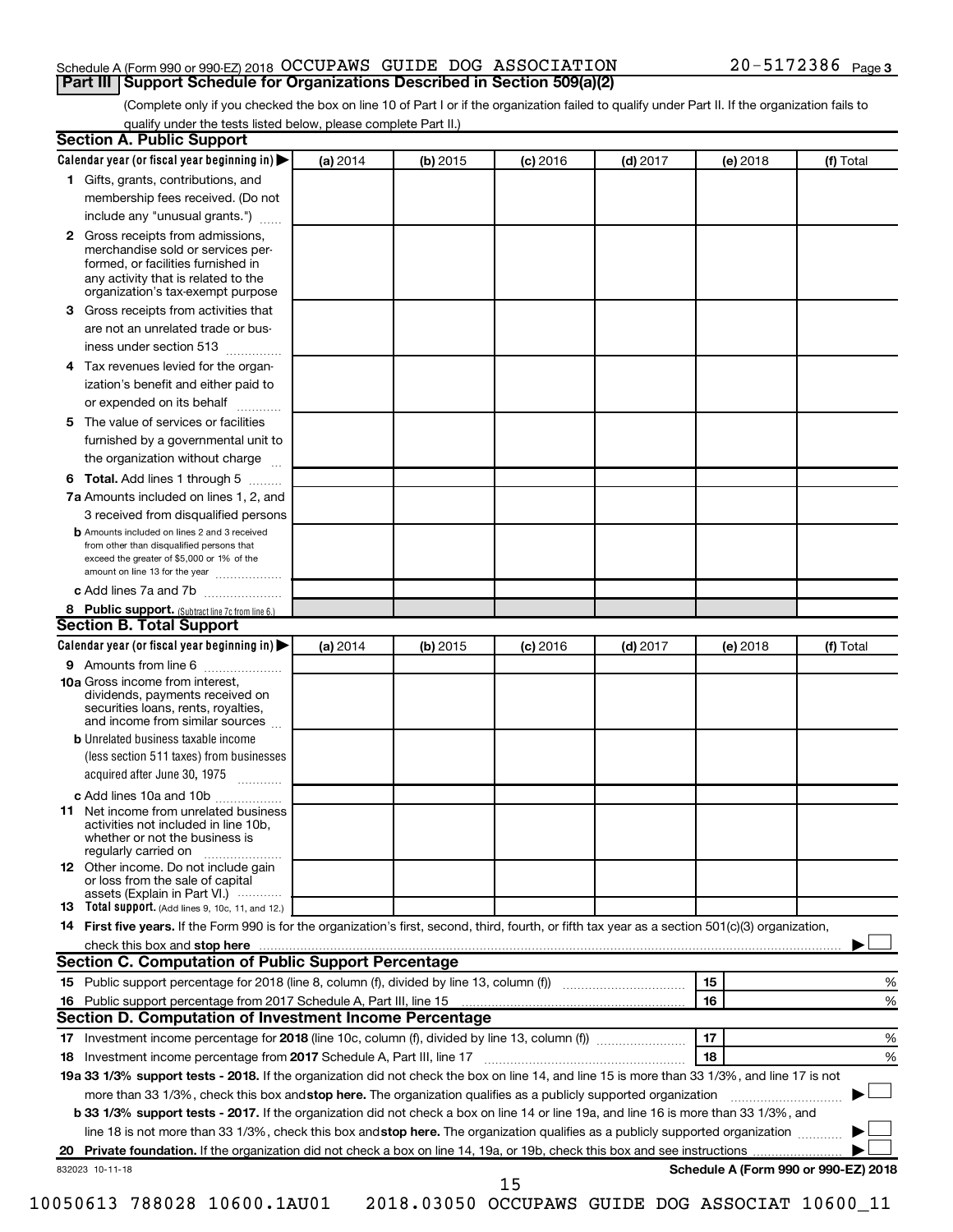## Schedule A (Form 990 or 990-EZ) 2018  $\rm OCCUPANS$  GUIDE DOG  $\rm ASSOCIATION$   $20-5172386$   $_{\rm Page}$ **Part III Support Schedule for Organizations Described in Section 509(a)(2)**

(Complete only if you checked the box on line 10 of Part I or if the organization failed to qualify under Part II. If the organization fails to qualify under the tests listed below, please complete Part II.)

|              | Calendar year (or fiscal year beginning in)                                                                                                                                            | (a) 2014 | (b) 2015 | $(c)$ 2016 | $(d)$ 2017 |    | (e) 2018 | (f) Total                            |
|--------------|----------------------------------------------------------------------------------------------------------------------------------------------------------------------------------------|----------|----------|------------|------------|----|----------|--------------------------------------|
|              | 1 Gifts, grants, contributions, and                                                                                                                                                    |          |          |            |            |    |          |                                      |
|              | membership fees received. (Do not                                                                                                                                                      |          |          |            |            |    |          |                                      |
|              | include any "unusual grants.")                                                                                                                                                         |          |          |            |            |    |          |                                      |
| $\mathbf{2}$ | Gross receipts from admissions,<br>merchandise sold or services per-<br>formed, or facilities furnished in<br>any activity that is related to the<br>organization's tax-exempt purpose |          |          |            |            |    |          |                                      |
| 3            | Gross receipts from activities that                                                                                                                                                    |          |          |            |            |    |          |                                      |
|              | are not an unrelated trade or bus-                                                                                                                                                     |          |          |            |            |    |          |                                      |
|              | iness under section 513                                                                                                                                                                |          |          |            |            |    |          |                                      |
| 4            | Tax revenues levied for the organ-                                                                                                                                                     |          |          |            |            |    |          |                                      |
|              | ization's benefit and either paid to<br>or expended on its behalf<br>.                                                                                                                 |          |          |            |            |    |          |                                      |
| 5            | The value of services or facilities                                                                                                                                                    |          |          |            |            |    |          |                                      |
|              | furnished by a governmental unit to<br>the organization without charge                                                                                                                 |          |          |            |            |    |          |                                      |
| 6            | Total. Add lines 1 through 5                                                                                                                                                           |          |          |            |            |    |          |                                      |
|              | 7a Amounts included on lines 1, 2, and                                                                                                                                                 |          |          |            |            |    |          |                                      |
|              | 3 received from disqualified persons                                                                                                                                                   |          |          |            |            |    |          |                                      |
|              | <b>b</b> Amounts included on lines 2 and 3 received                                                                                                                                    |          |          |            |            |    |          |                                      |
|              | from other than disqualified persons that<br>exceed the greater of \$5,000 or 1% of the<br>amount on line 13 for the year                                                              |          |          |            |            |    |          |                                      |
|              | c Add lines 7a and 7b                                                                                                                                                                  |          |          |            |            |    |          |                                      |
|              | 8 Public support. (Subtract line 7c from line 6.)                                                                                                                                      |          |          |            |            |    |          |                                      |
|              | <b>Section B. Total Support</b>                                                                                                                                                        |          |          |            |            |    |          |                                      |
|              | Calendar year (or fiscal year beginning in)                                                                                                                                            | (a) 2014 | (b) 2015 | $(c)$ 2016 | $(d)$ 2017 |    | (e) 2018 | (f) Total                            |
|              | 9 Amounts from line 6                                                                                                                                                                  |          |          |            |            |    |          |                                      |
|              | <b>10a</b> Gross income from interest,<br>dividends, payments received on<br>securities loans, rents, royalties,<br>and income from similar sources                                    |          |          |            |            |    |          |                                      |
|              | <b>b</b> Unrelated business taxable income                                                                                                                                             |          |          |            |            |    |          |                                      |
|              | (less section 511 taxes) from businesses<br>acquired after June 30, 1975                                                                                                               |          |          |            |            |    |          |                                      |
|              | c Add lines 10a and 10b                                                                                                                                                                |          |          |            |            |    |          |                                      |
| 11           | Net income from unrelated business<br>activities not included in line 10b.<br>whether or not the business is<br>regularly carried on                                                   |          |          |            |            |    |          |                                      |
|              | 12 Other income. Do not include gain<br>or loss from the sale of capital<br>assets (Explain in Part VI.)                                                                               |          |          |            |            |    |          |                                      |
|              | <b>13</b> Total support. (Add lines 9, 10c, 11, and 12.)                                                                                                                               |          |          |            |            |    |          |                                      |
|              | 14 First five years. If the Form 990 is for the organization's first, second, third, fourth, or fifth tax year as a section 501(c)(3) organization,                                    |          |          |            |            |    |          |                                      |
|              |                                                                                                                                                                                        |          |          |            |            |    |          |                                      |
|              |                                                                                                                                                                                        |          |          |            |            |    |          |                                      |
|              | Section C. Computation of Public Support Percentage                                                                                                                                    |          |          |            |            |    |          |                                      |
|              |                                                                                                                                                                                        |          |          |            |            | 15 |          | %                                    |
|              |                                                                                                                                                                                        |          |          |            |            | 16 |          | %                                    |
|              | Section D. Computation of Investment Income Percentage                                                                                                                                 |          |          |            |            |    |          |                                      |
|              |                                                                                                                                                                                        |          |          |            |            | 17 |          | %                                    |
|              |                                                                                                                                                                                        |          |          |            |            | 18 |          | %                                    |
|              | 19a 33 1/3% support tests - 2018. If the organization did not check the box on line 14, and line 15 is more than 33 1/3%, and line 17 is not                                           |          |          |            |            |    |          |                                      |
|              | more than 33 1/3%, check this box and stop here. The organization qualifies as a publicly supported organization                                                                       |          |          |            |            |    |          |                                      |
|              | <b>b 33 1/3% support tests - 2017.</b> If the organization did not check a box on line 14 or line 19a, and line 16 is more than 33 1/3%, and                                           |          |          |            |            |    |          |                                      |
|              | line 18 is not more than 33 1/3%, check this box and stop here. The organization qualifies as a publicly supported organization                                                        |          |          |            |            |    |          |                                      |
|              | 832023 10-11-18                                                                                                                                                                        |          |          |            |            |    |          | Schedule A (Form 990 or 990-EZ) 2018 |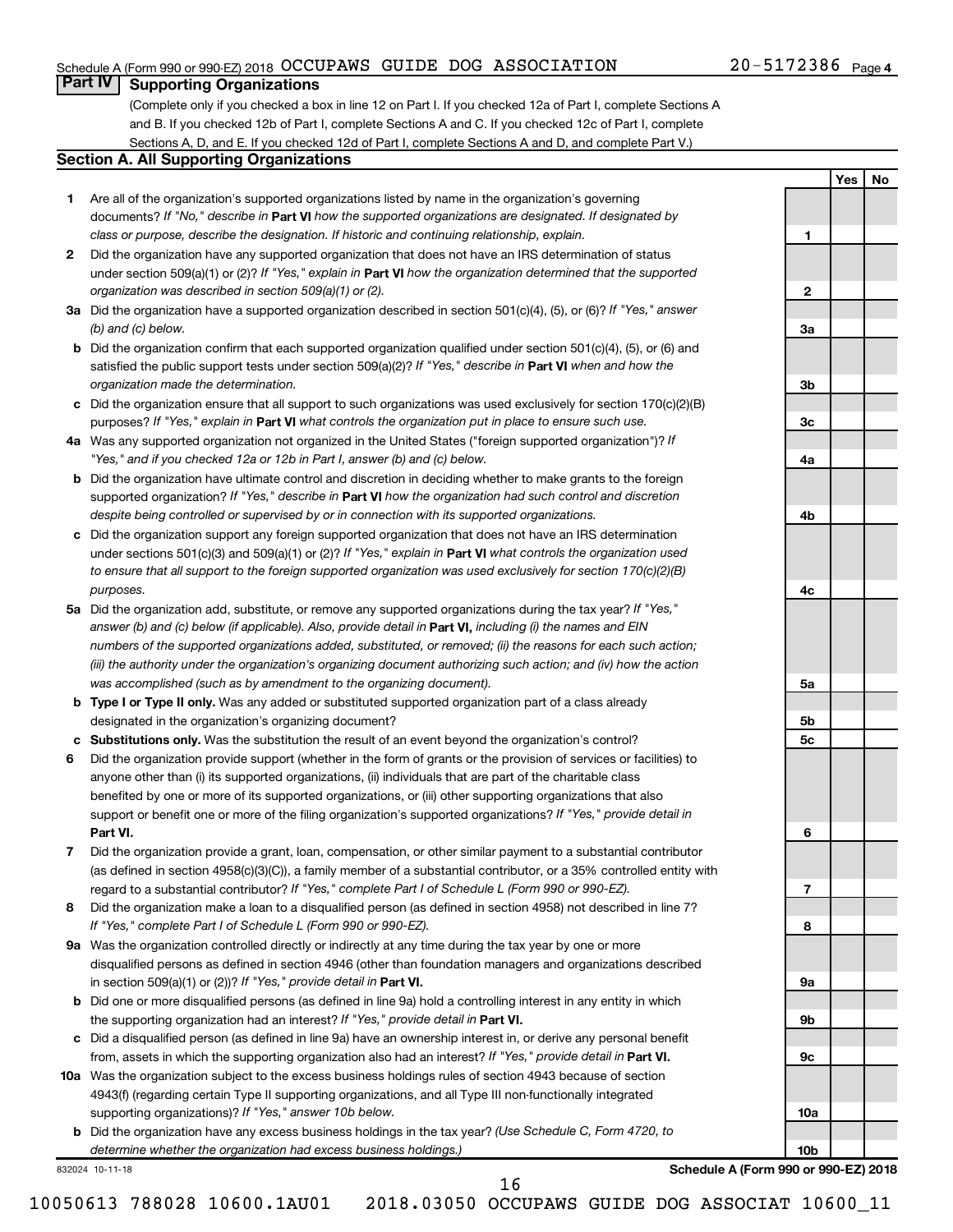## Schedule A (Form 990 or 990-EZ) 2018  $\rm OCCUPANS$  GUIDE DOG  $\rm ASSOCIATION$   $20-5172386$   $_{\rm Page}$

## 20-5172386 Page 4

**1**

**2**

**3a**

**3b**

**3c**

**4a**

**4b**

**4c**

**5a**

**5b 5c**

**6**

**7**

**8**

**9a**

**9b**

**9c**

**10a**

**10b**

**Yes No**

## **Part IV Supporting Organizations**

(Complete only if you checked a box in line 12 on Part I. If you checked 12a of Part I, complete Sections A and B. If you checked 12b of Part I, complete Sections A and C. If you checked 12c of Part I, complete Sections A, D, and E. If you checked 12d of Part I, complete Sections A and D, and complete Part V.)

## **Section A. All Supporting Organizations**

- **1** Are all of the organization's supported organizations listed by name in the organization's governing documents? If "No," describe in Part VI how the supported organizations are designated. If designated by *class or purpose, describe the designation. If historic and continuing relationship, explain.*
- **2** Did the organization have any supported organization that does not have an IRS determination of status under section 509(a)(1) or (2)? If "Yes," explain in Part **VI** how the organization determined that the supported *organization was described in section 509(a)(1) or (2).*
- **3a** Did the organization have a supported organization described in section 501(c)(4), (5), or (6)? If "Yes," answer *(b) and (c) below.*
- **b** Did the organization confirm that each supported organization qualified under section 501(c)(4), (5), or (6) and satisfied the public support tests under section 509(a)(2)? If "Yes," describe in Part VI when and how the *organization made the determination.*
- **c** Did the organization ensure that all support to such organizations was used exclusively for section 170(c)(2)(B) purposes? If "Yes," explain in Part VI what controls the organization put in place to ensure such use.
- **4 a** *If* Was any supported organization not organized in the United States ("foreign supported organization")? *"Yes," and if you checked 12a or 12b in Part I, answer (b) and (c) below.*
- **b** Did the organization have ultimate control and discretion in deciding whether to make grants to the foreign supported organization? If "Yes," describe in Part VI how the organization had such control and discretion *despite being controlled or supervised by or in connection with its supported organizations.*
- **c** Did the organization support any foreign supported organization that does not have an IRS determination under sections 501(c)(3) and 509(a)(1) or (2)? If "Yes," explain in Part VI what controls the organization used *to ensure that all support to the foreign supported organization was used exclusively for section 170(c)(2)(B) purposes.*
- **5a** Did the organization add, substitute, or remove any supported organizations during the tax year? If "Yes," answer (b) and (c) below (if applicable). Also, provide detail in **Part VI,** including (i) the names and EIN *numbers of the supported organizations added, substituted, or removed; (ii) the reasons for each such action; (iii) the authority under the organization's organizing document authorizing such action; and (iv) how the action was accomplished (such as by amendment to the organizing document).*
- **b Type I or Type II only.** Was any added or substituted supported organization part of a class already designated in the organization's organizing document?
- **c Substitutions only.**  Was the substitution the result of an event beyond the organization's control?
- **6** Did the organization provide support (whether in the form of grants or the provision of services or facilities) to **Part VI.** support or benefit one or more of the filing organization's supported organizations? If "Yes," provide detail in anyone other than (i) its supported organizations, (ii) individuals that are part of the charitable class benefited by one or more of its supported organizations, or (iii) other supporting organizations that also
- **7** Did the organization provide a grant, loan, compensation, or other similar payment to a substantial contributor regard to a substantial contributor? If "Yes," complete Part I of Schedule L (Form 990 or 990-EZ). (as defined in section 4958(c)(3)(C)), a family member of a substantial contributor, or a 35% controlled entity with
- **8** Did the organization make a loan to a disqualified person (as defined in section 4958) not described in line 7? *If "Yes," complete Part I of Schedule L (Form 990 or 990-EZ).*
- **9 a** Was the organization controlled directly or indirectly at any time during the tax year by one or more in section 509(a)(1) or (2))? If "Yes," provide detail in **Part VI.** disqualified persons as defined in section 4946 (other than foundation managers and organizations described
- **b** Did one or more disqualified persons (as defined in line 9a) hold a controlling interest in any entity in which the supporting organization had an interest? If "Yes," provide detail in Part VI.
- **c** Did a disqualified person (as defined in line 9a) have an ownership interest in, or derive any personal benefit from, assets in which the supporting organization also had an interest? If "Yes," provide detail in Part VI.
- **10 a** Was the organization subject to the excess business holdings rules of section 4943 because of section supporting organizations)? If "Yes," answer 10b below. 4943(f) (regarding certain Type II supporting organizations, and all Type III non-functionally integrated
	- **b** Did the organization have any excess business holdings in the tax year? (Use Schedule C, Form 4720, to *determine whether the organization had excess business holdings.)*

832024 10-11-18

**Schedule A (Form 990 or 990-EZ) 2018**

16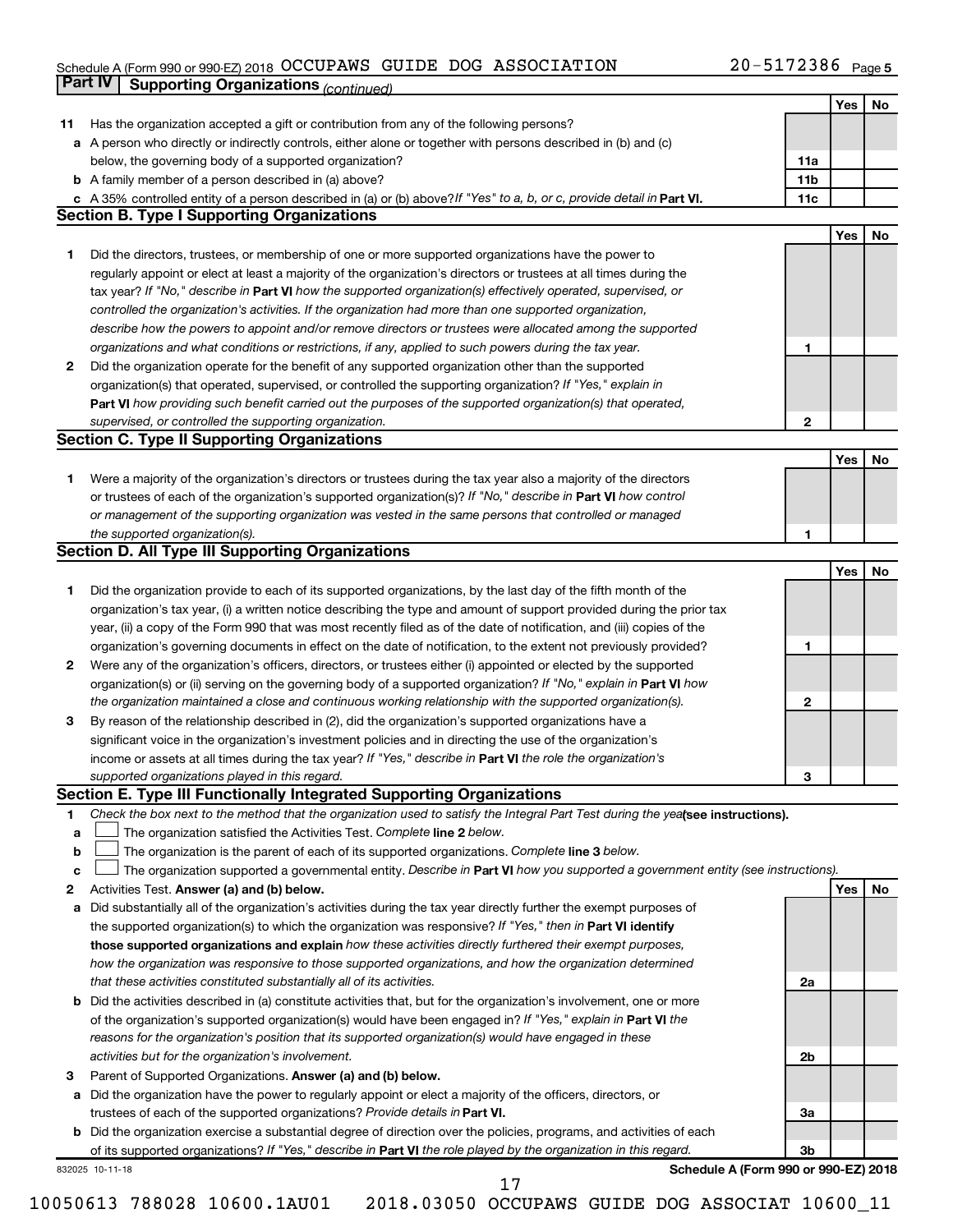### Schedule A (Form 990 or 990-EZ) 2018 Page OCCUPAWS GUIDE DOG ASSOCIATION 20-5172386

|    | Part IV<br><b>Supporting Organizations (continued)</b>                                                                          |                 |     |    |
|----|---------------------------------------------------------------------------------------------------------------------------------|-----------------|-----|----|
|    |                                                                                                                                 |                 | Yes | No |
| 11 | Has the organization accepted a gift or contribution from any of the following persons?                                         |                 |     |    |
|    | a A person who directly or indirectly controls, either alone or together with persons described in (b) and (c)                  |                 |     |    |
|    | below, the governing body of a supported organization?                                                                          | 11a             |     |    |
|    | <b>b</b> A family member of a person described in (a) above?                                                                    | 11 <sub>b</sub> |     |    |
|    | c A 35% controlled entity of a person described in (a) or (b) above? If "Yes" to a, b, or c, provide detail in Part VI.         | 11c             |     |    |
|    | <b>Section B. Type I Supporting Organizations</b>                                                                               |                 |     |    |
|    |                                                                                                                                 |                 | Yes | No |
| 1  | Did the directors, trustees, or membership of one or more supported organizations have the power to                             |                 |     |    |
|    | regularly appoint or elect at least a majority of the organization's directors or trustees at all times during the              |                 |     |    |
|    | tax year? If "No," describe in Part VI how the supported organization(s) effectively operated, supervised, or                   |                 |     |    |
|    |                                                                                                                                 |                 |     |    |
|    | controlled the organization's activities. If the organization had more than one supported organization,                         |                 |     |    |
|    | describe how the powers to appoint and/or remove directors or trustees were allocated among the supported                       |                 |     |    |
|    | organizations and what conditions or restrictions, if any, applied to such powers during the tax year.                          | 1               |     |    |
| 2  | Did the organization operate for the benefit of any supported organization other than the supported                             |                 |     |    |
|    | organization(s) that operated, supervised, or controlled the supporting organization? If "Yes," explain in                      |                 |     |    |
|    | Part VI how providing such benefit carried out the purposes of the supported organization(s) that operated,                     |                 |     |    |
|    | supervised, or controlled the supporting organization.                                                                          | 2               |     |    |
|    | <b>Section C. Type II Supporting Organizations</b>                                                                              |                 |     |    |
|    |                                                                                                                                 |                 | Yes | No |
| 1. | Were a majority of the organization's directors or trustees during the tax year also a majority of the directors                |                 |     |    |
|    | or trustees of each of the organization's supported organization(s)? If "No," describe in Part VI how control                   |                 |     |    |
|    | or management of the supporting organization was vested in the same persons that controlled or managed                          |                 |     |    |
|    | the supported organization(s).                                                                                                  | 1               |     |    |
|    | <b>Section D. All Type III Supporting Organizations</b>                                                                         |                 |     |    |
|    |                                                                                                                                 |                 | Yes | No |
| 1  | Did the organization provide to each of its supported organizations, by the last day of the fifth month of the                  |                 |     |    |
|    | organization's tax year, (i) a written notice describing the type and amount of support provided during the prior tax           |                 |     |    |
|    | year, (ii) a copy of the Form 990 that was most recently filed as of the date of notification, and (iii) copies of the          |                 |     |    |
|    | organization's governing documents in effect on the date of notification, to the extent not previously provided?                | 1               |     |    |
| 2  | Were any of the organization's officers, directors, or trustees either (i) appointed or elected by the supported                |                 |     |    |
|    | organization(s) or (ii) serving on the governing body of a supported organization? If "No," explain in Part VI how              |                 |     |    |
|    | the organization maintained a close and continuous working relationship with the supported organization(s).                     | 2               |     |    |
| 3  | By reason of the relationship described in (2), did the organization's supported organizations have a                           |                 |     |    |
|    | significant voice in the organization's investment policies and in directing the use of the organization's                      |                 |     |    |
|    | income or assets at all times during the tax year? If "Yes," describe in Part VI the role the organization's                    |                 |     |    |
|    | supported organizations played in this regard.                                                                                  | з               |     |    |
|    | Section E. Type III Functionally Integrated Supporting Organizations                                                            |                 |     |    |
| 1  | Check the box next to the method that the organization used to satisfy the Integral Part Test during the yealsee instructions). |                 |     |    |
| a  | The organization satisfied the Activities Test. Complete line 2 below.                                                          |                 |     |    |
| b  | The organization is the parent of each of its supported organizations. Complete line 3 below.                                   |                 |     |    |
| с  | The organization supported a governmental entity. Describe in Part VI how you supported a government entity (see instructions). |                 |     |    |
| 2  | Activities Test. Answer (a) and (b) below.                                                                                      |                 | Yes | No |
| а  | Did substantially all of the organization's activities during the tax year directly further the exempt purposes of              |                 |     |    |
|    | the supported organization(s) to which the organization was responsive? If "Yes," then in Part VI identify                      |                 |     |    |
|    | those supported organizations and explain how these activities directly furthered their exempt purposes,                        |                 |     |    |
|    | how the organization was responsive to those supported organizations, and how the organization determined                       |                 |     |    |
|    | that these activities constituted substantially all of its activities.                                                          | 2a              |     |    |
|    | b Did the activities described in (a) constitute activities that, but for the organization's involvement, one or more           |                 |     |    |
|    | of the organization's supported organization(s) would have been engaged in? If "Yes," explain in Part VI the                    |                 |     |    |
|    | reasons for the organization's position that its supported organization(s) would have engaged in these                          |                 |     |    |
|    | activities but for the organization's involvement.                                                                              | 2b              |     |    |
|    |                                                                                                                                 |                 |     |    |
| з  | Parent of Supported Organizations. Answer (a) and (b) below.                                                                    |                 |     |    |
| а  | Did the organization have the power to regularly appoint or elect a majority of the officers, directors, or                     |                 |     |    |
|    | trustees of each of the supported organizations? Provide details in Part VI.                                                    | За              |     |    |
|    | <b>b</b> Did the organization exercise a substantial degree of direction over the policies, programs, and activities of each    |                 |     |    |
|    | of its supported organizations? If "Yes," describe in Part VI the role played by the organization in this regard.               | 3b              |     |    |
|    | Schedule A (Form 990 or 990-EZ) 2018<br>832025 10-11-18<br>17                                                                   |                 |     |    |
|    |                                                                                                                                 |                 |     |    |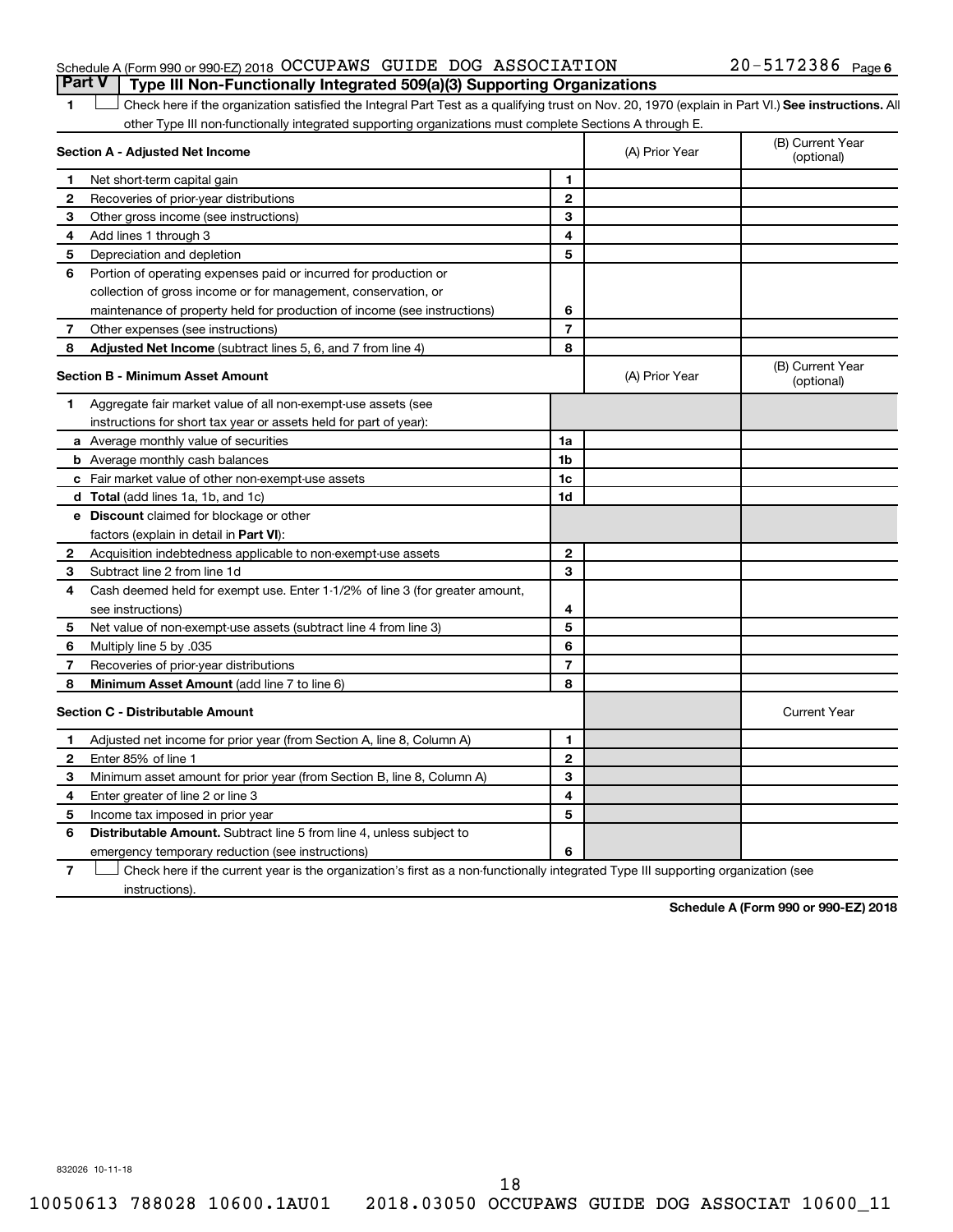## Schedule A (Form 990 or 990-EZ) 2018  $\rm OCCUPANS$  GUIDE DOG  $\rm ASSOCIATION$   $20-5172386$   $_{\rm Page}$ **Part V Type III Non-Functionally Integrated 509(a)(3) Supporting Organizations**

## 20-5172386 Page 6

1 **Letter See instructions.** All Check here if the organization satisfied the Integral Part Test as a qualifying trust on Nov. 20, 1970 (explain in Part VI.) See instructions. All other Type III non-functionally integrated supporting organizations must complete Sections A through E.

| Section A - Adjusted Net Income |                                                                              |                | (A) Prior Year | (B) Current Year<br>(optional) |
|---------------------------------|------------------------------------------------------------------------------|----------------|----------------|--------------------------------|
| 1                               | Net short-term capital gain                                                  | 1              |                |                                |
| $\mathbf{2}$                    | Recoveries of prior-year distributions                                       | $\mathbf{2}$   |                |                                |
| З                               | Other gross income (see instructions)                                        | 3              |                |                                |
| 4                               | Add lines 1 through 3                                                        | 4              |                |                                |
| 5                               | Depreciation and depletion                                                   | 5              |                |                                |
| 6                               | Portion of operating expenses paid or incurred for production or             |                |                |                                |
|                                 | collection of gross income or for management, conservation, or               |                |                |                                |
|                                 | maintenance of property held for production of income (see instructions)     | 6              |                |                                |
| 7                               | Other expenses (see instructions)                                            | $\overline{7}$ |                |                                |
| 8                               | Adjusted Net Income (subtract lines 5, 6, and 7 from line 4)                 | 8              |                |                                |
|                                 | <b>Section B - Minimum Asset Amount</b>                                      |                | (A) Prior Year | (B) Current Year<br>(optional) |
| 1.                              | Aggregate fair market value of all non-exempt-use assets (see                |                |                |                                |
|                                 | instructions for short tax year or assets held for part of year):            |                |                |                                |
|                                 | <b>a</b> Average monthly value of securities                                 | 1a             |                |                                |
|                                 | <b>b</b> Average monthly cash balances                                       | 1 <sub>b</sub> |                |                                |
|                                 | <b>c</b> Fair market value of other non-exempt-use assets                    | 1c             |                |                                |
|                                 | <b>d</b> Total (add lines 1a, 1b, and 1c)                                    | 1d             |                |                                |
|                                 | e Discount claimed for blockage or other                                     |                |                |                                |
|                                 | factors (explain in detail in <b>Part VI</b> ):                              |                |                |                                |
| 2                               | Acquisition indebtedness applicable to non-exempt-use assets                 | $\mathbf{2}$   |                |                                |
| З                               | Subtract line 2 from line 1d                                                 | 3              |                |                                |
| 4                               | Cash deemed held for exempt use. Enter 1-1/2% of line 3 (for greater amount, |                |                |                                |
|                                 | see instructions)                                                            | 4              |                |                                |
| 5                               | Net value of non-exempt-use assets (subtract line 4 from line 3)             | 5              |                |                                |
| 6                               | Multiply line 5 by .035                                                      | 6              |                |                                |
| 7                               | Recoveries of prior-year distributions                                       | $\overline{7}$ |                |                                |
| 8                               | <b>Minimum Asset Amount (add line 7 to line 6)</b>                           | 8              |                |                                |
|                                 | <b>Section C - Distributable Amount</b>                                      |                |                | <b>Current Year</b>            |
| 1                               | Adjusted net income for prior year (from Section A, line 8, Column A)        | 1              |                |                                |
| $\mathbf{2}$                    | Enter 85% of line 1                                                          | $\mathbf{2}$   |                |                                |
| З                               | Minimum asset amount for prior year (from Section B, line 8, Column A)       | 3              |                |                                |
| 4                               | Enter greater of line 2 or line 3                                            | 4              |                |                                |
| 5                               | Income tax imposed in prior year                                             | 5              |                |                                |
| 6                               | <b>Distributable Amount.</b> Subtract line 5 from line 4, unless subject to  |                |                |                                |
|                                 | emergency temporary reduction (see instructions)                             | 6              |                |                                |
|                                 |                                                                              |                |                |                                |

**7** Check here if the current year is the organization's first as a non-functionally integrated Type III supporting organization (see † instructions).

**Schedule A (Form 990 or 990-EZ) 2018**

832026 10-11-18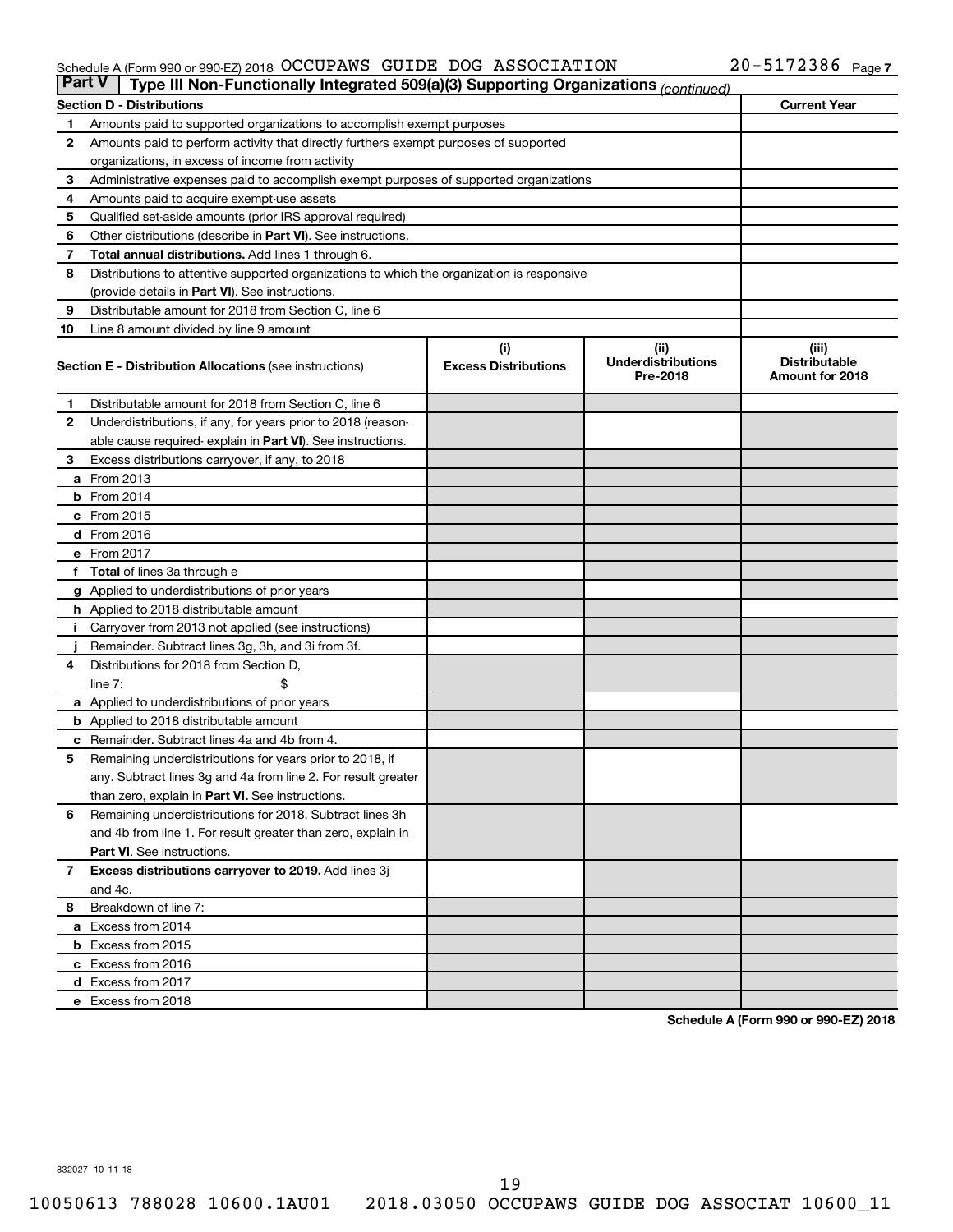### Schedule A (Form 990 or 990-EZ) 2018 Page OCCUPAWS GUIDE DOG ASSOCIATION 20-5172386

| <b>Part V</b> | Type III Non-Functionally Integrated 509(a)(3) Supporting Organizations (continued)        |                             |                                       |                                         |  |  |
|---------------|--------------------------------------------------------------------------------------------|-----------------------------|---------------------------------------|-----------------------------------------|--|--|
|               | <b>Section D - Distributions</b>                                                           |                             |                                       | <b>Current Year</b>                     |  |  |
| 1             | Amounts paid to supported organizations to accomplish exempt purposes                      |                             |                                       |                                         |  |  |
| $\mathbf{2}$  | Amounts paid to perform activity that directly furthers exempt purposes of supported       |                             |                                       |                                         |  |  |
|               | organizations, in excess of income from activity                                           |                             |                                       |                                         |  |  |
| 3             | Administrative expenses paid to accomplish exempt purposes of supported organizations      |                             |                                       |                                         |  |  |
| 4             | Amounts paid to acquire exempt-use assets                                                  |                             |                                       |                                         |  |  |
| 5             | Qualified set-aside amounts (prior IRS approval required)                                  |                             |                                       |                                         |  |  |
| 6             | Other distributions (describe in <b>Part VI</b> ). See instructions.                       |                             |                                       |                                         |  |  |
| 7             | Total annual distributions. Add lines 1 through 6.                                         |                             |                                       |                                         |  |  |
| 8             | Distributions to attentive supported organizations to which the organization is responsive |                             |                                       |                                         |  |  |
|               | (provide details in Part VI). See instructions.                                            |                             |                                       |                                         |  |  |
| 9             | Distributable amount for 2018 from Section C, line 6                                       |                             |                                       |                                         |  |  |
| 10            | Line 8 amount divided by line 9 amount                                                     |                             |                                       |                                         |  |  |
|               |                                                                                            | (i)                         | (ii)                                  | (iii)                                   |  |  |
|               | <b>Section E - Distribution Allocations (see instructions)</b>                             | <b>Excess Distributions</b> | <b>Underdistributions</b><br>Pre-2018 | <b>Distributable</b><br>Amount for 2018 |  |  |
| 1             | Distributable amount for 2018 from Section C, line 6                                       |                             |                                       |                                         |  |  |
| $\mathbf{2}$  | Underdistributions, if any, for years prior to 2018 (reason-                               |                             |                                       |                                         |  |  |
|               | able cause required-explain in Part VI). See instructions.                                 |                             |                                       |                                         |  |  |
| 3             | Excess distributions carryover, if any, to 2018                                            |                             |                                       |                                         |  |  |
|               | <b>a</b> From 2013                                                                         |                             |                                       |                                         |  |  |
|               | $b$ From 2014                                                                              |                             |                                       |                                         |  |  |
|               | c From 2015                                                                                |                             |                                       |                                         |  |  |
|               | d From 2016                                                                                |                             |                                       |                                         |  |  |
|               | e From 2017                                                                                |                             |                                       |                                         |  |  |
|               | f Total of lines 3a through e                                                              |                             |                                       |                                         |  |  |
|               | g Applied to underdistributions of prior years                                             |                             |                                       |                                         |  |  |
|               | h Applied to 2018 distributable amount                                                     |                             |                                       |                                         |  |  |
| Ť.            | Carryover from 2013 not applied (see instructions)                                         |                             |                                       |                                         |  |  |
|               | Remainder. Subtract lines 3g, 3h, and 3i from 3f.                                          |                             |                                       |                                         |  |  |
| 4             | Distributions for 2018 from Section D,                                                     |                             |                                       |                                         |  |  |
|               | line $7:$                                                                                  |                             |                                       |                                         |  |  |
|               | a Applied to underdistributions of prior years                                             |                             |                                       |                                         |  |  |
|               | <b>b</b> Applied to 2018 distributable amount                                              |                             |                                       |                                         |  |  |
| с             | Remainder. Subtract lines 4a and 4b from 4.                                                |                             |                                       |                                         |  |  |
| 5             | Remaining underdistributions for years prior to 2018, if                                   |                             |                                       |                                         |  |  |
|               | any. Subtract lines 3g and 4a from line 2. For result greater                              |                             |                                       |                                         |  |  |
|               | than zero, explain in Part VI. See instructions.                                           |                             |                                       |                                         |  |  |
| 6             | Remaining underdistributions for 2018. Subtract lines 3h                                   |                             |                                       |                                         |  |  |
|               | and 4b from line 1. For result greater than zero, explain in                               |                             |                                       |                                         |  |  |
|               | <b>Part VI.</b> See instructions.                                                          |                             |                                       |                                         |  |  |
| $\mathbf{7}$  | Excess distributions carryover to 2019. Add lines 3j                                       |                             |                                       |                                         |  |  |
|               | and 4c.                                                                                    |                             |                                       |                                         |  |  |
| 8             | Breakdown of line 7:                                                                       |                             |                                       |                                         |  |  |
|               | a Excess from 2014                                                                         |                             |                                       |                                         |  |  |
|               | <b>b</b> Excess from 2015                                                                  |                             |                                       |                                         |  |  |
|               | c Excess from 2016                                                                         |                             |                                       |                                         |  |  |
|               | d Excess from 2017                                                                         |                             |                                       |                                         |  |  |
|               | e Excess from 2018                                                                         |                             |                                       |                                         |  |  |

**Schedule A (Form 990 or 990-EZ) 2018**

832027 10-11-18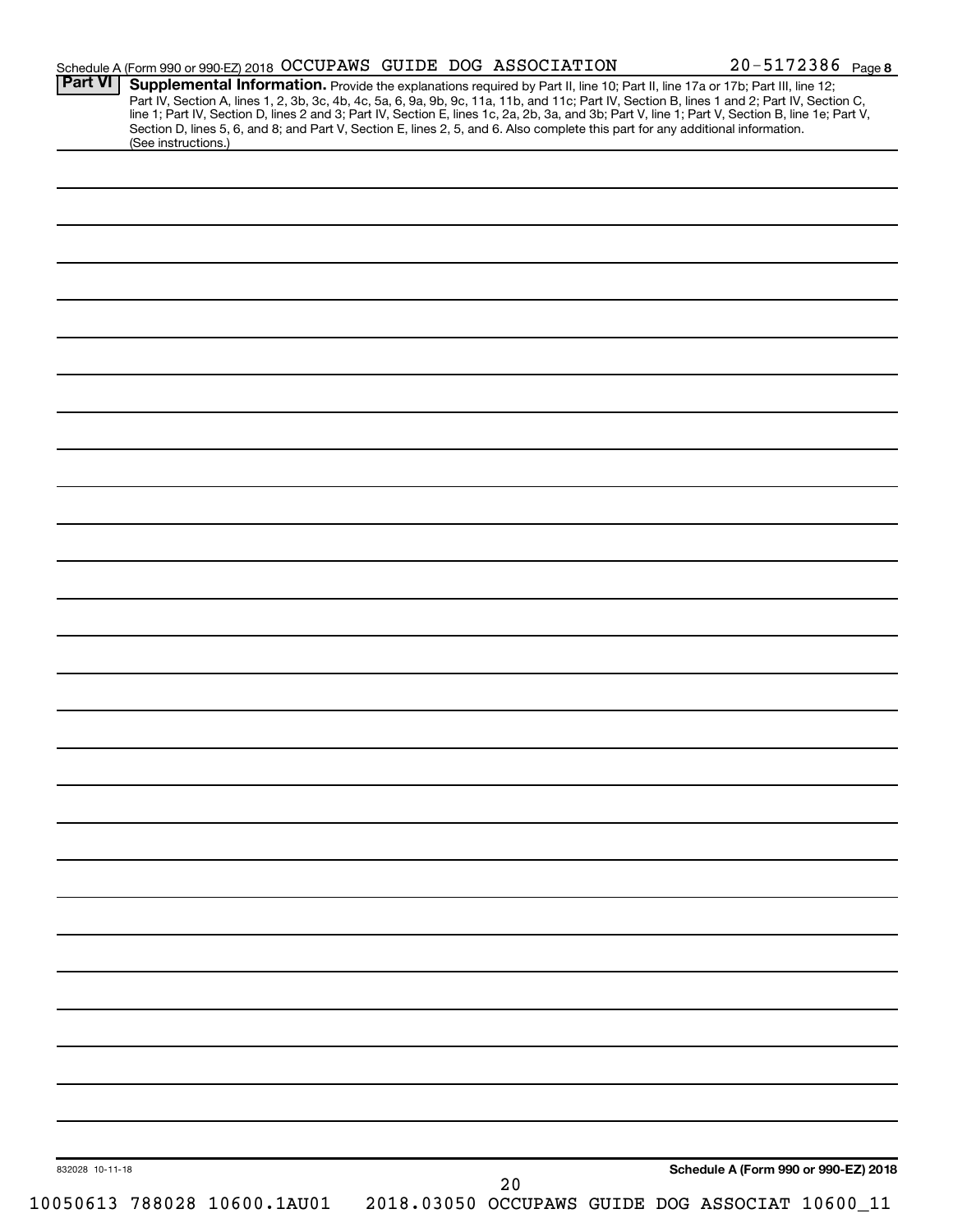| <b>Part VI</b>  | Schedule A (Form 990 or 990-EZ) 2018 OCCUPAWS GUIDE DOG ASSOCIATION                                                                                                                                                                                                           |    | $20 - 5172386$ Page 8                           |
|-----------------|-------------------------------------------------------------------------------------------------------------------------------------------------------------------------------------------------------------------------------------------------------------------------------|----|-------------------------------------------------|
|                 | Supplemental Information. Provide the explanations required by Part II, line 10; Part II, line 17a or 17b; Part III, line 12;<br>Part IV, Section A, lines 1, 2, 3b, 3c, 4b, 4c, 5a, 6, 9a, 9b, 9c, 11a, 11b, and 11c; Part IV, Section B, lines 1 and 2; Part IV, Section C, |    |                                                 |
|                 | line 1; Part IV, Section D, lines 2 and 3; Part IV, Section E, lines 1c, 2a, 2b, 3a, and 3b; Part V, line 1; Part V, Section B, line 1e; Part V,                                                                                                                              |    |                                                 |
|                 | Section D, lines 5, 6, and 8; and Part V, Section E, lines 2, 5, and 6. Also complete this part for any additional information.<br>(See instructions.)                                                                                                                        |    |                                                 |
|                 |                                                                                                                                                                                                                                                                               |    |                                                 |
|                 |                                                                                                                                                                                                                                                                               |    |                                                 |
|                 |                                                                                                                                                                                                                                                                               |    |                                                 |
|                 |                                                                                                                                                                                                                                                                               |    |                                                 |
|                 |                                                                                                                                                                                                                                                                               |    |                                                 |
|                 |                                                                                                                                                                                                                                                                               |    |                                                 |
|                 |                                                                                                                                                                                                                                                                               |    |                                                 |
|                 |                                                                                                                                                                                                                                                                               |    |                                                 |
|                 |                                                                                                                                                                                                                                                                               |    |                                                 |
|                 |                                                                                                                                                                                                                                                                               |    |                                                 |
|                 |                                                                                                                                                                                                                                                                               |    |                                                 |
|                 |                                                                                                                                                                                                                                                                               |    |                                                 |
|                 |                                                                                                                                                                                                                                                                               |    |                                                 |
|                 |                                                                                                                                                                                                                                                                               |    |                                                 |
|                 |                                                                                                                                                                                                                                                                               |    |                                                 |
|                 |                                                                                                                                                                                                                                                                               |    |                                                 |
|                 |                                                                                                                                                                                                                                                                               |    |                                                 |
|                 |                                                                                                                                                                                                                                                                               |    |                                                 |
|                 |                                                                                                                                                                                                                                                                               |    |                                                 |
|                 |                                                                                                                                                                                                                                                                               |    |                                                 |
|                 |                                                                                                                                                                                                                                                                               |    |                                                 |
|                 |                                                                                                                                                                                                                                                                               |    |                                                 |
|                 |                                                                                                                                                                                                                                                                               |    |                                                 |
|                 |                                                                                                                                                                                                                                                                               |    |                                                 |
|                 |                                                                                                                                                                                                                                                                               |    |                                                 |
|                 |                                                                                                                                                                                                                                                                               |    |                                                 |
|                 |                                                                                                                                                                                                                                                                               |    |                                                 |
|                 |                                                                                                                                                                                                                                                                               |    |                                                 |
|                 |                                                                                                                                                                                                                                                                               |    |                                                 |
|                 |                                                                                                                                                                                                                                                                               |    |                                                 |
|                 |                                                                                                                                                                                                                                                                               |    |                                                 |
|                 |                                                                                                                                                                                                                                                                               |    |                                                 |
|                 |                                                                                                                                                                                                                                                                               |    |                                                 |
|                 |                                                                                                                                                                                                                                                                               |    |                                                 |
|                 |                                                                                                                                                                                                                                                                               |    |                                                 |
|                 |                                                                                                                                                                                                                                                                               |    |                                                 |
|                 |                                                                                                                                                                                                                                                                               |    |                                                 |
|                 |                                                                                                                                                                                                                                                                               |    |                                                 |
|                 |                                                                                                                                                                                                                                                                               |    |                                                 |
|                 |                                                                                                                                                                                                                                                                               |    |                                                 |
|                 |                                                                                                                                                                                                                                                                               |    |                                                 |
|                 |                                                                                                                                                                                                                                                                               |    |                                                 |
|                 |                                                                                                                                                                                                                                                                               |    |                                                 |
|                 |                                                                                                                                                                                                                                                                               |    |                                                 |
|                 |                                                                                                                                                                                                                                                                               |    |                                                 |
|                 |                                                                                                                                                                                                                                                                               |    |                                                 |
|                 |                                                                                                                                                                                                                                                                               |    |                                                 |
|                 |                                                                                                                                                                                                                                                                               |    |                                                 |
|                 |                                                                                                                                                                                                                                                                               |    |                                                 |
| 832028 10-11-18 |                                                                                                                                                                                                                                                                               | 20 | Schedule A (Form 990 or 990-EZ) 2018            |
|                 | 10050613 788028 10600.1AU01                                                                                                                                                                                                                                                   |    | 2018.03050 OCCUPAWS GUIDE DOG ASSOCIAT 10600_11 |
|                 |                                                                                                                                                                                                                                                                               |    |                                                 |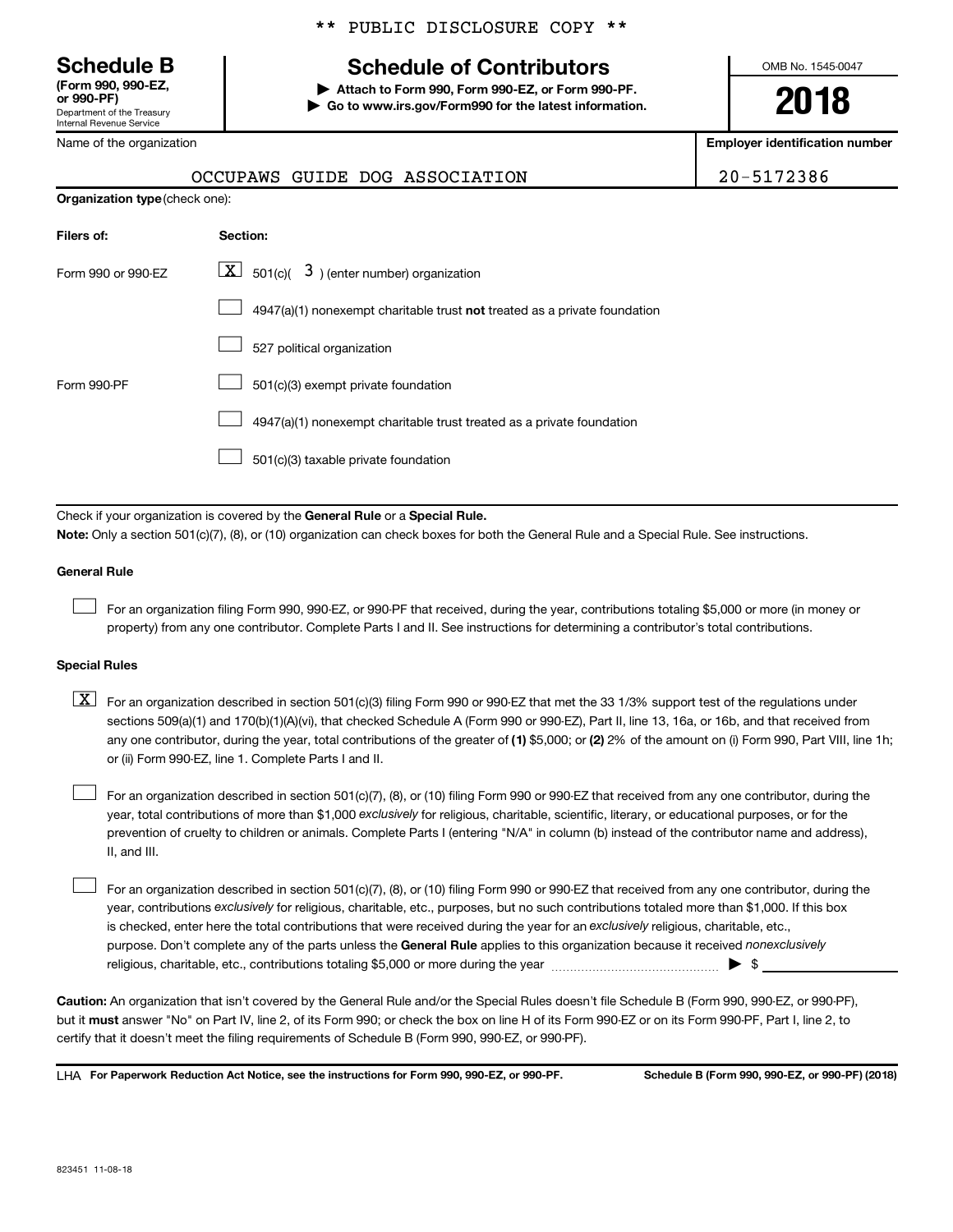Department of the Treasury Internal Revenue Service **(Form 990, 990-EZ,**

Name of the organization

## \*\* PUBLIC DISCLOSURE COPY \*\*

## **Schedule B Schedule of Contributors**

**or 990-PF) | Attach to Form 990, Form 990-EZ, or Form 990-PF. | Go to www.irs.gov/Form990 for the latest information.** OMB No. 1545-0047

**2018**

**Employer identification number**

|                    | <b>Organization type (check one):</b>                                     |  |  |  |  |  |
|--------------------|---------------------------------------------------------------------------|--|--|--|--|--|
| Filers of:         | Section:                                                                  |  |  |  |  |  |
| Form 990 or 990-EZ | $\lfloor x \rfloor$ 501(c)( 3) (enter number) organization                |  |  |  |  |  |
|                    | 4947(a)(1) nonexempt charitable trust not treated as a private foundation |  |  |  |  |  |
|                    | 527 political organization                                                |  |  |  |  |  |
| Form 990-PF        | 501(c)(3) exempt private foundation                                       |  |  |  |  |  |
|                    | 4947(a)(1) nonexempt charitable trust treated as a private foundation     |  |  |  |  |  |

OCCUPAWS GUIDE DOG ASSOCIATION

501(c)(3) taxable private foundation  $\Box$ 

Check if your organization is covered by the General Rule or a Special Rule.

**Note:**  Only a section 501(c)(7), (8), or (10) organization can check boxes for both the General Rule and a Special Rule. See instructions.

### **General Rule**

 $\Box$ 

For an organization filing Form 990, 990-EZ, or 990-PF that received, during the year, contributions totaling \$5,000 or more (in money or property) from any one contributor. Complete Parts I and II. See instructions for determining a contributor's total contributions.

### **Special Rules**

any one contributor, during the year, total contributions of the greater of (1) \$5,000; or (2) 2% of the amount on (i) Form 990, Part VIII, line 1h;  $\boxed{\text{X}}$  For an organization described in section 501(c)(3) filing Form 990 or 990-EZ that met the 33 1/3% support test of the regulations under sections 509(a)(1) and 170(b)(1)(A)(vi), that checked Schedule A (Form 990 or 990-EZ), Part II, line 13, 16a, or 16b, and that received from or (ii) Form 990-EZ, line 1. Complete Parts I and II.

year, total contributions of more than \$1,000 *exclusively* for religious, charitable, scientific, literary, or educational purposes, or for the For an organization described in section 501(c)(7), (8), or (10) filing Form 990 or 990-EZ that received from any one contributor, during the prevention of cruelty to children or animals. Complete Parts I (entering "N/A" in column (b) instead of the contributor name and address), II, and III.  $\Box$ 

purpose. Don't complete any of the parts unless the General Rule applies to this organization because it received nonexclusively year, contributions exclusively for religious, charitable, etc., purposes, but no such contributions totaled more than \$1,000. If this box is checked, enter here the total contributions that were received during the year for an exclusively religious, charitable, etc., For an organization described in section 501(c)(7), (8), or (10) filing Form 990 or 990-EZ that received from any one contributor, during the religious, charitable, etc., contributions totaling \$5,000 or more during the year  $~\ldots\ldots\ldots\ldots\ldots\ldots\ldots\ldots\ldots\blacktriangleright~$ \$  $\Box$ 

**Caution:**  An organization that isn't covered by the General Rule and/or the Special Rules doesn't file Schedule B (Form 990, 990-EZ, or 990-PF),  **must** but it answer "No" on Part IV, line 2, of its Form 990; or check the box on line H of its Form 990-EZ or on its Form 990-PF, Part I, line 2, to certify that it doesn't meet the filing requirements of Schedule B (Form 990, 990-EZ, or 990-PF).

**For Paperwork Reduction Act Notice, see the instructions for Form 990, 990-EZ, or 990-PF. Schedule B (Form 990, 990-EZ, or 990-PF) (2018)** LHA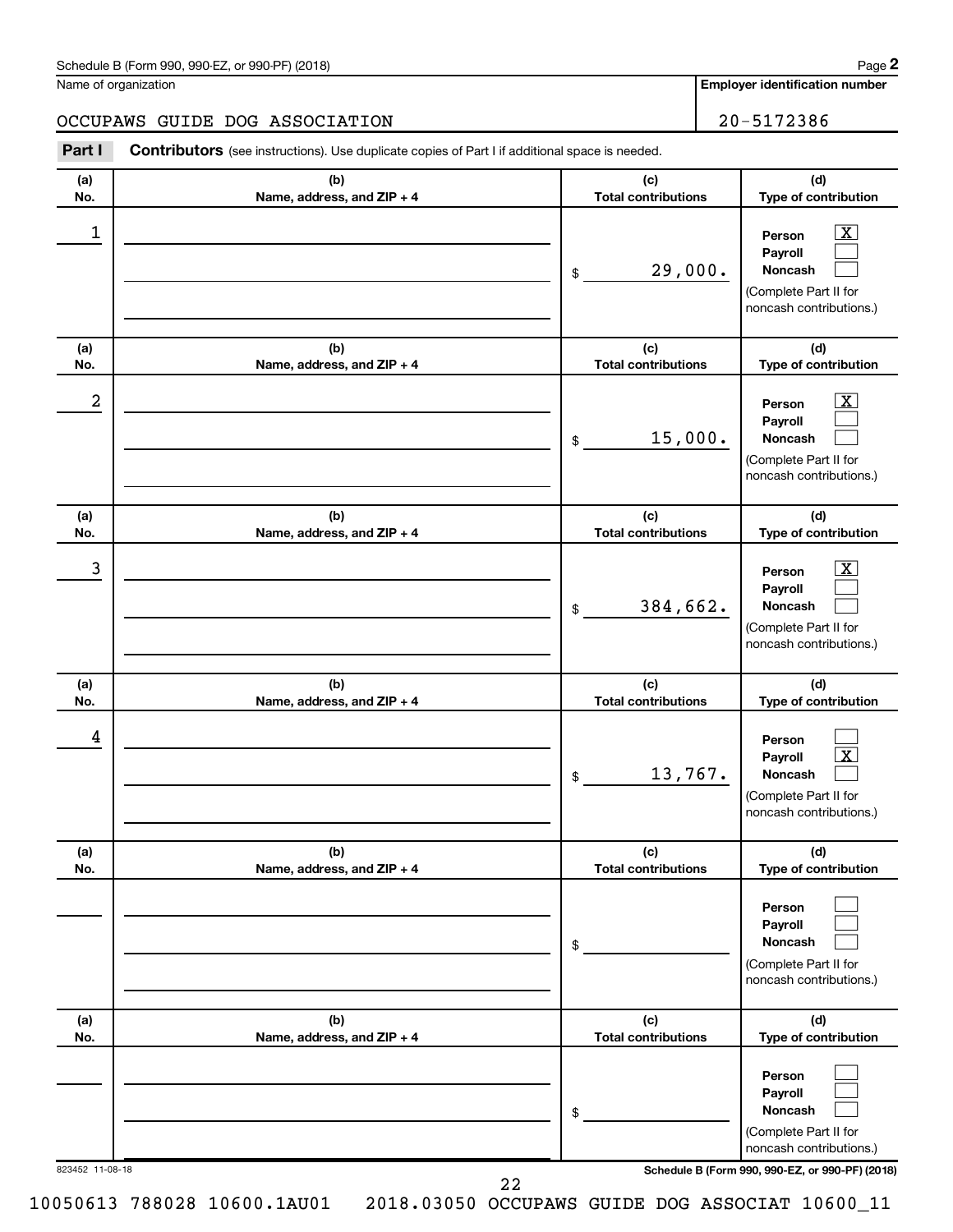| Schedule B (Form 990, 990-EZ, or 990-PF) (2018)<br>$\sqrt{2}$ , $\sqrt{2}$ , $\sqrt{2}$ , $\sqrt{2}$ , $\sqrt{2}$ | Page |
|-------------------------------------------------------------------------------------------------------------------|------|
|-------------------------------------------------------------------------------------------------------------------|------|

Name of organization

## OCCUPAWS GUIDE DOG ASSOCIATION 20-5172386

**(a) No. (b) Name, address, and ZIP + 4 (c) Total contributions (d) Type of contribution Part I** Contributors (see instructions). Use duplicate copies of Part I if additional space is needed.

| 1               |                                   | 29,000.<br>$\$$                   | $\overline{\text{X}}$<br>Person<br>Payroll<br>Noncash<br>(Complete Part II for<br>noncash contributions.) |
|-----------------|-----------------------------------|-----------------------------------|-----------------------------------------------------------------------------------------------------------|
| (a)<br>No.      | (b)<br>Name, address, and ZIP + 4 | (c)<br><b>Total contributions</b> | (d)<br>Type of contribution                                                                               |
| 2               |                                   | 15,000.<br>\$                     | $\overline{\text{X}}$<br>Person<br>Payroll<br>Noncash<br>(Complete Part II for<br>noncash contributions.) |
| (a)<br>No.      | (b)<br>Name, address, and ZIP + 4 | (c)<br><b>Total contributions</b> | (d)<br>Type of contribution                                                                               |
| 3               |                                   | 384,662.<br>$\$$                  | $\overline{\text{X}}$<br>Person<br>Payroll<br>Noncash<br>(Complete Part II for<br>noncash contributions.) |
| (a)<br>No.      | (b)<br>Name, address, and ZIP + 4 | (c)<br><b>Total contributions</b> | (d)<br>Type of contribution                                                                               |
| 4               |                                   | 13,767.<br>\$                     | Person<br>$\overline{\text{X}}$<br>Payroll<br>Noncash<br>(Complete Part II for<br>noncash contributions.) |
| (a)<br>No.      | (b)<br>Name, address, and ZIP + 4 | (c)<br><b>Total contributions</b> | (d)<br>Type of contribution                                                                               |
|                 |                                   | \$                                | Person<br>Payroll<br>Noncash<br>(Complete Part II for<br>noncash contributions.)                          |
| (a)<br>No.      | (b)<br>Name, address, and ZIP + 4 | (c)<br><b>Total contributions</b> | (d)<br>Type of contribution                                                                               |
|                 |                                   | \$                                | Person<br>Payroll<br>Noncash<br>(Complete Part II for<br>noncash contributions.)                          |
| 823452 11-08-18 |                                   |                                   | Schedule B (Form 990, 990-EZ, or 990-PF) (2018)                                                           |

22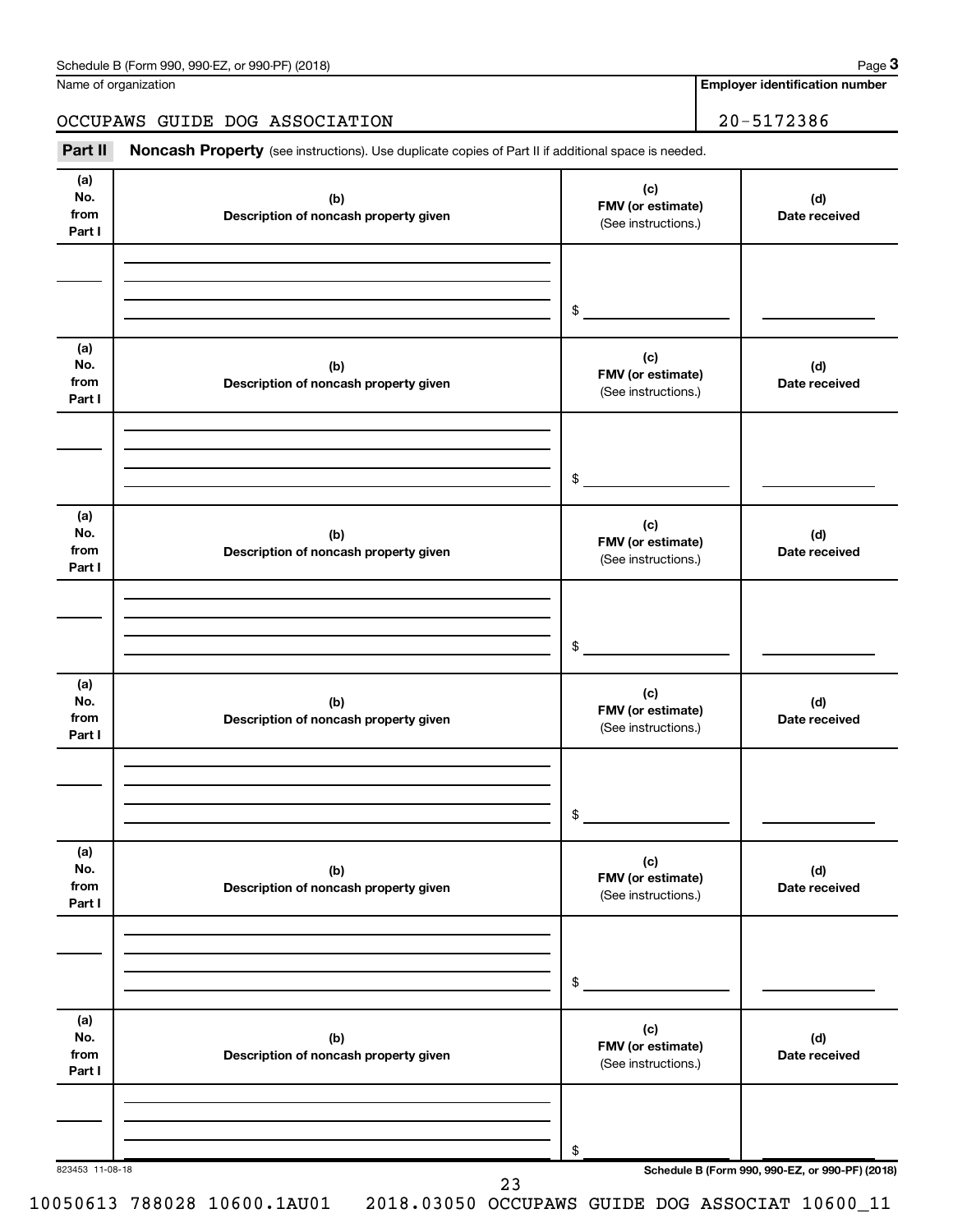| Schedule B (Form 990, 990-EZ, or 990-PF) (2018) | Page |
|-------------------------------------------------|------|
|-------------------------------------------------|------|

|  | Name of organization |
|--|----------------------|
|--|----------------------|

**Employer identification number**

## OCCUPAWS GUIDE DOG ASSOCIATION 20-5172386

Part II Noncash Property (see instructions). Use duplicate copies of Part II if additional space is needed.

| (a)<br>No.<br>from<br>Part I | (b)<br>Description of noncash property given | (c)<br>FMV (or estimate)<br>(See instructions.) | (d)<br>Date received                            |
|------------------------------|----------------------------------------------|-------------------------------------------------|-------------------------------------------------|
|                              |                                              | \$                                              |                                                 |
|                              |                                              |                                                 |                                                 |
| (a)<br>No.<br>from<br>Part I | (b)<br>Description of noncash property given | (c)<br>FMV (or estimate)<br>(See instructions.) | (d)<br>Date received                            |
|                              |                                              | \$                                              |                                                 |
| (a)<br>No.<br>from<br>Part I | (b)<br>Description of noncash property given | (c)<br>FMV (or estimate)<br>(See instructions.) | (d)<br>Date received                            |
|                              |                                              | \$                                              |                                                 |
| (a)<br>No.<br>from<br>Part I | (b)<br>Description of noncash property given | (c)<br>FMV (or estimate)<br>(See instructions.) | (d)<br>Date received                            |
|                              |                                              | $\frac{1}{2}$                                   |                                                 |
| (a)<br>No.<br>from<br>Part I | (b)<br>Description of noncash property given | (c)<br>FMV (or estimate)<br>(See instructions.) | (d)<br>Date received                            |
|                              |                                              | \$                                              |                                                 |
| (a)<br>No.<br>from<br>Part I | (b)<br>Description of noncash property given | (c)<br>FMV (or estimate)<br>(See instructions.) | (d)<br>Date received                            |
|                              |                                              | \$                                              |                                                 |
| 823453 11-08-18              | 23                                           |                                                 | Schedule B (Form 990, 990-EZ, or 990-PF) (2018) |

**3**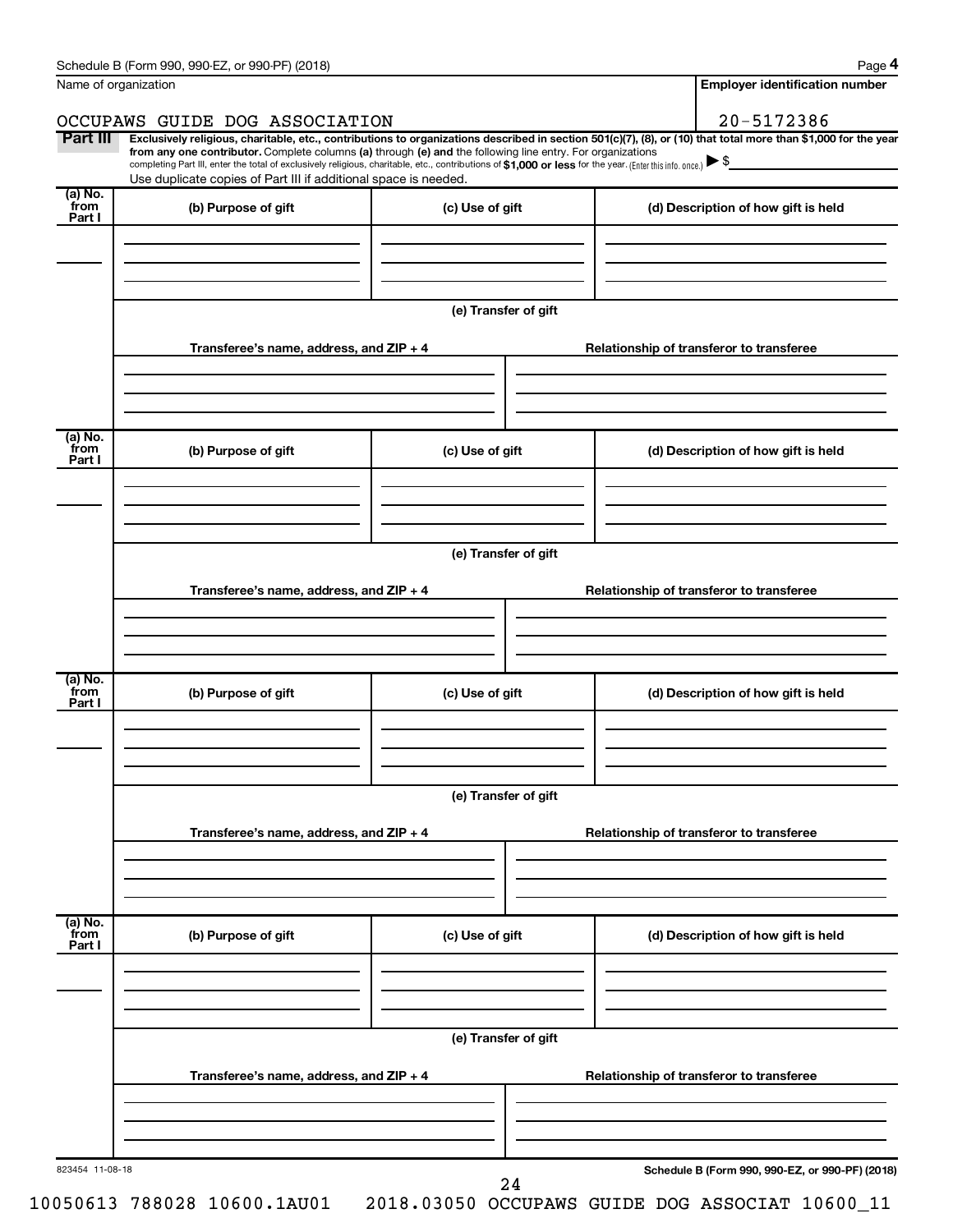| Name of organization      |                                                                                                                                                                                                                                                                                                                                                                                                                                                                   |                      |  | <b>Employer identification number</b>           |
|---------------------------|-------------------------------------------------------------------------------------------------------------------------------------------------------------------------------------------------------------------------------------------------------------------------------------------------------------------------------------------------------------------------------------------------------------------------------------------------------------------|----------------------|--|-------------------------------------------------|
|                           | OCCUPAWS GUIDE DOG ASSOCIATION                                                                                                                                                                                                                                                                                                                                                                                                                                    |                      |  | 20-5172386                                      |
| Part III                  | Exclusively religious, charitable, etc., contributions to organizations described in section 501(c)(7), (8), or (10) that total more than \$1,000 for the year<br>from any one contributor. Complete columns (a) through (e) and the following line entry. For organizations<br>completing Part III, enter the total of exclusively religious, charitable, etc., contributions of \$1,000 or less for the year. (Enter this info. once.) $\blacktriangleright$ \$ |                      |  |                                                 |
| (a) No.                   | Use duplicate copies of Part III if additional space is needed.                                                                                                                                                                                                                                                                                                                                                                                                   |                      |  |                                                 |
| from<br>Part I            | (b) Purpose of gift                                                                                                                                                                                                                                                                                                                                                                                                                                               | (c) Use of gift      |  | (d) Description of how gift is held             |
|                           |                                                                                                                                                                                                                                                                                                                                                                                                                                                                   | (e) Transfer of gift |  |                                                 |
|                           | Transferee's name, address, and $ZIP + 4$                                                                                                                                                                                                                                                                                                                                                                                                                         |                      |  | Relationship of transferor to transferee        |
| (a) No.                   |                                                                                                                                                                                                                                                                                                                                                                                                                                                                   |                      |  |                                                 |
| from<br>Part I            | (b) Purpose of gift                                                                                                                                                                                                                                                                                                                                                                                                                                               | (c) Use of gift      |  | (d) Description of how gift is held             |
|                           |                                                                                                                                                                                                                                                                                                                                                                                                                                                                   | (e) Transfer of gift |  |                                                 |
|                           | Transferee's name, address, and ZIP + 4                                                                                                                                                                                                                                                                                                                                                                                                                           |                      |  | Relationship of transferor to transferee        |
|                           |                                                                                                                                                                                                                                                                                                                                                                                                                                                                   |                      |  |                                                 |
| (a) No.<br>from<br>Part I | (b) Purpose of gift                                                                                                                                                                                                                                                                                                                                                                                                                                               | (c) Use of gift      |  | (d) Description of how gift is held             |
|                           |                                                                                                                                                                                                                                                                                                                                                                                                                                                                   | (e) Transfer of gift |  |                                                 |
|                           | Transferee's name, address, and ZIP + 4                                                                                                                                                                                                                                                                                                                                                                                                                           |                      |  | Relationship of transferor to transferee        |
|                           |                                                                                                                                                                                                                                                                                                                                                                                                                                                                   |                      |  |                                                 |
| (a) No.<br>from<br>Part I | (b) Purpose of gift                                                                                                                                                                                                                                                                                                                                                                                                                                               | (c) Use of gift      |  | (d) Description of how gift is held             |
|                           |                                                                                                                                                                                                                                                                                                                                                                                                                                                                   | (e) Transfer of gift |  |                                                 |
|                           | Transferee's name, address, and ZIP + 4                                                                                                                                                                                                                                                                                                                                                                                                                           |                      |  | Relationship of transferor to transferee        |
|                           |                                                                                                                                                                                                                                                                                                                                                                                                                                                                   |                      |  |                                                 |
| 823454 11-08-18           |                                                                                                                                                                                                                                                                                                                                                                                                                                                                   | 24                   |  | Schedule B (Form 990, 990-EZ, or 990-PF) (2018) |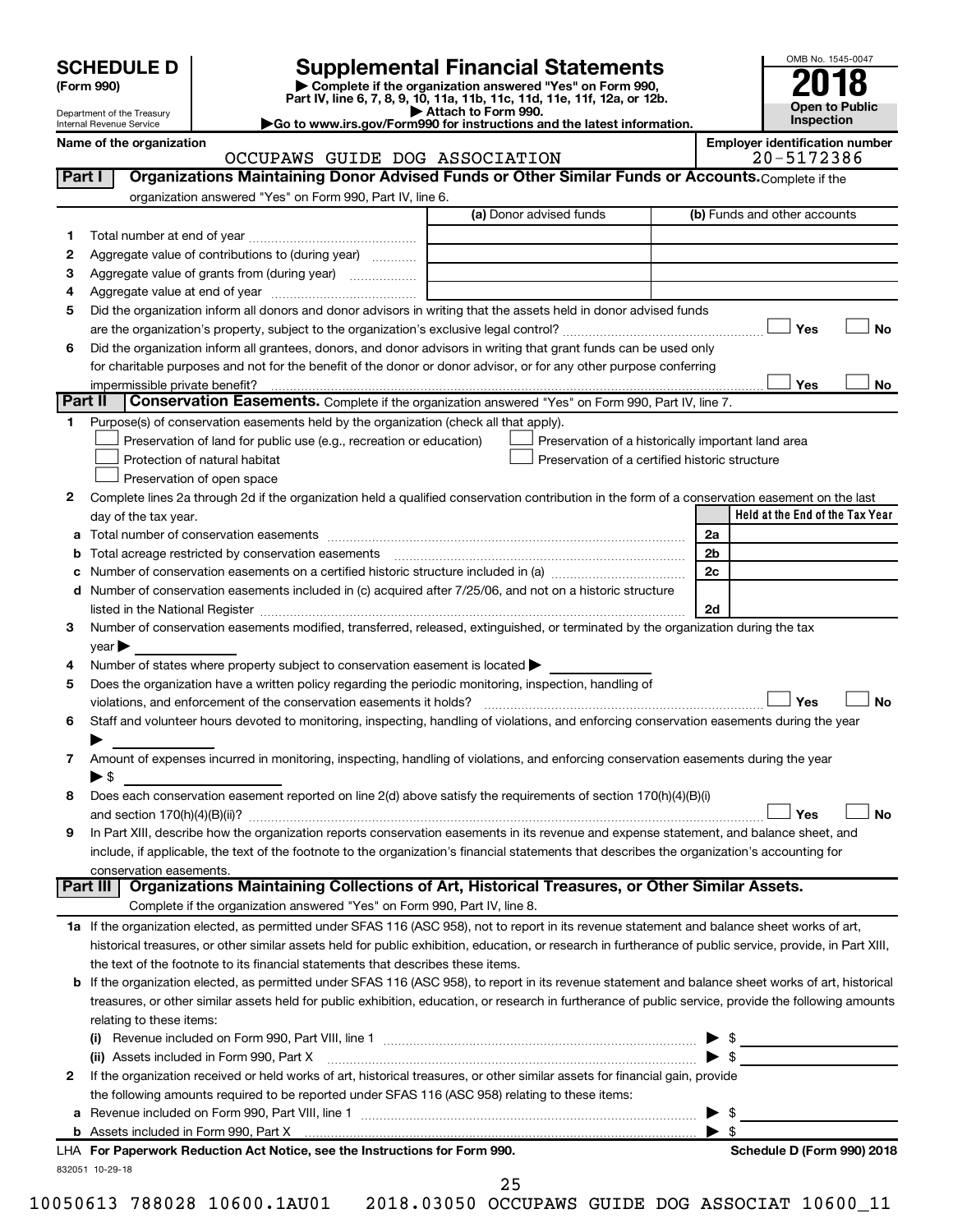| <b>SCHEDULE D</b> |  |
|-------------------|--|
|-------------------|--|

# **SCHEDULE D Supplemental Financial Statements**<br> **Form 990 2018**<br> **Part IV** line 6.7.8.9.10, 11a, 11b, 11d, 11d, 11d, 11d, 11d, 12a, 0r, 12b

**(Form 990) | Complete if the organization answered "Yes" on Form 990, Part IV, line 6, 7, 8, 9, 10, 11a, 11b, 11c, 11d, 11e, 11f, 12a, or 12b.**

**| Attach to Form 990. |Go to www.irs.gov/Form990 for instructions and the latest information.**



Department of the Treasury Internal Revenue Service

### Name of the organization<br>**CCCUPAWS** GUIDE DOG ASSOCIATION **Employer identification number**<br>20-5172386 OCCUPAWS GUIDE DOG ASSOCIATION

|              | organization answered "Yes" on Form 990, Part IV, line 6.                                                                                                                                                                                      | (a) Donor advised funds                        | (b) Funds and other accounts                       |    |
|--------------|------------------------------------------------------------------------------------------------------------------------------------------------------------------------------------------------------------------------------------------------|------------------------------------------------|----------------------------------------------------|----|
| 1            |                                                                                                                                                                                                                                                |                                                |                                                    |    |
| $\mathbf{2}$ | Aggregate value of contributions to (during year)                                                                                                                                                                                              |                                                |                                                    |    |
| з            | Aggregate value of grants from (during year)                                                                                                                                                                                                   |                                                |                                                    |    |
| 4            |                                                                                                                                                                                                                                                |                                                |                                                    |    |
| 5            | Did the organization inform all donors and donor advisors in writing that the assets held in donor advised funds                                                                                                                               |                                                |                                                    |    |
|              |                                                                                                                                                                                                                                                |                                                | Yes                                                | No |
| 6            | Did the organization inform all grantees, donors, and donor advisors in writing that grant funds can be used only                                                                                                                              |                                                |                                                    |    |
|              | for charitable purposes and not for the benefit of the donor or donor advisor, or for any other purpose conferring                                                                                                                             |                                                |                                                    |    |
|              | impermissible private benefit?                                                                                                                                                                                                                 |                                                | Yes                                                | No |
|              | Part II<br><b>Conservation Easements.</b> Complete if the organization answered "Yes" on Form 990, Part IV, line 7.                                                                                                                            |                                                |                                                    |    |
| 1.           | Purpose(s) of conservation easements held by the organization (check all that apply).                                                                                                                                                          |                                                |                                                    |    |
|              | Preservation of land for public use (e.g., recreation or education)                                                                                                                                                                            |                                                | Preservation of a historically important land area |    |
|              | Protection of natural habitat                                                                                                                                                                                                                  | Preservation of a certified historic structure |                                                    |    |
|              | Preservation of open space                                                                                                                                                                                                                     |                                                |                                                    |    |
| 2            | Complete lines 2a through 2d if the organization held a qualified conservation contribution in the form of a conservation easement on the last                                                                                                 |                                                |                                                    |    |
|              | day of the tax year.                                                                                                                                                                                                                           |                                                | Held at the End of the Tax Year                    |    |
|              |                                                                                                                                                                                                                                                |                                                | 2a                                                 |    |
|              | Total acreage restricted by conservation easements                                                                                                                                                                                             |                                                | 2b                                                 |    |
| с            | Number of conservation easements on a certified historic structure included in (a) manufacture included in (a)                                                                                                                                 |                                                | 2c                                                 |    |
|              | d Number of conservation easements included in (c) acquired after 7/25/06, and not on a historic structure                                                                                                                                     |                                                |                                                    |    |
|              |                                                                                                                                                                                                                                                |                                                | 2d                                                 |    |
| 3            | Number of conservation easements modified, transferred, released, extinguished, or terminated by the organization during the tax                                                                                                               |                                                |                                                    |    |
|              | $year \triangleright$                                                                                                                                                                                                                          |                                                |                                                    |    |
| 4            | Number of states where property subject to conservation easement is located >                                                                                                                                                                  |                                                |                                                    |    |
|              |                                                                                                                                                                                                                                                |                                                |                                                    |    |
| 5            | Does the organization have a written policy regarding the periodic monitoring, inspection, handling of                                                                                                                                         |                                                |                                                    |    |
|              |                                                                                                                                                                                                                                                |                                                | Yes                                                |    |
| 6            | Staff and volunteer hours devoted to monitoring, inspecting, handling of violations, and enforcing conservation easements during the year                                                                                                      |                                                |                                                    |    |
|              |                                                                                                                                                                                                                                                |                                                |                                                    |    |
| 7            | Amount of expenses incurred in monitoring, inspecting, handling of violations, and enforcing conservation easements during the year                                                                                                            |                                                |                                                    |    |
|              | $\blacktriangleright$ s                                                                                                                                                                                                                        |                                                |                                                    |    |
| 8            | Does each conservation easement reported on line 2(d) above satisfy the requirements of section 170(h)(4)(B)(i)                                                                                                                                |                                                |                                                    |    |
|              |                                                                                                                                                                                                                                                |                                                | Yes                                                |    |
| 9            | In Part XIII, describe how the organization reports conservation easements in its revenue and expense statement, and balance sheet, and                                                                                                        |                                                |                                                    |    |
|              | include, if applicable, the text of the footnote to the organization's financial statements that describes the organization's accounting for                                                                                                   |                                                |                                                    |    |
|              | conservation easements.                                                                                                                                                                                                                        |                                                |                                                    |    |
|              | Organizations Maintaining Collections of Art, Historical Treasures, or Other Similar Assets.<br><b>Part III</b>                                                                                                                                |                                                |                                                    |    |
|              | Complete if the organization answered "Yes" on Form 990, Part IV, line 8.                                                                                                                                                                      |                                                |                                                    |    |
|              | 1a If the organization elected, as permitted under SFAS 116 (ASC 958), not to report in its revenue statement and balance sheet works of art,                                                                                                  |                                                |                                                    |    |
|              | historical treasures, or other similar assets held for public exhibition, education, or research in furtherance of public service, provide, in Part XIII,                                                                                      |                                                |                                                    |    |
|              | the text of the footnote to its financial statements that describes these items.                                                                                                                                                               |                                                |                                                    |    |
|              | b If the organization elected, as permitted under SFAS 116 (ASC 958), to report in its revenue statement and balance sheet works of art, historical                                                                                            |                                                |                                                    |    |
|              | treasures, or other similar assets held for public exhibition, education, or research in furtherance of public service, provide the following amounts                                                                                          |                                                |                                                    |    |
|              | relating to these items:                                                                                                                                                                                                                       |                                                |                                                    |    |
|              |                                                                                                                                                                                                                                                |                                                |                                                    |    |
|              |                                                                                                                                                                                                                                                |                                                | $\blacktriangleright$ s                            |    |
| 2            | (ii) Assets included in Form 990, Part X [11] Marson Marson Marson Marson Marson Marson Marson Marson Marson M<br>If the organization received or held works of art, historical treasures, or other similar assets for financial gain, provide |                                                |                                                    |    |
|              |                                                                                                                                                                                                                                                |                                                |                                                    |    |
|              | the following amounts required to be reported under SFAS 116 (ASC 958) relating to these items:                                                                                                                                                |                                                |                                                    |    |
|              |                                                                                                                                                                                                                                                |                                                | $\blacktriangleright$ s                            |    |
|              | LHA For Paperwork Reduction Act Notice, see the Instructions for Form 990.                                                                                                                                                                     |                                                | Schedule D (Form 990) 2018                         |    |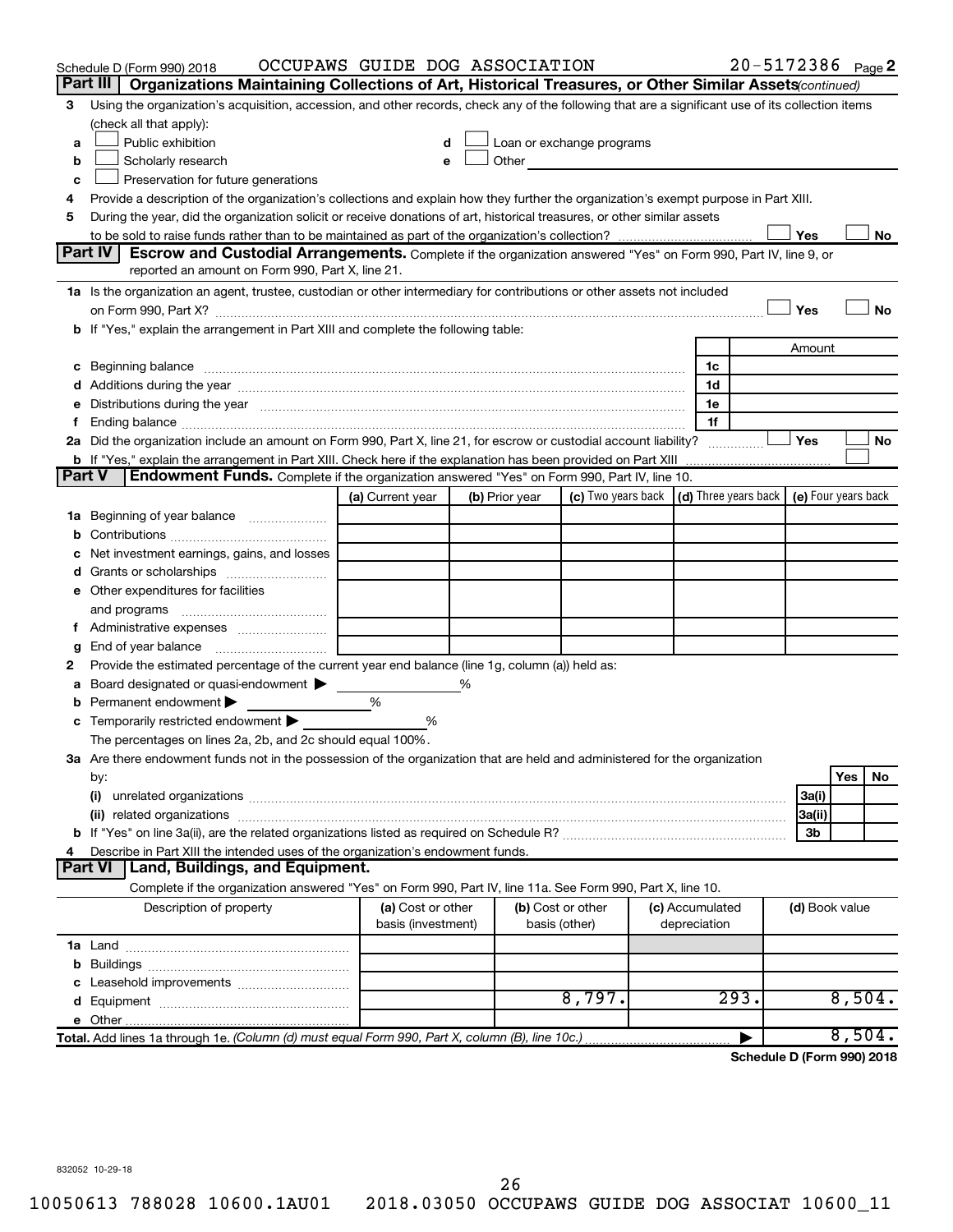|               |                | Schedule D (Form 990) 2018                                                                                                                                                                                                          | OCCUPAWS GUIDE DOG ASSOCIATION          |   |                |                                                                                                                                                                                                                                |                                 | 20-5172386 Page 2 |                |        |    |
|---------------|----------------|-------------------------------------------------------------------------------------------------------------------------------------------------------------------------------------------------------------------------------------|-----------------------------------------|---|----------------|--------------------------------------------------------------------------------------------------------------------------------------------------------------------------------------------------------------------------------|---------------------------------|-------------------|----------------|--------|----|
|               | Part III       | Organizations Maintaining Collections of Art, Historical Treasures, or Other Similar Assets (continued)                                                                                                                             |                                         |   |                |                                                                                                                                                                                                                                |                                 |                   |                |        |    |
| 3             |                | Using the organization's acquisition, accession, and other records, check any of the following that are a significant use of its collection items                                                                                   |                                         |   |                |                                                                                                                                                                                                                                |                                 |                   |                |        |    |
|               |                | (check all that apply):                                                                                                                                                                                                             |                                         |   |                |                                                                                                                                                                                                                                |                                 |                   |                |        |    |
| a             |                | Public exhibition                                                                                                                                                                                                                   |                                         |   |                | Loan or exchange programs                                                                                                                                                                                                      |                                 |                   |                |        |    |
| b             |                | Scholarly research                                                                                                                                                                                                                  |                                         |   |                | Other and the control of the control of the control of the control of the control of the control of the control of the control of the control of the control of the control of the control of the control of the control of th |                                 |                   |                |        |    |
| с             |                | Preservation for future generations                                                                                                                                                                                                 |                                         |   |                |                                                                                                                                                                                                                                |                                 |                   |                |        |    |
| 4             |                | Provide a description of the organization's collections and explain how they further the organization's exempt purpose in Part XIII.                                                                                                |                                         |   |                |                                                                                                                                                                                                                                |                                 |                   |                |        |    |
| 5             |                | During the year, did the organization solicit or receive donations of art, historical treasures, or other similar assets                                                                                                            |                                         |   |                |                                                                                                                                                                                                                                |                                 |                   |                |        |    |
|               |                |                                                                                                                                                                                                                                     |                                         |   |                |                                                                                                                                                                                                                                |                                 |                   | Yes            |        | No |
|               | Part IV        | <b>Escrow and Custodial Arrangements.</b> Complete if the organization answered "Yes" on Form 990, Part IV, line 9, or<br>reported an amount on Form 990, Part X, line 21.                                                          |                                         |   |                |                                                                                                                                                                                                                                |                                 |                   |                |        |    |
|               |                |                                                                                                                                                                                                                                     |                                         |   |                |                                                                                                                                                                                                                                |                                 |                   |                |        |    |
|               |                | 1a Is the organization an agent, trustee, custodian or other intermediary for contributions or other assets not included                                                                                                            |                                         |   |                |                                                                                                                                                                                                                                |                                 |                   |                |        |    |
|               |                | on Form 990, Part X? [11] matter contracts and contracts and contracts are contracted as a form 990, Part X?                                                                                                                        |                                         |   |                |                                                                                                                                                                                                                                |                                 |                   | Yes            |        | No |
|               |                | b If "Yes," explain the arrangement in Part XIII and complete the following table:                                                                                                                                                  |                                         |   |                |                                                                                                                                                                                                                                |                                 |                   |                |        |    |
|               |                |                                                                                                                                                                                                                                     |                                         |   |                |                                                                                                                                                                                                                                |                                 |                   | Amount         |        |    |
|               |                | c Beginning balance <b>communications</b> and the contract of the contract of the contract of the contract of the contract of the contract of the contract of the contract of the contract of the contract of the contract of the c |                                         |   |                |                                                                                                                                                                                                                                | 1c<br>1d                        |                   |                |        |    |
|               |                | e Distributions during the year measurement contained and all the control of the set of the set of the set of the set of the set of the set of the set of the set of the set of the set of the set of the set of the set of th      |                                         |   |                |                                                                                                                                                                                                                                | 1e                              |                   |                |        |    |
|               |                |                                                                                                                                                                                                                                     |                                         |   |                |                                                                                                                                                                                                                                | 1f                              |                   |                |        |    |
|               |                | 2a Did the organization include an amount on Form 990, Part X, line 21, for escrow or custodial account liability?                                                                                                                  |                                         |   |                |                                                                                                                                                                                                                                |                                 |                   | Yes            |        | No |
|               |                |                                                                                                                                                                                                                                     |                                         |   |                |                                                                                                                                                                                                                                |                                 |                   |                |        |    |
| <b>Part V</b> |                | Endowment Funds. Complete if the organization answered "Yes" on Form 990, Part IV, line 10.                                                                                                                                         |                                         |   |                |                                                                                                                                                                                                                                |                                 |                   |                |        |    |
|               |                |                                                                                                                                                                                                                                     | (a) Current year                        |   | (b) Prior year | (c) Two years back $\vert$ (d) Three years back $\vert$ (e) Four years back                                                                                                                                                    |                                 |                   |                |        |    |
|               |                | 1a Beginning of year balance                                                                                                                                                                                                        |                                         |   |                |                                                                                                                                                                                                                                |                                 |                   |                |        |    |
| b             |                |                                                                                                                                                                                                                                     |                                         |   |                |                                                                                                                                                                                                                                |                                 |                   |                |        |    |
|               |                | Net investment earnings, gains, and losses                                                                                                                                                                                          |                                         |   |                |                                                                                                                                                                                                                                |                                 |                   |                |        |    |
|               |                |                                                                                                                                                                                                                                     |                                         |   |                |                                                                                                                                                                                                                                |                                 |                   |                |        |    |
|               |                | e Other expenditures for facilities                                                                                                                                                                                                 |                                         |   |                |                                                                                                                                                                                                                                |                                 |                   |                |        |    |
|               |                |                                                                                                                                                                                                                                     |                                         |   |                |                                                                                                                                                                                                                                |                                 |                   |                |        |    |
|               |                | f Administrative expenses                                                                                                                                                                                                           |                                         |   |                |                                                                                                                                                                                                                                |                                 |                   |                |        |    |
| g             |                |                                                                                                                                                                                                                                     |                                         |   |                |                                                                                                                                                                                                                                |                                 |                   |                |        |    |
| 2             |                | Provide the estimated percentage of the current year end balance (line 1g, column (a)) held as:                                                                                                                                     |                                         |   |                |                                                                                                                                                                                                                                |                                 |                   |                |        |    |
| а             |                | Board designated or quasi-endowment >                                                                                                                                                                                               |                                         | % |                |                                                                                                                                                                                                                                |                                 |                   |                |        |    |
|               |                | <b>b</b> Permanent endowment $\blacktriangleright$                                                                                                                                                                                  | %                                       |   |                |                                                                                                                                                                                                                                |                                 |                   |                |        |    |
|               |                | <b>c</b> Temporarily restricted endowment $\blacktriangleright$                                                                                                                                                                     | %                                       |   |                |                                                                                                                                                                                                                                |                                 |                   |                |        |    |
|               |                | The percentages on lines 2a, 2b, and 2c should equal 100%.                                                                                                                                                                          |                                         |   |                |                                                                                                                                                                                                                                |                                 |                   |                |        |    |
|               |                | 3a Are there endowment funds not in the possession of the organization that are held and administered for the organization                                                                                                          |                                         |   |                |                                                                                                                                                                                                                                |                                 |                   |                |        |    |
|               | by:            |                                                                                                                                                                                                                                     |                                         |   |                |                                                                                                                                                                                                                                |                                 |                   |                | Yes    | No |
|               | (i)            |                                                                                                                                                                                                                                     |                                         |   |                |                                                                                                                                                                                                                                |                                 |                   | 3a(i)          |        |    |
|               |                |                                                                                                                                                                                                                                     |                                         |   |                |                                                                                                                                                                                                                                |                                 |                   | 3a(ii)         |        |    |
|               |                |                                                                                                                                                                                                                                     |                                         |   |                |                                                                                                                                                                                                                                |                                 |                   | 3b             |        |    |
| 4             |                | Describe in Part XIII the intended uses of the organization's endowment funds.                                                                                                                                                      |                                         |   |                |                                                                                                                                                                                                                                |                                 |                   |                |        |    |
|               | <b>Part VI</b> | <b>Land, Buildings, and Equipment.</b>                                                                                                                                                                                              |                                         |   |                |                                                                                                                                                                                                                                |                                 |                   |                |        |    |
|               |                | Complete if the organization answered "Yes" on Form 990, Part IV, line 11a. See Form 990, Part X, line 10.                                                                                                                          |                                         |   |                |                                                                                                                                                                                                                                |                                 |                   |                |        |    |
|               |                | Description of property                                                                                                                                                                                                             | (a) Cost or other<br>basis (investment) |   |                | (b) Cost or other<br>basis (other)                                                                                                                                                                                             | (c) Accumulated<br>depreciation |                   | (d) Book value |        |    |
|               |                |                                                                                                                                                                                                                                     |                                         |   |                |                                                                                                                                                                                                                                |                                 |                   |                |        |    |
|               |                |                                                                                                                                                                                                                                     |                                         |   |                |                                                                                                                                                                                                                                |                                 |                   |                |        |    |
|               |                |                                                                                                                                                                                                                                     |                                         |   |                |                                                                                                                                                                                                                                |                                 |                   |                |        |    |
|               |                |                                                                                                                                                                                                                                     |                                         |   |                | 8,797.                                                                                                                                                                                                                         |                                 | 293.              |                | 8,504. |    |
|               |                |                                                                                                                                                                                                                                     |                                         |   |                |                                                                                                                                                                                                                                |                                 |                   |                |        |    |
|               |                | Total. Add lines 1a through 1e. (Column (d) must equal Form 990, Part X, column (B), line 10c.)                                                                                                                                     |                                         |   |                |                                                                                                                                                                                                                                |                                 |                   |                | 8,504. |    |

**Schedule D (Form 990) 2018**

832052 10-29-18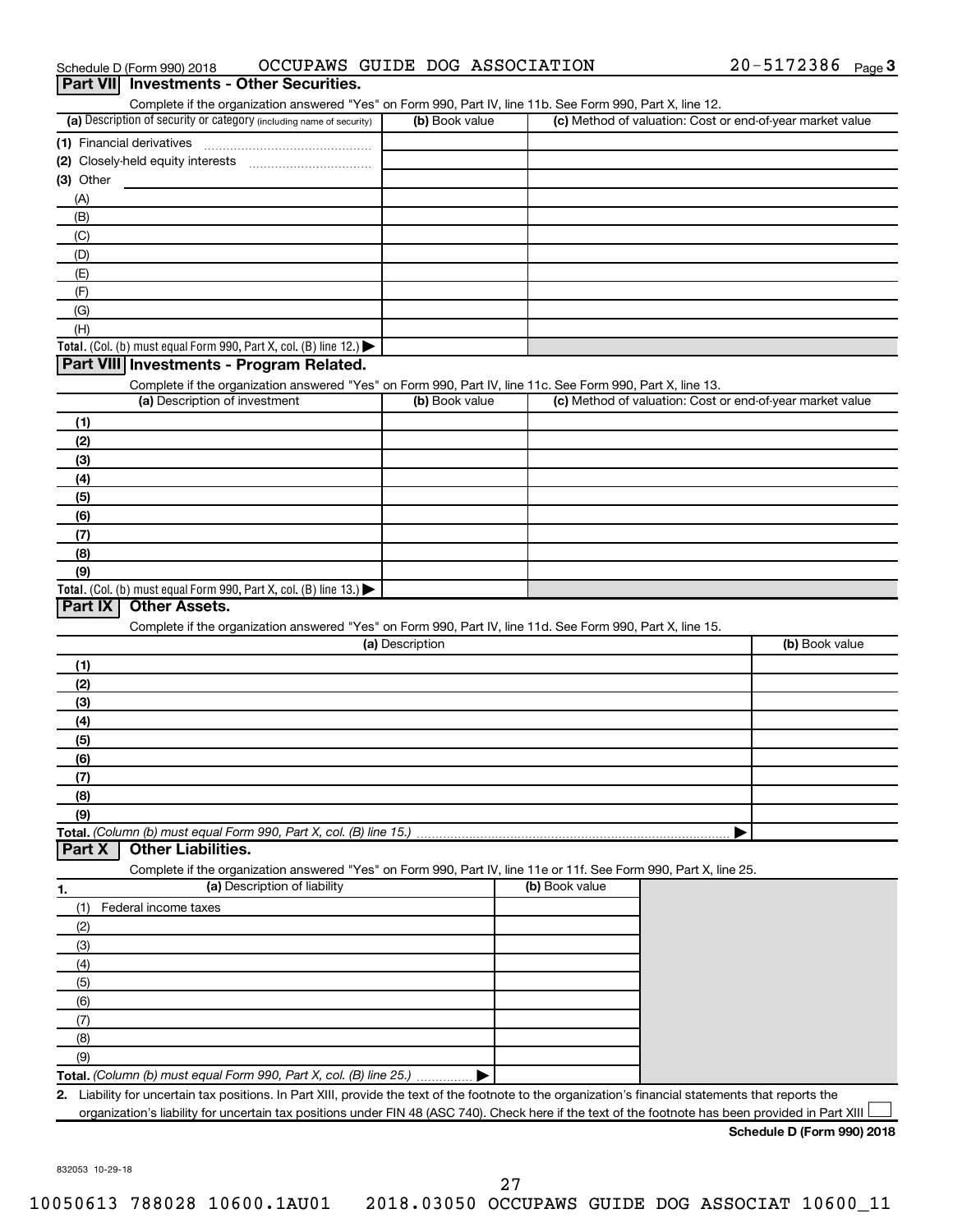| <b>Part VII</b> Investments - Other Securities.                                                                   |                 |                |                                                           |                |
|-------------------------------------------------------------------------------------------------------------------|-----------------|----------------|-----------------------------------------------------------|----------------|
| Complete if the organization answered "Yes" on Form 990, Part IV, line 11b. See Form 990, Part X, line 12.        |                 |                |                                                           |                |
| (a) Description of security or category (including name of security)                                              | (b) Book value  |                | (c) Method of valuation: Cost or end-of-year market value |                |
| (1) Financial derivatives                                                                                         |                 |                |                                                           |                |
|                                                                                                                   |                 |                |                                                           |                |
| $(3)$ Other                                                                                                       |                 |                |                                                           |                |
| (A)                                                                                                               |                 |                |                                                           |                |
| (B)                                                                                                               |                 |                |                                                           |                |
| (C)                                                                                                               |                 |                |                                                           |                |
| (D)                                                                                                               |                 |                |                                                           |                |
| (E)                                                                                                               |                 |                |                                                           |                |
| (F)                                                                                                               |                 |                |                                                           |                |
| (G)<br>(H)                                                                                                        |                 |                |                                                           |                |
| Total. (Col. (b) must equal Form 990, Part X, col. (B) line 12.)                                                  |                 |                |                                                           |                |
| Part VIII Investments - Program Related.                                                                          |                 |                |                                                           |                |
| Complete if the organization answered "Yes" on Form 990, Part IV, line 11c. See Form 990, Part X, line 13.        |                 |                |                                                           |                |
| (a) Description of investment                                                                                     | (b) Book value  |                | (c) Method of valuation: Cost or end-of-year market value |                |
| (1)                                                                                                               |                 |                |                                                           |                |
| (2)                                                                                                               |                 |                |                                                           |                |
| (3)                                                                                                               |                 |                |                                                           |                |
| (4)                                                                                                               |                 |                |                                                           |                |
| (5)                                                                                                               |                 |                |                                                           |                |
| (6)                                                                                                               |                 |                |                                                           |                |
| (7)                                                                                                               |                 |                |                                                           |                |
| (8)                                                                                                               |                 |                |                                                           |                |
| (9)                                                                                                               |                 |                |                                                           |                |
| Total. (Col. (b) must equal Form 990, Part X, col. (B) line 13.) $\blacktriangleright$                            |                 |                |                                                           |                |
| Part IX<br><b>Other Assets.</b>                                                                                   |                 |                |                                                           |                |
| Complete if the organization answered "Yes" on Form 990, Part IV, line 11d. See Form 990, Part X, line 15.        |                 |                |                                                           |                |
|                                                                                                                   | (a) Description |                |                                                           | (b) Book value |
| (1)                                                                                                               |                 |                |                                                           |                |
| (2)                                                                                                               |                 |                |                                                           |                |
| (3)                                                                                                               |                 |                |                                                           |                |
| (4)                                                                                                               |                 |                |                                                           |                |
| (5)                                                                                                               |                 |                |                                                           |                |
| (6)                                                                                                               |                 |                |                                                           |                |
| (7)                                                                                                               |                 |                |                                                           |                |
| (8)                                                                                                               |                 |                |                                                           |                |
| (9)                                                                                                               |                 |                |                                                           |                |
| Total. (Column (b) must equal Form 990, Part X, col. (B) line 15.)                                                |                 |                |                                                           |                |
| <b>Other Liabilities.</b><br>Part X                                                                               |                 |                |                                                           |                |
| Complete if the organization answered "Yes" on Form 990, Part IV, line 11e or 11f. See Form 990, Part X, line 25. |                 |                |                                                           |                |
| (a) Description of liability<br>1.                                                                                |                 | (b) Book value |                                                           |                |
| Federal income taxes<br>(1)                                                                                       |                 |                |                                                           |                |
| (2)                                                                                                               |                 |                |                                                           |                |
| (3)                                                                                                               |                 |                |                                                           |                |
| (4)                                                                                                               |                 |                |                                                           |                |
| (5)                                                                                                               |                 |                |                                                           |                |
| (6)                                                                                                               |                 |                |                                                           |                |
| (7)                                                                                                               |                 |                |                                                           |                |
| (8)                                                                                                               |                 |                |                                                           |                |
| (9)                                                                                                               |                 |                |                                                           |                |
| Total. (Column (b) must equal Form 990, Part X, col. (B) line 25.)                                                |                 |                |                                                           |                |

**2.** Liability for uncertain tax positions. In Part XIII, provide the text of the footnote to the organization's financial statements that reports the organization's liability for uncertain tax positions under FIN 48 (ASC 740). Check here if the text of the footnote has been provided in Part XIII

832053 10-29-18

## Schedule D (Form 990) 2018 OCCUPAWS GUIDE DOG ASSOCIATION 20-5172386 Page

20-5172386 <sub>Page</sub> 3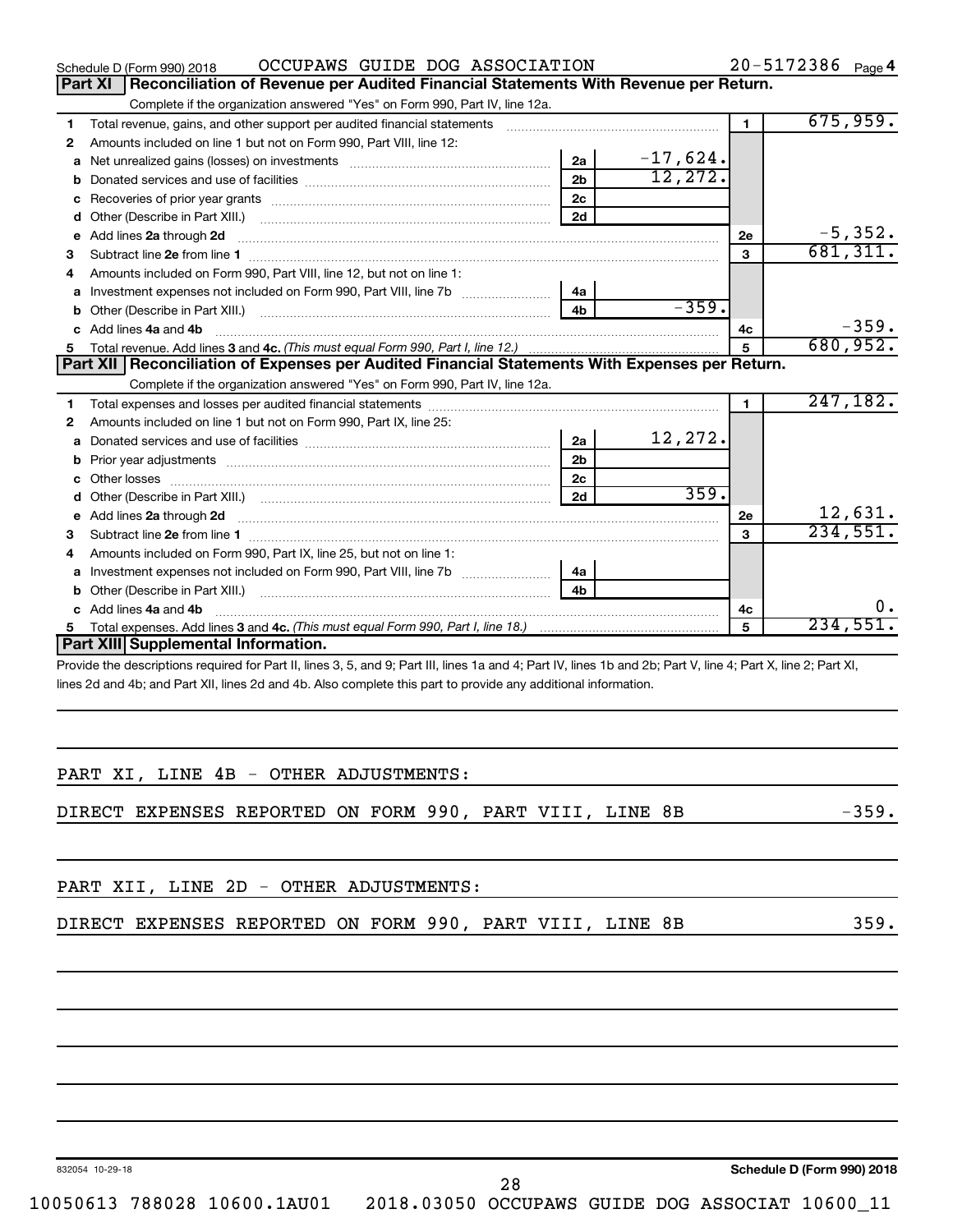|                | OCCUPAWS GUIDE DOG ASSOCIATION<br>Schedule D (Form 990) 2018                                                                                                                                                                        |                |            |                | 20-5172386 Page 4 |    |
|----------------|-------------------------------------------------------------------------------------------------------------------------------------------------------------------------------------------------------------------------------------|----------------|------------|----------------|-------------------|----|
| <b>Part XI</b> | Reconciliation of Revenue per Audited Financial Statements With Revenue per Return.                                                                                                                                                 |                |            |                |                   |    |
|                | Complete if the organization answered "Yes" on Form 990, Part IV, line 12a.                                                                                                                                                         |                |            |                |                   |    |
| 1              | Total revenue, gains, and other support per audited financial statements                                                                                                                                                            |                |            | $\blacksquare$ | 675,959.          |    |
| 2              | Amounts included on line 1 but not on Form 990, Part VIII, line 12:                                                                                                                                                                 |                |            |                |                   |    |
| a              |                                                                                                                                                                                                                                     | 2a             | $-17,624.$ |                |                   |    |
| b              |                                                                                                                                                                                                                                     | 2 <sub>b</sub> | 12, 272.   |                |                   |    |
| с              |                                                                                                                                                                                                                                     | 2 <sub>c</sub> |            |                |                   |    |
| d              |                                                                                                                                                                                                                                     | 2d             |            |                |                   |    |
| е              | Add lines 2a through 2d                                                                                                                                                                                                             |                |            | 2e             | $-5,352.$         |    |
| з              |                                                                                                                                                                                                                                     |                |            | 3              | 681, 311.         |    |
| 4              | Amounts included on Form 990, Part VIII, line 12, but not on line 1:                                                                                                                                                                |                |            |                |                   |    |
| a              | Investment expenses not included on Form 990, Part VIII, line 7b                                                                                                                                                                    | 4a             |            |                |                   |    |
| b              |                                                                                                                                                                                                                                     | 4 <sub>b</sub> | $-359.$    |                |                   |    |
| C              | Add lines 4a and 4b                                                                                                                                                                                                                 |                |            | 4c             | $-359.$           |    |
| 5.             |                                                                                                                                                                                                                                     |                |            | 5              | 680,952.          |    |
|                | Part XII Reconciliation of Expenses per Audited Financial Statements With Expenses per Return.                                                                                                                                      |                |            |                |                   |    |
|                | Complete if the organization answered "Yes" on Form 990, Part IV, line 12a.                                                                                                                                                         |                |            |                |                   |    |
| 1              |                                                                                                                                                                                                                                     |                |            | 1              | 247, 182.         |    |
| 2              | Amounts included on line 1 but not on Form 990, Part IX, line 25:                                                                                                                                                                   |                |            |                |                   |    |
| a              |                                                                                                                                                                                                                                     | 2a             | 12,272.    |                |                   |    |
| b              |                                                                                                                                                                                                                                     | 2 <sub>b</sub> |            |                |                   |    |
|                |                                                                                                                                                                                                                                     | 2 <sub>c</sub> |            |                |                   |    |
| d              |                                                                                                                                                                                                                                     | 2d             | 359.       |                |                   |    |
| е              |                                                                                                                                                                                                                                     |                |            | 2e             | 12,631.           |    |
| 3              |                                                                                                                                                                                                                                     |                |            | 3              | 234,551.          |    |
| 4              | Amounts included on Form 990, Part IX, line 25, but not on line 1:                                                                                                                                                                  |                |            |                |                   |    |
| a              |                                                                                                                                                                                                                                     | 4a             |            |                |                   |    |
| b              | Other (Describe in Part XIII.) <b>Construction Contract Construction</b> Chemical Construction Chemical Chemical Chemical Chemical Chemical Chemical Chemical Chemical Chemical Chemical Chemical Chemical Chemical Chemical Chemic |                |            |                |                   |    |
|                | Add lines 4a and 4b                                                                                                                                                                                                                 |                |            | 4с             |                   | Ο. |
| 5.             |                                                                                                                                                                                                                                     |                |            | 5              | 234,551.          |    |
|                | Part XIII Supplemental Information.                                                                                                                                                                                                 |                |            |                |                   |    |
|                | Provide the descriptions required for Part II, lines 3, 5, and 9; Part III, lines 1a and 4; Part IV, lines 1b and 2b; Part V, line 4; Part X, line 2; Part XI,                                                                      |                |            |                |                   |    |
|                | lines 2d and 4b; and Part XII, lines 2d and 4b. Also complete this part to provide any additional information.                                                                                                                      |                |            |                |                   |    |

|  |  |  | PART XI, LINE 4B - OTHER ADJUSTMENTS: |
|--|--|--|---------------------------------------|

DIRECT EXPENSES REPORTED ON FORM 990, PART VIII, LINE 8B -359.

PART XII, LINE 2D - OTHER ADJUSTMENTS:

|  |  | DIRECT EXPENSES REPORTED ON FORM 990, PART VIII, LINE 8B |  |  |  |  |  |  |  |  |
|--|--|----------------------------------------------------------|--|--|--|--|--|--|--|--|
|--|--|----------------------------------------------------------|--|--|--|--|--|--|--|--|

832054 10-29-18

28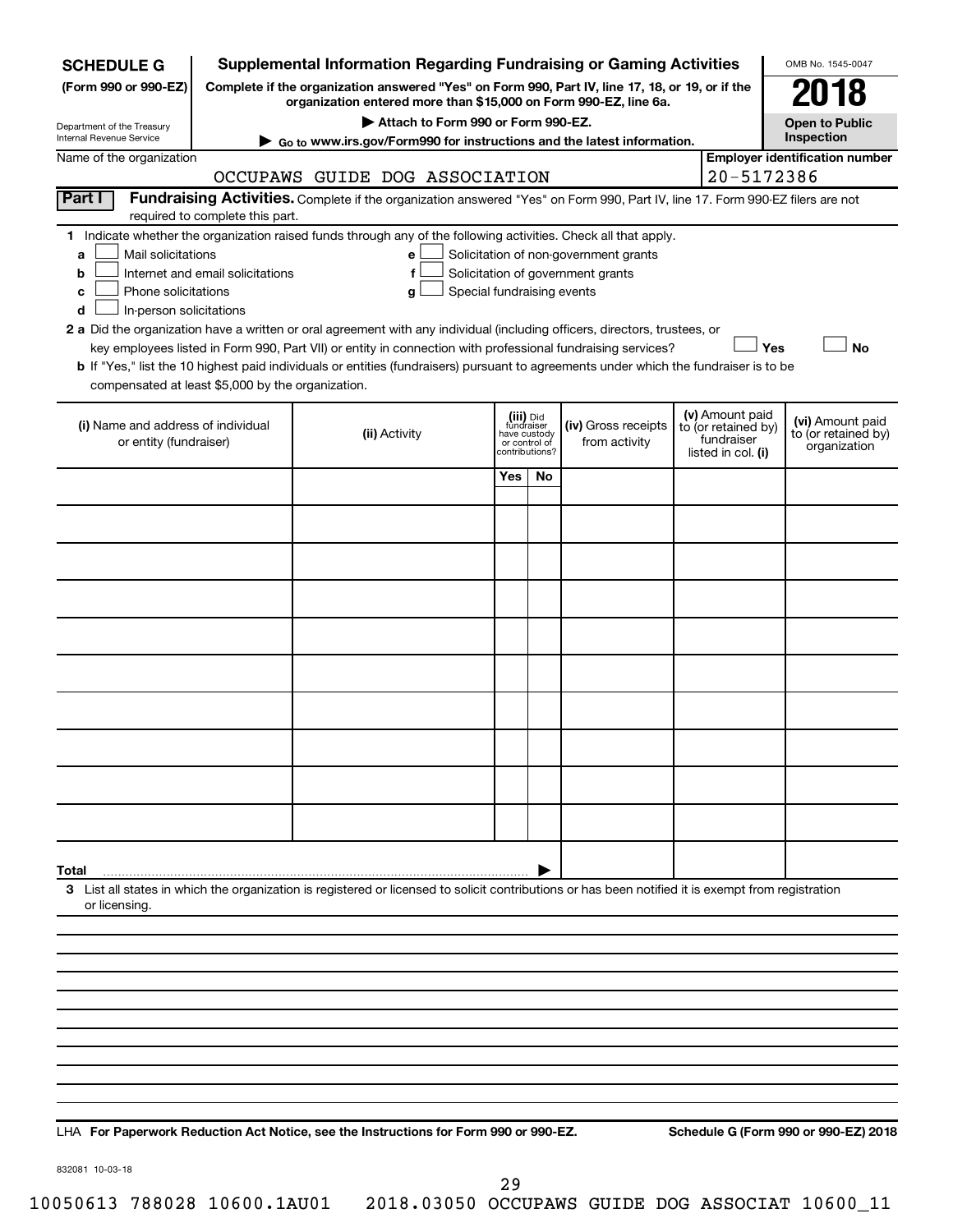| <b>SCHEDULE G</b>                                                                        |                                  | <b>Supplemental Information Regarding Fundraising or Gaming Activities</b>                                                                                                                                                                                                                                                                                                                                                                                                                                                                         |                               |                                           |                                                                            |                                                                            | OMB No. 1545-0047                                       |  |
|------------------------------------------------------------------------------------------|----------------------------------|----------------------------------------------------------------------------------------------------------------------------------------------------------------------------------------------------------------------------------------------------------------------------------------------------------------------------------------------------------------------------------------------------------------------------------------------------------------------------------------------------------------------------------------------------|-------------------------------|-------------------------------------------|----------------------------------------------------------------------------|----------------------------------------------------------------------------|---------------------------------------------------------|--|
| (Form 990 or 990-EZ)                                                                     |                                  | Complete if the organization answered "Yes" on Form 990, Part IV, line 17, 18, or 19, or if the<br>organization entered more than \$15,000 on Form 990-EZ, line 6a.                                                                                                                                                                                                                                                                                                                                                                                |                               |                                           |                                                                            |                                                                            | 2018                                                    |  |
| Department of the Treasury                                                               |                                  | Attach to Form 990 or Form 990-EZ.                                                                                                                                                                                                                                                                                                                                                                                                                                                                                                                 |                               |                                           |                                                                            |                                                                            | <b>Open to Public</b>                                   |  |
| Internal Revenue Service                                                                 |                                  | ► Go to www.irs.gov/Form990 for instructions and the latest information.                                                                                                                                                                                                                                                                                                                                                                                                                                                                           |                               |                                           |                                                                            |                                                                            | Inspection                                              |  |
| Name of the organization                                                                 |                                  | OCCUPAWS GUIDE DOG ASSOCIATION                                                                                                                                                                                                                                                                                                                                                                                                                                                                                                                     |                               |                                           |                                                                            | 20-5172386                                                                 | <b>Employer identification number</b>                   |  |
| Part I                                                                                   | required to complete this part.  | Fundraising Activities. Complete if the organization answered "Yes" on Form 990, Part IV, line 17. Form 990-EZ filers are not                                                                                                                                                                                                                                                                                                                                                                                                                      |                               |                                           |                                                                            |                                                                            |                                                         |  |
| Mail solicitations<br>a<br>b<br>Phone solicitations<br>c<br>In-person solicitations<br>d | Internet and email solicitations | 1 Indicate whether the organization raised funds through any of the following activities. Check all that apply.<br>е<br>f<br>Special fundraising events<br>g<br>2 a Did the organization have a written or oral agreement with any individual (including officers, directors, trustees, or<br>key employees listed in Form 990, Part VII) or entity in connection with professional fundraising services?<br>b If "Yes," list the 10 highest paid individuals or entities (fundraisers) pursuant to agreements under which the fundraiser is to be |                               |                                           | Solicitation of non-government grants<br>Solicitation of government grants | Yes                                                                        | <b>No</b>                                               |  |
| compensated at least \$5,000 by the organization.                                        |                                  |                                                                                                                                                                                                                                                                                                                                                                                                                                                                                                                                                    |                               |                                           |                                                                            |                                                                            |                                                         |  |
| (i) Name and address of individual<br>or entity (fundraiser)                             |                                  | (ii) Activity                                                                                                                                                                                                                                                                                                                                                                                                                                                                                                                                      | have custody<br>or control of | (iii) Did<br>fundraiser<br>contributions? | (iv) Gross receipts<br>from activity                                       | (v) Amount paid<br>to (or retained by)<br>fundraiser<br>listed in col. (i) | (vi) Amount paid<br>to (or retained by)<br>organization |  |
|                                                                                          |                                  |                                                                                                                                                                                                                                                                                                                                                                                                                                                                                                                                                    | Yes                           | No                                        |                                                                            |                                                                            |                                                         |  |
|                                                                                          |                                  |                                                                                                                                                                                                                                                                                                                                                                                                                                                                                                                                                    |                               |                                           |                                                                            |                                                                            |                                                         |  |
|                                                                                          |                                  |                                                                                                                                                                                                                                                                                                                                                                                                                                                                                                                                                    |                               |                                           |                                                                            |                                                                            |                                                         |  |
|                                                                                          |                                  |                                                                                                                                                                                                                                                                                                                                                                                                                                                                                                                                                    |                               |                                           |                                                                            |                                                                            |                                                         |  |
|                                                                                          |                                  |                                                                                                                                                                                                                                                                                                                                                                                                                                                                                                                                                    |                               |                                           |                                                                            |                                                                            |                                                         |  |
|                                                                                          |                                  |                                                                                                                                                                                                                                                                                                                                                                                                                                                                                                                                                    |                               |                                           |                                                                            |                                                                            |                                                         |  |
|                                                                                          |                                  |                                                                                                                                                                                                                                                                                                                                                                                                                                                                                                                                                    |                               |                                           |                                                                            |                                                                            |                                                         |  |
|                                                                                          |                                  |                                                                                                                                                                                                                                                                                                                                                                                                                                                                                                                                                    |                               |                                           |                                                                            |                                                                            |                                                         |  |
|                                                                                          |                                  |                                                                                                                                                                                                                                                                                                                                                                                                                                                                                                                                                    |                               |                                           |                                                                            |                                                                            |                                                         |  |
|                                                                                          |                                  |                                                                                                                                                                                                                                                                                                                                                                                                                                                                                                                                                    |                               |                                           |                                                                            |                                                                            |                                                         |  |
|                                                                                          |                                  |                                                                                                                                                                                                                                                                                                                                                                                                                                                                                                                                                    |                               |                                           |                                                                            |                                                                            |                                                         |  |
| Total<br>or licensing.                                                                   |                                  | 3 List all states in which the organization is registered or licensed to solicit contributions or has been notified it is exempt from registration                                                                                                                                                                                                                                                                                                                                                                                                 |                               |                                           |                                                                            |                                                                            |                                                         |  |
|                                                                                          |                                  |                                                                                                                                                                                                                                                                                                                                                                                                                                                                                                                                                    |                               |                                           |                                                                            |                                                                            |                                                         |  |
|                                                                                          |                                  |                                                                                                                                                                                                                                                                                                                                                                                                                                                                                                                                                    |                               |                                           |                                                                            |                                                                            |                                                         |  |
|                                                                                          |                                  |                                                                                                                                                                                                                                                                                                                                                                                                                                                                                                                                                    |                               |                                           |                                                                            |                                                                            |                                                         |  |
|                                                                                          |                                  |                                                                                                                                                                                                                                                                                                                                                                                                                                                                                                                                                    |                               |                                           |                                                                            |                                                                            |                                                         |  |
|                                                                                          |                                  |                                                                                                                                                                                                                                                                                                                                                                                                                                                                                                                                                    |                               |                                           |                                                                            |                                                                            |                                                         |  |
|                                                                                          |                                  |                                                                                                                                                                                                                                                                                                                                                                                                                                                                                                                                                    |                               |                                           |                                                                            |                                                                            |                                                         |  |
|                                                                                          |                                  |                                                                                                                                                                                                                                                                                                                                                                                                                                                                                                                                                    |                               |                                           |                                                                            |                                                                            |                                                         |  |
|                                                                                          |                                  |                                                                                                                                                                                                                                                                                                                                                                                                                                                                                                                                                    |                               |                                           |                                                                            |                                                                            |                                                         |  |

**For Paperwork Reduction Act Notice, see the Instructions for Form 990 or 990-EZ. Schedule G (Form 990 or 990-EZ) 2018** LHA

832081 10-03-18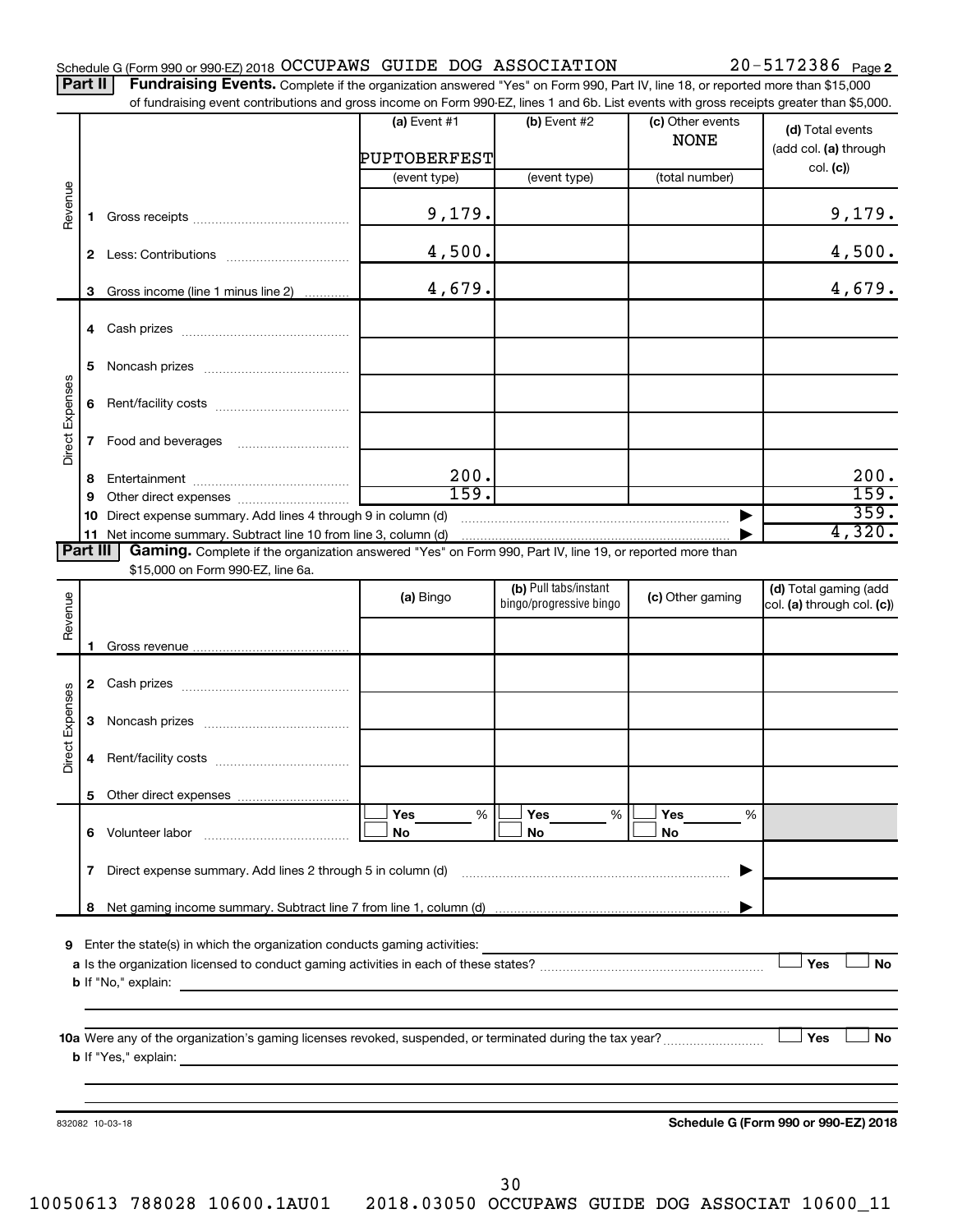|  |  |  |  | Schedule G (Form 990 or 990-EZ) 2018 OCCUPAWS GUIDE DOG ASSOCIATION | $20 - 5172386$ Page 2 |
|--|--|--|--|---------------------------------------------------------------------|-----------------------|
|--|--|--|--|---------------------------------------------------------------------|-----------------------|

Part II | Fundraising Events. Complete if the organization answered "Yes" on Form 990, Part IV, line 18, or reported more than \$15,000 of fundraising event contributions and gross income on Form 990-EZ, lines 1 and 6b. List events with gross receipts greater than \$5,000.

|                 |   | andiomy overtic continuotions and groco mounts on rionm out EE, miles it and ob. Elot overtic with groco receipts grouter than \$0,000. |                                |                         |                                 |                                           |
|-----------------|---|-----------------------------------------------------------------------------------------------------------------------------------------|--------------------------------|-------------------------|---------------------------------|-------------------------------------------|
|                 |   |                                                                                                                                         | (a) Event $#1$<br>PUPTOBERFEST | (b) Event #2            | (c) Other events<br><b>NONE</b> | (d) Total events<br>(add col. (a) through |
|                 |   |                                                                                                                                         |                                | (event type)            | (total number)                  | col. (c)                                  |
|                 |   |                                                                                                                                         | (event type)                   |                         |                                 |                                           |
| Revenue         |   |                                                                                                                                         | 9,179.                         |                         |                                 | 9,179.                                    |
|                 |   |                                                                                                                                         | 4,500.                         |                         |                                 | 4,500.                                    |
|                 |   | 3 Gross income (line 1 minus line 2)                                                                                                    | 4,679.                         |                         |                                 | 4,679.                                    |
|                 |   |                                                                                                                                         |                                |                         |                                 |                                           |
|                 |   |                                                                                                                                         |                                |                         |                                 |                                           |
| Direct Expenses |   |                                                                                                                                         |                                |                         |                                 |                                           |
|                 | 7 | Food and beverages                                                                                                                      |                                |                         |                                 |                                           |
|                 |   |                                                                                                                                         | 200.                           |                         |                                 | 200.                                      |
|                 | 8 |                                                                                                                                         | 159.                           |                         |                                 | 159.                                      |
|                 | 9 |                                                                                                                                         |                                |                         |                                 | 359.                                      |
|                 |   | 10 Direct expense summary. Add lines 4 through 9 in column (d)                                                                          |                                | $\blacksquare$          |                                 | 4,320.                                    |
| Part III        |   | Gaming. Complete if the organization answered "Yes" on Form 990, Part IV, line 19, or reported more than                                |                                |                         |                                 |                                           |
|                 |   | \$15,000 on Form 990-EZ, line 6a.                                                                                                       |                                |                         |                                 |                                           |
|                 |   |                                                                                                                                         |                                | (b) Pull tabs/instant   |                                 | (d) Total gaming (add                     |
| Revenue         |   |                                                                                                                                         | (a) Bingo                      | bingo/progressive bingo | (c) Other gaming                | col. (a) through col. (c))                |
|                 |   |                                                                                                                                         |                                |                         |                                 |                                           |
|                 |   |                                                                                                                                         |                                |                         |                                 |                                           |
|                 |   |                                                                                                                                         |                                |                         |                                 |                                           |
|                 |   |                                                                                                                                         |                                |                         |                                 |                                           |
| Direct Expenses |   |                                                                                                                                         |                                |                         |                                 |                                           |
|                 | 4 |                                                                                                                                         |                                |                         |                                 |                                           |
|                 |   |                                                                                                                                         |                                |                         |                                 |                                           |
|                 |   |                                                                                                                                         | Yes<br>%                       | Yes<br>%                | Yes<br>%                        |                                           |
|                 |   | 6 Volunteer labor                                                                                                                       | No                             | No                      | No                              |                                           |
|                 | 7 | Direct expense summary. Add lines 2 through 5 in column (d)                                                                             |                                |                         |                                 |                                           |
|                 | 8 |                                                                                                                                         |                                |                         |                                 |                                           |
|                 |   |                                                                                                                                         |                                |                         |                                 |                                           |
|                 |   | 9 Enter the state(s) in which the organization conducts gaming activities:                                                              |                                |                         |                                 |                                           |
|                 |   |                                                                                                                                         |                                |                         |                                 | Yes<br><b>No</b>                          |
|                 |   | <b>b</b> If "No," explain:                                                                                                              |                                |                         |                                 |                                           |
|                 |   |                                                                                                                                         |                                |                         |                                 |                                           |
|                 |   |                                                                                                                                         |                                |                         |                                 |                                           |
|                 |   | 10a Were any of the organization's gaming licenses revoked, suspended, or terminated during the tax year?                               |                                |                         |                                 | Yes<br>No                                 |
|                 |   | <b>b</b> If "Yes," explain:<br><u> 1989 - John Stein, Amerikaansk politiker (* 1908)</u>                                                |                                |                         |                                 |                                           |
|                 |   |                                                                                                                                         |                                |                         |                                 |                                           |
|                 |   |                                                                                                                                         |                                |                         |                                 |                                           |
|                 |   | 832082 10-03-18                                                                                                                         |                                |                         |                                 | Schedule G (Form 990 or 990-EZ) 2018      |
|                 |   |                                                                                                                                         |                                |                         |                                 |                                           |
|                 |   |                                                                                                                                         |                                |                         |                                 |                                           |

30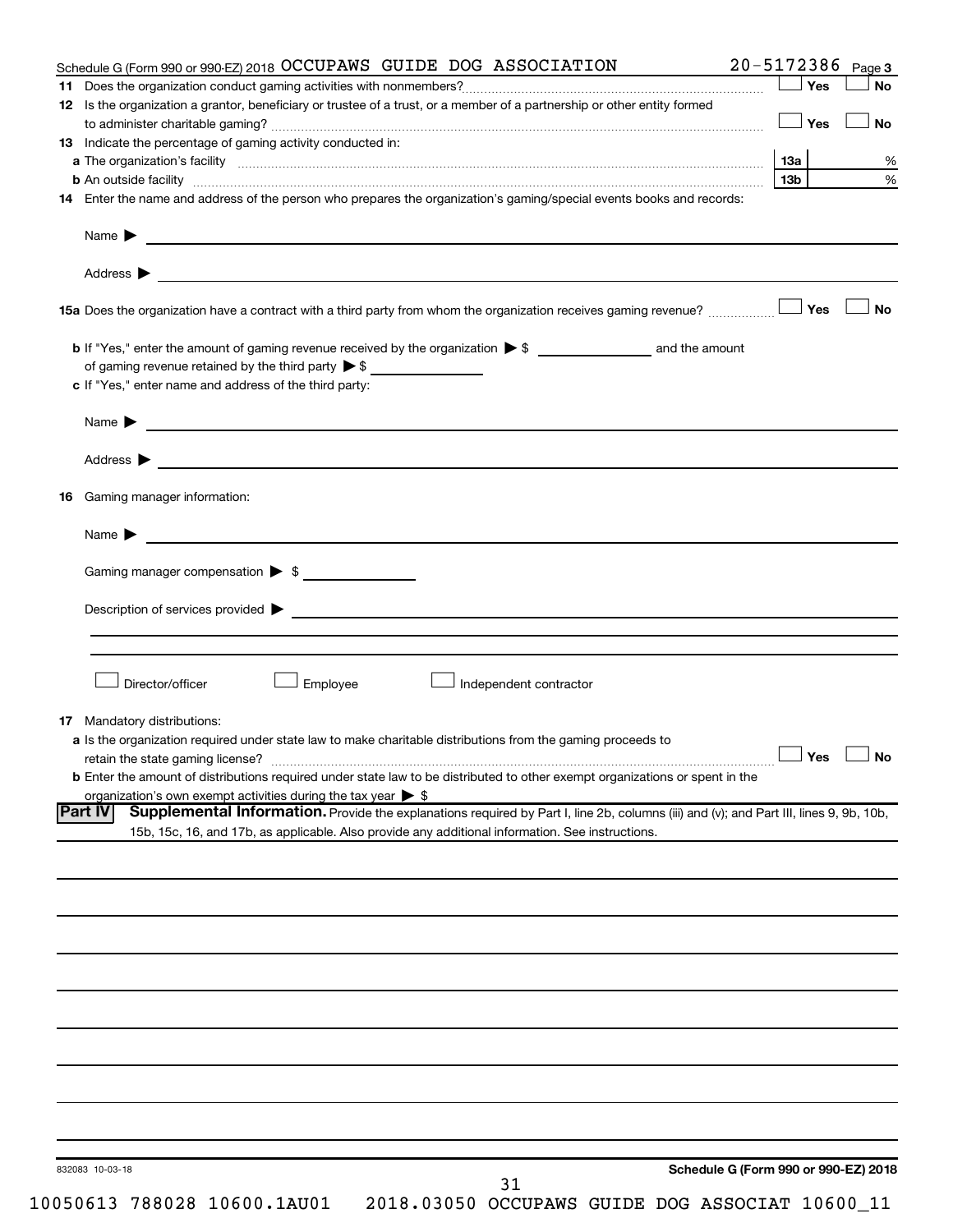| Schedule G (Form 990 or 990-EZ) 2018 OCCUPAWS GUIDE DOG ASSOCIATION                                                                                      |                 |      | $20 - 5172386$ Page 3 |
|----------------------------------------------------------------------------------------------------------------------------------------------------------|-----------------|------|-----------------------|
|                                                                                                                                                          |                 | Yes  | <b>No</b>             |
| 12 Is the organization a grantor, beneficiary or trustee of a trust, or a member of a partnership or other entity formed                                 |                 | │Yes | <b>No</b>             |
| 13 Indicate the percentage of gaming activity conducted in:                                                                                              |                 |      |                       |
|                                                                                                                                                          |                 |      | %                     |
|                                                                                                                                                          | 13 <sub>b</sub> |      | $\%$                  |
| 14 Enter the name and address of the person who prepares the organization's gaming/special events books and records:                                     |                 |      |                       |
| Name $\blacktriangleright$<br><u> 1989 - Johann Barbara, marka a shekara tsa 1989 - An tsa 1989 - An tsa 1989 - An tsa 1989 - An tsa 1989 - An</u>       |                 |      |                       |
|                                                                                                                                                          |                 |      |                       |
|                                                                                                                                                          |                 |      | No                    |
|                                                                                                                                                          |                 |      |                       |
| c If "Yes," enter name and address of the third party:                                                                                                   |                 |      |                       |
|                                                                                                                                                          |                 |      |                       |
|                                                                                                                                                          |                 |      |                       |
|                                                                                                                                                          |                 |      |                       |
| <b>16</b> Gaming manager information:                                                                                                                    |                 |      |                       |
|                                                                                                                                                          |                 |      |                       |
| Gaming manager compensation > \$                                                                                                                         |                 |      |                       |
|                                                                                                                                                          |                 |      |                       |
|                                                                                                                                                          |                 |      |                       |
| Director/officer<br>Employee<br>Independent contractor                                                                                                   |                 |      |                       |
| <b>17</b> Mandatory distributions:                                                                                                                       |                 |      |                       |
| a Is the organization required under state law to make charitable distributions from the gaming proceeds to                                              |                 |      |                       |
|                                                                                                                                                          |                 |      | $\Box$ Yes $\Box$ No  |
| <b>b</b> Enter the amount of distributions required under state law to be distributed to other exempt organizations or spent in the                      |                 |      |                       |
| organization's own exempt activities during the tax year $\triangleright$ \$                                                                             |                 |      |                       |
| Supplemental Information. Provide the explanations required by Part I, line 2b, columns (iii) and (v); and Part III, lines 9, 9b, 10b,<br><b>Part IV</b> |                 |      |                       |
| 15b, 15c, 16, and 17b, as applicable. Also provide any additional information. See instructions.                                                         |                 |      |                       |
|                                                                                                                                                          |                 |      |                       |
|                                                                                                                                                          |                 |      |                       |
|                                                                                                                                                          |                 |      |                       |
|                                                                                                                                                          |                 |      |                       |
|                                                                                                                                                          |                 |      |                       |
|                                                                                                                                                          |                 |      |                       |
|                                                                                                                                                          |                 |      |                       |
|                                                                                                                                                          |                 |      |                       |
|                                                                                                                                                          |                 |      |                       |
|                                                                                                                                                          |                 |      |                       |
| Schedule G (Form 990 or 990-EZ) 2018<br>832083 10-03-18                                                                                                  |                 |      |                       |
| 31                                                                                                                                                       |                 |      |                       |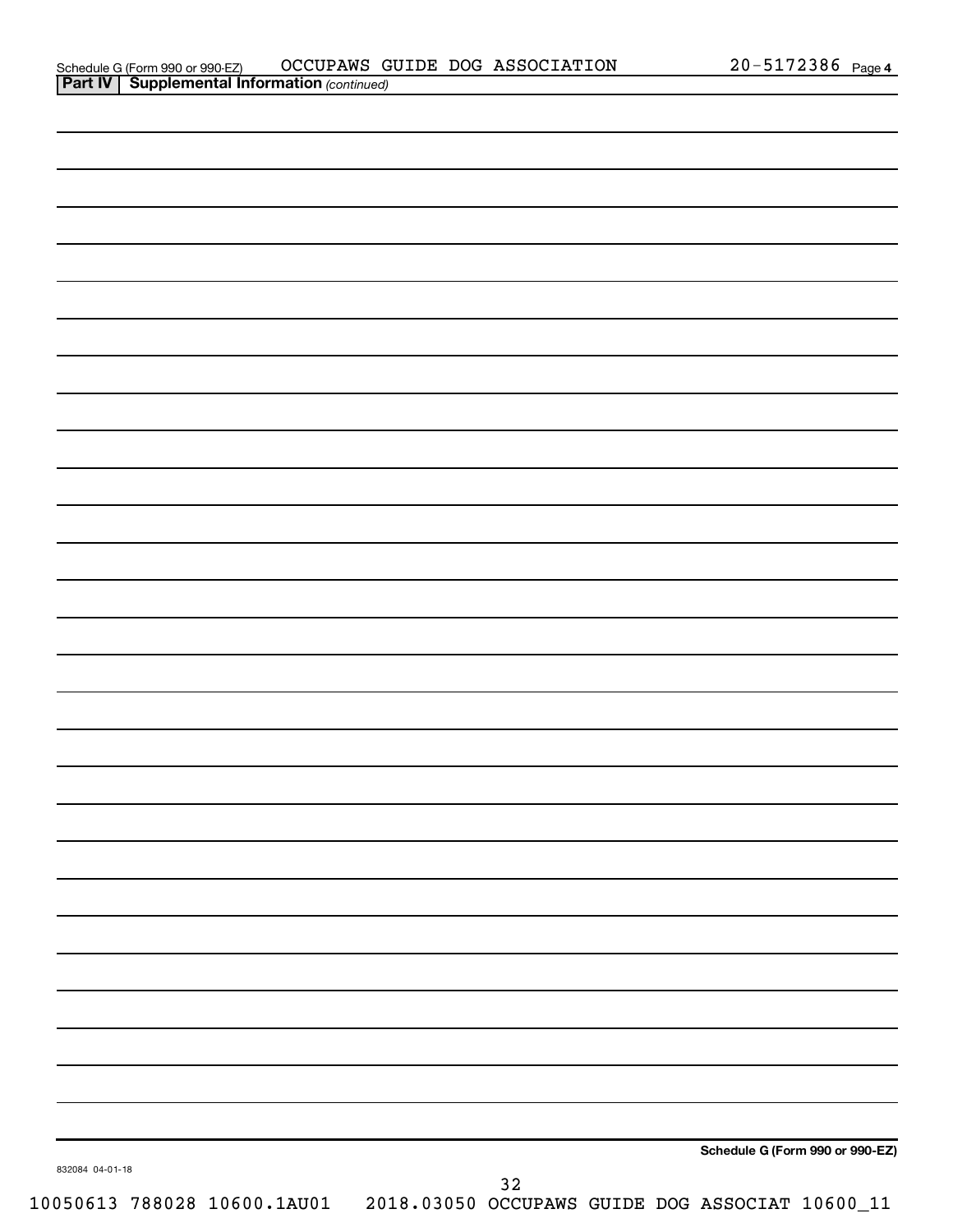|                 |        | Schedule G (Form 990 or 990-EZ) |
|-----------------|--------|---------------------------------|
| 832084 04-01-18 |        |                                 |
|                 | $3\,2$ |                                 |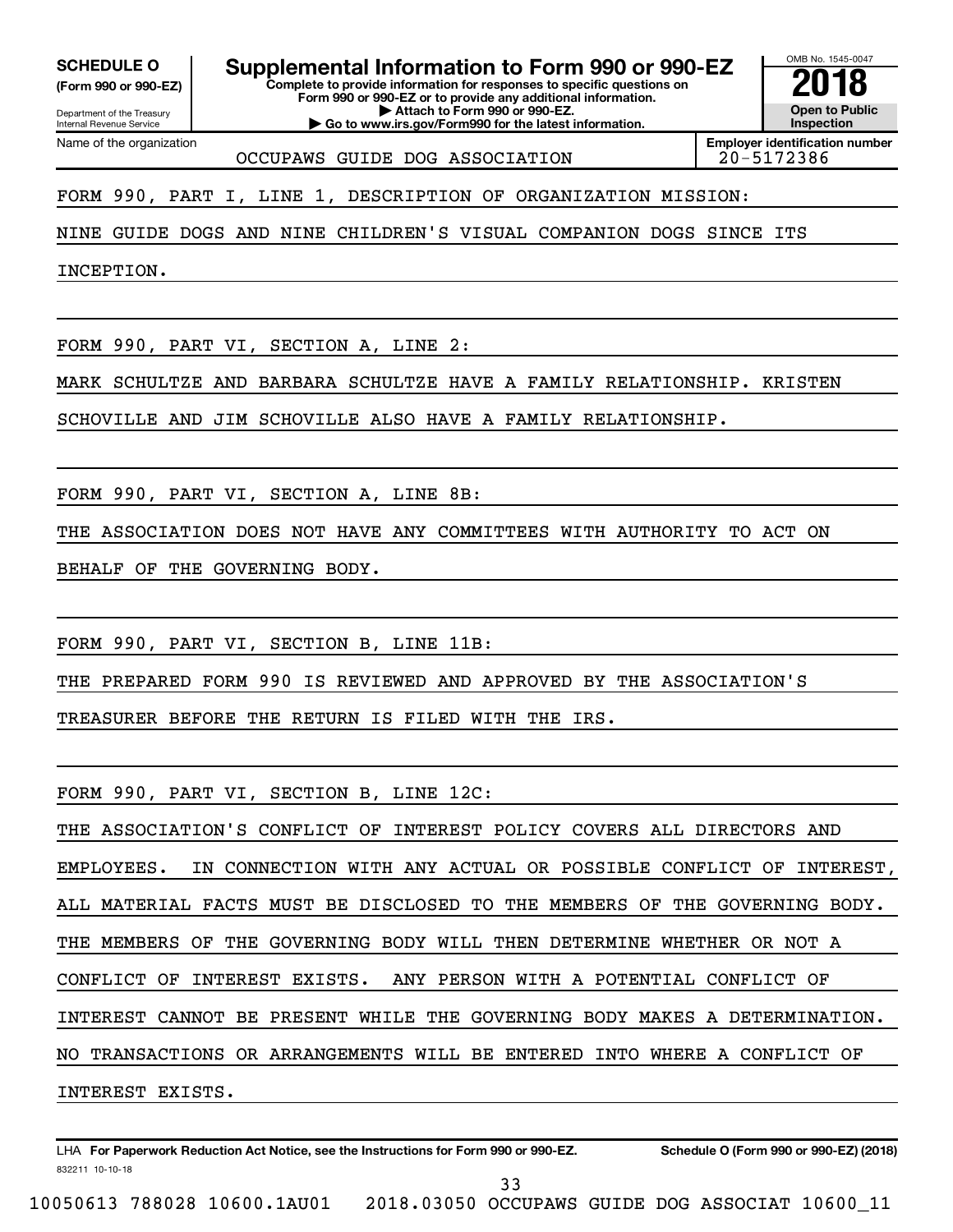Department of the Treasury **(Form 990 or 990-EZ)**

Internal Revenue Service

SCHEDULE O **Supplemental Information to Form 990 or 990-EZ 2018**<br>(Form 990 or 990-EZ) Complete to provide information for responses to specific questions on

**Complete to provide information for responses to specific questions on Form 990 or 990-EZ or to provide any additional information. | Attach to Form 990 or 990-EZ.**

**| Go to www.irs.gov/Form990 for the latest information.**

**Open to Public Inspection**

OMB No. 1545-0047

Name of the organization OCCUPAWS GUIDE DOG ASSOCIATION **Employer identification number**

FORM 990, PART I, LINE 1, DESCRIPTION OF ORGANIZATION MISSION:

NINE GUIDE DOGS AND NINE CHILDREN'S VISUAL COMPANION DOGS SINCE ITS

INCEPTION.

FORM 990, PART VI, SECTION A, LINE 2:

MARK SCHULTZE AND BARBARA SCHULTZE HAVE A FAMILY RELATIONSHIP. KRISTEN

SCHOVILLE AND JIM SCHOVILLE ALSO HAVE A FAMILY RELATIONSHIP.

FORM 990, PART VI, SECTION A, LINE 8B:

THE ASSOCIATION DOES NOT HAVE ANY COMMITTEES WITH AUTHORITY TO ACT ON

BEHALF OF THE GOVERNING BODY.

FORM 990, PART VI, SECTION B, LINE 11B:

THE PREPARED FORM 990 IS REVIEWED AND APPROVED BY THE ASSOCIATION'S

TREASURER BEFORE THE RETURN IS FILED WITH THE IRS.

FORM 990, PART VI, SECTION B, LINE 12C:

THE ASSOCIATION'S CONFLICT OF INTEREST POLICY COVERS ALL DIRECTORS AND EMPLOYEES. IN CONNECTION WITH ANY ACTUAL OR POSSIBLE CONFLICT OF INTEREST, ALL MATERIAL FACTS MUST BE DISCLOSED TO THE MEMBERS OF THE GOVERNING BODY. THE MEMBERS OF THE GOVERNING BODY WILL THEN DETERMINE WHETHER OR NOT A CONFLICT OF INTEREST EXISTS. ANY PERSON WITH A POTENTIAL CONFLICT OF INTEREST CANNOT BE PRESENT WHILE THE GOVERNING BODY MAKES A DETERMINATION. NO TRANSACTIONS OR ARRANGEMENTS WILL BE ENTERED INTO WHERE A CONFLICT OF INTEREST EXISTS.

832211 10-10-18 LHA For Paperwork Reduction Act Notice, see the Instructions for Form 990 or 990-EZ. Schedule O (Form 990 or 990-EZ) (2018)